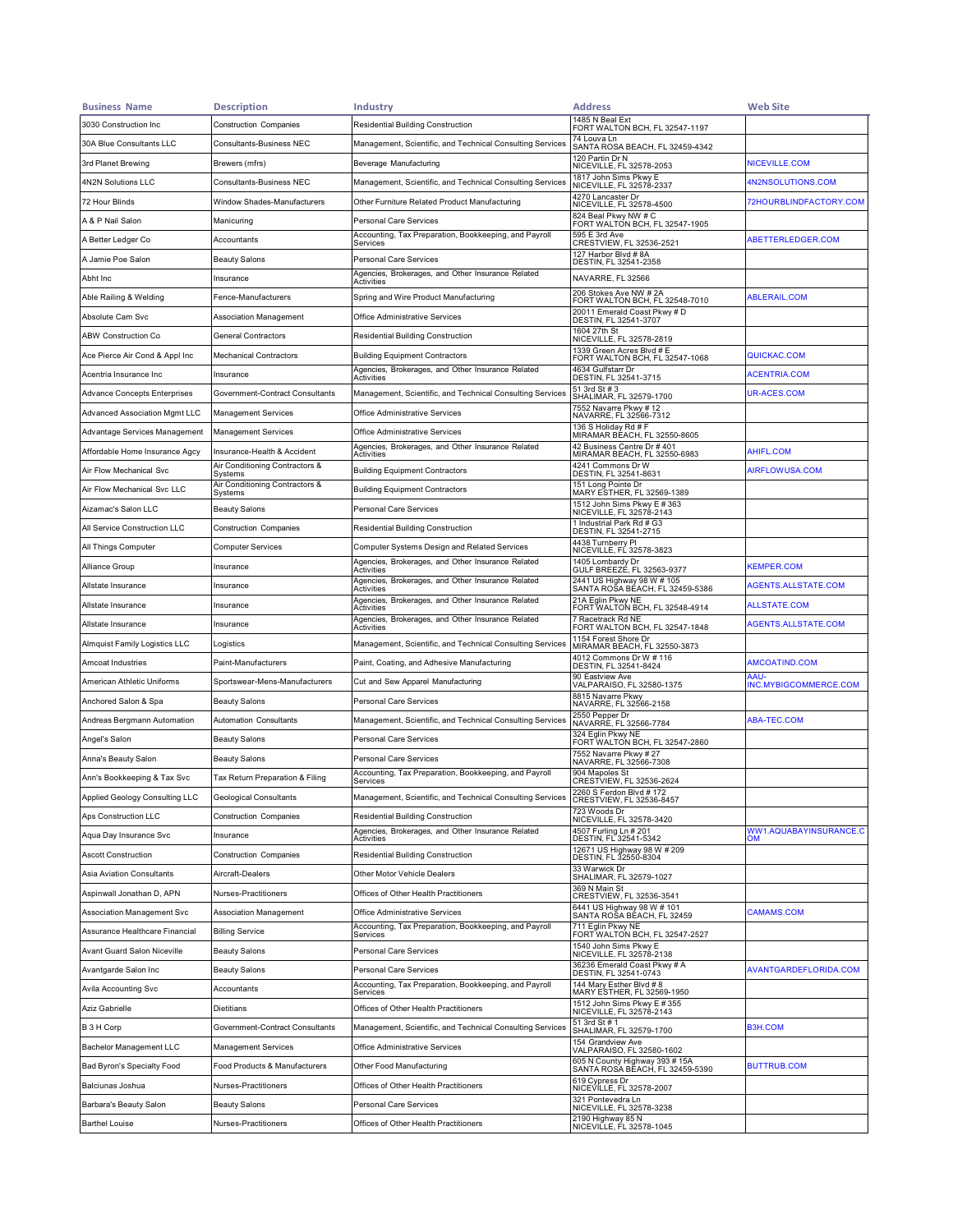| <b>Business Name</b>                | <b>Description</b>                        | <b>Industry</b>                                                   | <b>Address</b>                                                    | <b>Web Site</b>               |
|-------------------------------------|-------------------------------------------|-------------------------------------------------------------------|-------------------------------------------------------------------|-------------------------------|
| 3030 Construction Inc               | <b>Construction Companies</b>             | <b>Residential Building Construction</b>                          | 1485 N Beal Ext<br>FORT WALTON BCH, FL 32547-1197                 |                               |
| 30A Blue Consultants LLC            | Consultants-Business NEC                  | Management, Scientific, and Technical Consulting Services         | 74 Louva Ln<br>SANTA ROSA BEACH, FL 32459-4342                    |                               |
| 3rd Planet Brewing                  | Brewers (mfrs)                            | Beverage Manufacturing                                            | 120 Partin Dr N<br>NICEVILLE, FL 32578-2053                       | NICEVILLE.COM                 |
| 4N2N Solutions LLC                  | <b>Consultants-Business NEC</b>           | Management, Scientific, and Technical Consulting Services         | 1817 John Sims Pkwy E<br>NICEVILLE, FL 32578-2337                 | 4N2NSOLUTIONS.COM             |
| 72 Hour Blinds                      | Window Shades-Manufacturers               | Other Furniture Related Product Manufacturing                     | 4270 Lancaster Dr<br>NICEVILLE, FL 32578-4500                     | 72HOURBLINDFACTORY.COM        |
| A & P Nail Salon                    | Manicuring                                | Personal Care Services                                            | 824 Beal Pkwy NW # C<br>FORT WALTON BCH, FL 32547-1905            |                               |
| A Better Ledger Co                  | Accountants                               | Accounting, Tax Preparation, Bookkeeping, and Payroll<br>Services | 595 E 3rd Ave<br>CRESTVIEW, FL 32536-2521                         | ABETTERLEDGER.COM             |
| A Jamie Poe Salon                   | <b>Beauty Salons</b>                      | <b>Personal Care Services</b>                                     | 127 Harbor Blvd #8A<br>DESTIN, FL 32541-2358                      |                               |
| Abht Inc                            | Insurance                                 | Agencies, Brokerages, and Other Insurance Related<br>Activities   | NAVARRE, FL 32566                                                 |                               |
| Able Railing & Welding              | Fence-Manufacturers                       | Spring and Wire Product Manufacturing                             | 206 Stokes Ave NW # 2A<br>FORT WALTON BCH, FL 32548-7010          | <b>ABLERAIL.COM</b>           |
| Absolute Cam Svc                    | Association Management                    | Office Administrative Services                                    | 20011 Emerald Coast Pkwy # D<br>DESTIN, FL 32541-3707             |                               |
| ABW Construction Co                 | General Contractors                       | Residential Building Construction                                 | 1604 27th St<br>NICEVILLE, FL 32578-2819                          |                               |
| Ace Pierce Air Cond & Appl Inc      | <b>Mechanical Contractors</b>             | <b>Building Equipment Contractors</b>                             | 1339 Green Acres Blvd # E<br>FORT WALTON BCH, FL 32547-1068       | QUICKAC.COM                   |
| Acentria Insurance Inc              | Insurance                                 | Agencies, Brokerages, and Other Insurance Related<br>Activities   | 4634 Gulfstarr Dr<br>DESTIN, FL 32541-3715                        | ACENTRIA.COM                  |
| <b>Advance Concepts Enterprises</b> | Government-Contract Consultants           | Management, Scientific, and Technical Consulting Services         | 51 3rd St # 3<br>SHALIMAR, FL 32579-1700                          | UR-ACES.COM                   |
| Advanced Association Mgmt LLC       | <b>Management Services</b>                | Office Administrative Services                                    | 7552 Navarre Pkwy # 12<br>NAVARRE, FL 32566-7312                  |                               |
| Advantage Services Management       | <b>Management Services</b>                | Office Administrative Services                                    | 136 S Holiday Rd # F<br>MIRAMAR BÉACH, FL 32550-8605              |                               |
| Affordable Home Insurance Agcy      | Insurance-Health & Accident               | Agencies, Brokerages, and Other Insurance Related<br>Activities   | 42 Business Centre Dr # 401<br>MIRAMAR BEACH, FL 32550-6983       | AHIFL.COM                     |
| Air Flow Mechanical Svc             | Air Conditioning Contractors &<br>Svstems | <b>Building Equipment Contractors</b>                             | 4241 Commons Dr W<br>DESTIN, FL 32541-8631                        | AIRFLOWUSA.COM                |
| Air Flow Mechanical Svc LLC         | Air Conditioning Contractors &<br>Systems | <b>Building Equipment Contractors</b>                             | 151 Long Pointe Dr<br>MARY ESTHER, FL 32569-1389                  |                               |
| Aizamac's Salon LLC                 | <b>Beauty Salons</b>                      | Personal Care Services                                            | 1512 John Sims Pkwy E #363<br>NICEVILLE, FL 32578-2143            |                               |
| All Service Construction LLC        | <b>Construction Companies</b>             | <b>Residential Building Construction</b>                          | 1 Industrial Park Rd # G3<br>DESTIN, FL 32541-2715                |                               |
| All Things Computer                 | Computer Services                         | Computer Systems Design and Related Services                      | 4438 Turnberry Pl<br>NICEVILLE, FL 32578-3823                     |                               |
| Alliance Group                      | Insurance                                 | Agencies, Brokerages, and Other Insurance Related<br>Activities   | 1405 Lombardy Dr<br>GULF BREEZĖ, FL 32563-9377                    | <b>KEMPER.COM</b>             |
| Allstate Insurance                  | Insurance                                 | Agencies, Brokerages, and Other Insurance Related<br>Activities   | 2441 US Highway 98 W # 105<br>SANTA ROSA BEACH, FL 32459-5386     | AGENTS.ALLSTATE.COM           |
| Allstate Insurance                  | Insurance                                 | Agencies, Brokerages, and Other Insurance Related<br>Activities   | 21A Eglin Pkwy NE<br>FORT WALTON BCH, FL 32548-4914               | ALLSTATE.COM                  |
| Allstate Insurance                  | Insurance                                 | Agencies, Brokerages, and Other Insurance Related<br>Activities   | 7 Racetrack Rd NE<br>FORT WALTON BCH, FL 32547-1848               | AGENTS.ALLSTATE.COM           |
| Almquist Family Logistics LLC       | Logistics                                 | Management, Scientific, and Technical Consulting Services         | 1154 Forest Shore Dr<br>MIRAMAR BEACH, FL 32550-3873              |                               |
| Amcoat Industries                   | Paint-Manufacturers                       | Paint, Coating, and Adhesive Manufacturing                        | 4012 Commons Dr W # 116<br>DESTIN, FL 32541-8424                  | AMCOATIND.COM                 |
| American Athletic Uniforms          | Sportswear-Mens-Manufacturers             | Cut and Sew Apparel Manufacturing                                 | 90 Eastview Ave<br>VALPARAISO, FL 32580-1375                      | AAU-<br>INC.MYBIGCOMMERCE.COM |
| Anchored Salon & Spa                | <b>Beauty Salons</b>                      | Personal Care Services                                            | 8815 Navarre Pkwy<br>NAVARRE, FL 32566-2158                       |                               |
| Andreas Bergmann Automation         | <b>Automation Consultants</b>             | Management, Scientific, and Technical Consulting Services         | 2550 Pepper Dr<br>NAVARRE, FL 32566-7784                          | ABA-TEC.COM                   |
| Angel's Salon                       | <b>Beauty Salons</b>                      | Personal Care Services                                            | 324 Eglin Pkwy NE<br>FORT WALTON BCH, FL 32547-2860               |                               |
| Anna's Beauty Salon                 | <b>Beauty Salons</b>                      | Personal Care Services                                            | 7552 Navarre Pkwy # 27<br>NAVARRE, FL 32566-7308                  |                               |
| Ann's Bookkeeping & Tax Svc         | Tax Return Preparation & Filing           | Accounting, Tax Preparation, Bookkeeping, and Payroll<br>Services | 904 Mapoles St<br>CRESTVIEW, FL 32536-2624                        |                               |
| Applied Geology Consulting LLC      | <b>Geological Consultants</b>             | Management, Scientific, and Technical Consulting Services         | 2260 S Ferdon Blvd # 172<br>CRESTVIEW, FL 32536-845               |                               |
| Aps Construction LLC                | <b>Construction Companies</b>             | <b>Residential Building Construction</b>                          | 723 Woods Dr<br>NICEVILLE, FL 32578-3420                          |                               |
| Aqua Day Insurance Svc              | Insurance                                 | Agencies, Brokerages, and Other Insurance Related<br>Activities   | 4507 Furling Ln # 201<br>DESTIN, FL 32541-5342                    | WW1.AQUABAYINSURANCE.C<br>OМ  |
| <b>Ascott Construction</b>          | <b>Construction Companies</b>             | Residential Building Construction                                 | 12671 US Highway 98 W # 209<br>DESTIN, FL 32550-8304              |                               |
| Asia Aviation Consultants           | Aircraft-Dealers                          | Other Motor Vehicle Dealers                                       | 33 Warwick Dr<br>SHALIMAR, FL 32579-1027                          |                               |
| Aspinwall Jonathan D, APN           | Nurses-Practitioners                      | Offices of Other Health Practitioners                             | 369 N Main St<br>CRESTVIEW, FL 32536-3541                         |                               |
| Association Management Svc          | Association Management                    | Office Administrative Services                                    | 6441 US Highway 98 W # 101<br>SANTA ROSA BEACH, FL 32459          | <b>CAMAMS.COM</b>             |
| Assurance Healthcare Financial      | <b>Billing Service</b>                    | Accounting, Tax Preparation, Bookkeeping, and Payroll<br>Services | 711 Eglin Pkwy NE<br>FORT WALTON BCH, FL 32547-2527               |                               |
| Avant Guard Salon Niceville         | <b>Beauty Salons</b>                      | Personal Care Services                                            | 1540 John Sims Pkwy E<br>NICEVILLE, FL 32578-2138                 |                               |
| Avantgarde Salon Inc                | <b>Beauty Salons</b>                      | Personal Care Services                                            | 36236 Emerald Coast Pkwy # A<br>DESTIN, FL 32541-0743             | <b>AVANTGARDEFLORIDA.COM</b>  |
| Avila Accounting Svc                | Accountants                               | Accounting, Tax Preparation, Bookkeeping, and Payroll<br>Services | 144 Mary Esther Blvd #8<br>MARY ESTHER, FL 32569-1950             |                               |
| Aziz Gabrielle                      | Dietitians                                | Offices of Other Health Practitioners                             | 1512 John Sims Pkwy E # 355<br>NICEVILLE, FL 32578-2143           |                               |
| B 3 H Corp                          | Government-Contract Consultants           | Management, Scientific, and Technical Consulting Services         | 51 3rd St # 1<br>SHALIMAR, FL 32579-1700                          | <b>B3H.COM</b>                |
| Bachelor Management LLC             | <b>Management Services</b>                | Office Administrative Services                                    | 154 Grandview Ave<br>VALPARAISO, FL 32580-1602                    |                               |
| Bad Byron's Specialty Food          | Food Products & Manufacturers             | Other Food Manufacturing                                          | 605 N County Highway 393 # 15A<br>SANTA ROSA BĒACH, FL 32459-5390 | <b>BUTTRUB.COM</b>            |
| Balciunas Joshua                    | Nurses-Practitioners                      | Offices of Other Health Practitioners                             | 619 Cypress Dr<br>NICEVILLE, FL 32578-2007                        |                               |
| Barbara's Beauty Salon              | <b>Beauty Salons</b>                      | Personal Care Services                                            | 321 Pontevedra Ln<br>NICEVILLE, FL 32578-3238                     |                               |
| <b>Barthel Louise</b>               | Nurses-Practitioners                      | Offices of Other Health Practitioners                             | 2190 Highway 85 N<br>NICEVILLE, FL 32578-1045                     |                               |
|                                     |                                           |                                                                   |                                                                   |                               |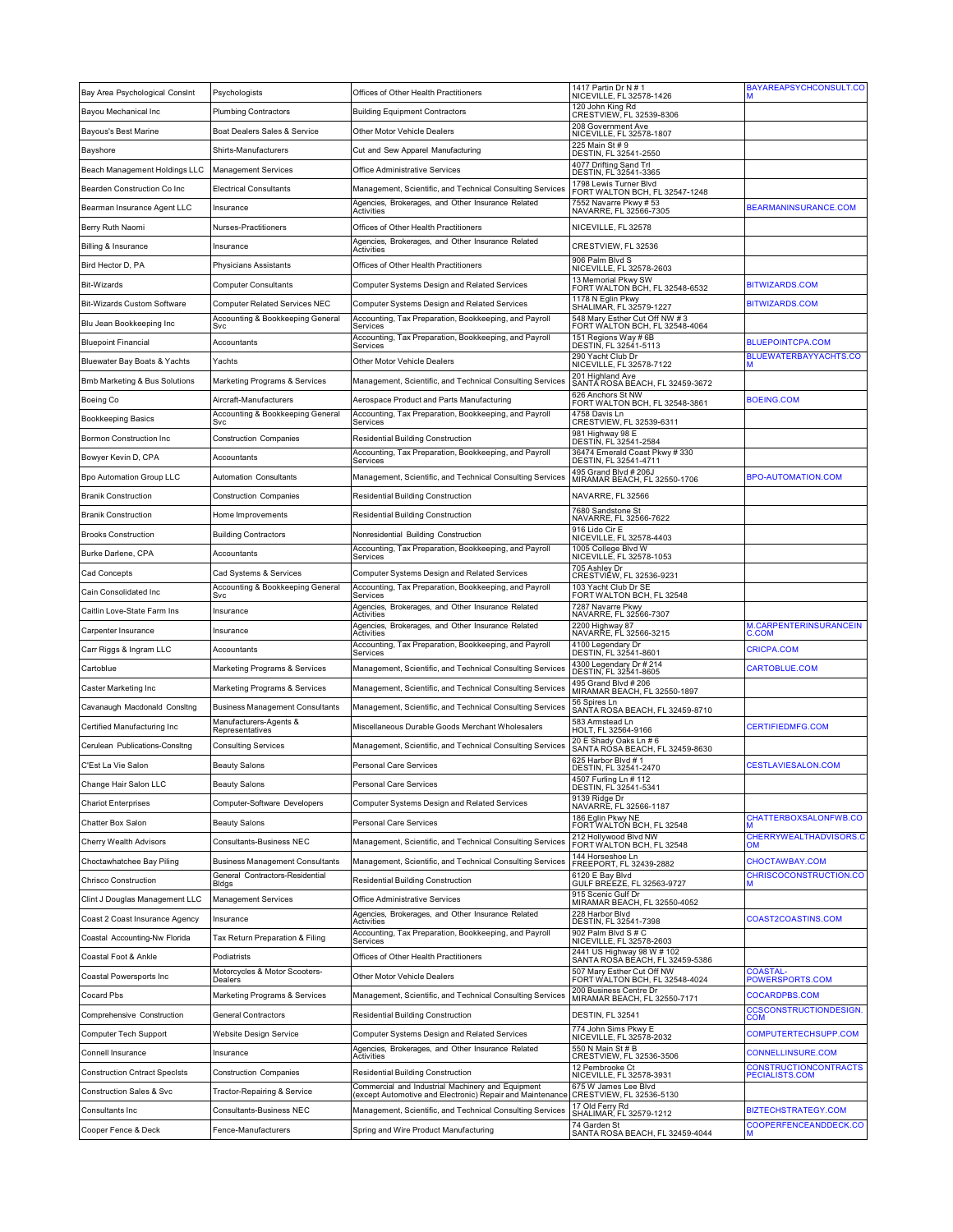| 120 John King Rd<br>Bayou Mechanical Inc<br><b>Plumbing Contractors</b><br><b>Building Equipment Contractors</b><br>CRESTVIEW, FL 32539-8306<br>208 Government Ave<br>Boat Dealers Sales & Service<br>Other Motor Vehicle Dealers<br><b>Bayous's Best Marine</b><br>NICEVILLE, FL 32578-1807<br>225 Main St # 9<br>Cut and Sew Apparel Manufacturing<br>Bayshore<br>Shirts-Manufacturers<br>DESTIN, FL 32541-2550<br>4077 Drifting Sand Trl<br>Beach Management Holdings LLC<br>Management Services<br>Office Administrative Services<br>DESTIN, FL 32541-3365<br>1798 Lewis Turner Blvd<br>Bearden Construction Co Inc<br>Electrical Consultants<br>Management, Scientific, and Technical Consulting Services<br>FORT WALTON BCH, FL 32547-1248<br>7552 Navarre Pkwy # 53<br>Agencies, Brokerages, and Other Insurance Related<br>BEARMANINSURANCE.COM<br>Bearman Insurance Agent LLC<br>Insurance<br>NAVARRE, FL 32566-7305<br>Activities<br>Nurses-Practitioners<br>Offices of Other Health Practitioners<br>NICEVILLE, FL 32578<br>Berry Ruth Naomi<br>Agencies, Brokerages, and Other Insurance Related<br>CRESTVIEW, FL 32536<br>Billing & Insurance<br>Insurance<br>Activities<br>906 Palm Blvd S<br>Bird Hector D, PA<br>Physicians Assistants<br>Offices of Other Health Practitioners<br>NICEVILLE, FL 32578-2603<br>13 Memorial Pkwy SW<br><b>BITWIZARDS.COM</b><br>Bit-Wizards<br>Computer Consultants<br>Computer Systems Design and Related Services<br>FORT WALTON BCH, FL 32548-6532<br>1178 N Eglin Pkwy<br><b>BITWIZARDS.COM</b><br>Bit-Wizards Custom Software<br>Computer Related Services NEC<br>Computer Systems Design and Related Services<br>SHALIMAR, FL 32579-1227<br>548 Mary Esther Cut Off NW #3<br>Accounting, Tax Preparation, Bookkeeping, and Payroll<br>Accounting & Bookkeeping General<br>Blu Jean Bookkeeping Inc<br>FORT WALTON BCH, FL 32548-4064<br>Svc<br>Services<br>151 Regions Way # 6B<br>Accounting, Tax Preparation, Bookkeeping, and Payroll<br><b>BLUEPOINTCPA.COM</b><br><b>Bluepoint Financial</b><br>Accountants<br>DESTIN, FL 32541-5113<br>Services<br>290 Yacht Club Dr<br>BLUEWATERBAYYACHTS.CO<br>Bluewater Bay Boats & Yachts<br>Yachts<br>Other Motor Vehicle Dealers<br>NICEVILLE, FL 32578-7122<br>201 Highland Ave<br>SANTA ROSA BEACH, FL 32459-3672<br>Bmb Marketing & Bus Solutions<br>Marketing Programs & Services<br>Management, Scientific, and Technical Consulting Services<br>626 Anchors St NW<br>BOEING.COM<br>Aerospace Product and Parts Manufacturing<br>Boeing Co<br>Aircraft-Manufacturers<br>FORT WALTON BCH, FL 32548-3861<br>Accounting & Bookkeeping General<br>Accounting, Tax Preparation, Bookkeeping, and Payroll<br>4758 Davis Ln<br><b>Bookkeeping Basics</b><br>CRESTVIEW, FL 32539-6311<br>Svc<br>Services<br>981 Highway 98 E<br>Bormon Construction Inc<br><b>Construction Companies</b><br>Residential Building Construction<br>DESTIN, FL 32541-2584<br>Accounting, Tax Preparation, Bookkeeping, and Payroll<br>36474 Emerald Coast Pkwy # 330<br>Bowyer Kevin D, CPA<br>Accountants<br>DESTIN, FL 32541-4711<br>Services<br>495 Grand Blvd # 206J<br>Bpo Automation Group LLC<br><b>BPO-AUTOMATION.COM</b><br>Automation Consultants<br>Management, Scientific, and Technical Consulting Services<br>MIRAMAR BEACH, FL 32550-1706<br>NAVARRE, FL 32566<br><b>Branik Construction</b><br><b>Construction Companies</b><br>Residential Building Construction<br>7680 Sandstone St<br><b>Branik Construction</b><br>Home Improvements<br>Residential Building Construction<br>NAVARRE, FL 32566-7622<br>916 Lido Cir E<br><b>Brooks Construction</b><br><b>Building Contractors</b><br>Nonresidential Building Construction<br>NICEVILLE, FL 32578-4403<br>1005 College Blvd W<br>Accounting, Tax Preparation, Bookkeeping, and Payroll<br>Burke Darlene, CPA<br>Accountants<br>NICEVILLE, FL 32578-1053<br>Services<br>705 Ashley Dr<br>Cad Concepts<br>Cad Systems & Services<br>Computer Systems Design and Related Services<br>CRESTVIÉW, FL 32536-9231<br>103 Yacht Club Dr SE<br>Accounting & Bookkeeping General<br>Accounting, Tax Preparation, Bookkeeping, and Payroll<br>Cain Consolidated Inc<br>FORT WALTON BCH, FL 32548<br>Svc<br>Services<br>Agencies, Brokerages, and Other Insurance Related<br>7287 Navarre Pkwy<br>Caitlin Love-State Farm Ins<br>Insurance<br>NAVARRE, FL 32566-7307<br>Activities<br>Agencies, Brokerages, and Other Insurance Related<br>2200 Highway 87<br>NAVARRE, FL 32566-3215<br>M.CARPENTERINSURANCEIN<br>Carpenter Insurance<br>Insurance<br>C.COM<br>Activities<br>Accounting, Tax Preparation, Bookkeeping, and Payroll<br>4100 Legendary Dr<br><b>CRICPA.COM</b><br>Carr Riggs & Ingram LLC<br>Accountants<br>DESTIN, FL 32541-8601<br>Services<br>4300 Legendary Dr # 214<br>CARTOBLUE.COM<br>Cartoblue<br>Marketing Programs & Services<br>Management, Scientific, and Technical Consulting Services<br>DESTIN, FL 32541-8605<br>495 Grand Blvd # 206<br>Caster Marketing Inc<br>Marketing Programs & Services<br>Management, Scientific, and Technical Consulting Services<br>MIRAMAR BEACH, FL 32550-1897<br>56 Spires Ln<br>Cavanaugh Macdonald Consltng<br><b>Business Management Consultants</b><br>Management, Scientific, and Technical Consulting Services<br>SANTA ROSA BEACH, FL 32459-8710<br>Manufacturers-Agents &<br>583 Armstead Ln<br><b>CERTIFIEDMFG.COM</b><br>Certified Manufacturing Inc<br>Miscellaneous Durable Goods Merchant Wholesalers<br>HOLT, FL 32564-9166<br>Representatives<br>20 E Shady Oaks Ln # 6<br>Cerulean Publications-Consltng<br><b>Consulting Services</b><br>Management, Scientific, and Technical Consulting Services<br>SANTA RÓSA BEACH, FL 32459-8630<br>625 Harbor Blvd # 1<br><b>CESTLAVIESALON.COM</b><br>C'Est La Vie Salon<br><b>Beauty Salons</b><br>Personal Care Services<br>DESTIN, FL 32541-2470<br>4507 Furling Ln # 112<br>Change Hair Salon LLC<br><b>Beauty Salons</b><br>Personal Care Services<br>DESTIN, FL 32541-5341<br>9139 Ridge Dr<br>Computer-Software Developers<br>Computer Systems Design and Related Services<br><b>Chariot Enterprises</b><br>NAVARRE, FL 32566-1187<br>186 Eglin Pkwy NE<br>CHATTERBOXSALONFWB.CO<br>Personal Care Services<br>Chatter Box Salon<br><b>Beauty Salons</b><br>FORT WALTON BCH, FL 32548<br>212 Hollywood Blvd NW<br>CHERRYWEALTHADVISORS.C<br>Consultants-Business NEC<br>Management, Scientific, and Technical Consulting Services<br>Cherry Wealth Advisors<br>FORT WALTON BCH, FL 32548<br>OM<br>144 Horseshoe Ln<br>Choctawhatchee Bay Piling<br><b>Business Management Consultants</b><br>Management, Scientific, and Technical Consulting Services<br>CHOCTAWBAY.COM<br>FREEPORT, FL 32439-2882<br>CHRISCOCONSTRUCTION.CO<br>General Contractors-Residential<br>6120 E Bay Blvd<br>GULF BREEZE, FL 32563-9727<br>Chrisco Construction<br>Residential Building Construction<br>Bidgs<br>915 Scenic Gulf Dr<br>Clint J Douglas Management LLC<br><b>Management Services</b><br>Office Administrative Services<br>MIRAMAR BEACH, FL 32550-4052<br>228 Harbor Blvd<br>Agencies, Brokerages, and Other Insurance Related<br>COAST2COASTINS.COM<br>Coast 2 Coast Insurance Agency<br>Insurance<br>DESTIN, FL 32541-7398<br>Activities<br>902 Palm Blvd S # C<br>Accounting, Tax Preparation, Bookkeeping, and Payroll<br>Coastal Accounting-Nw Florida<br>Tax Return Preparation & Filing<br>NICEVILLE, FL 32578-2603<br>Services<br>2441 US Highway 98 W # 102<br>Coastal Foot & Ankle<br>Podiatrists<br>Offices of Other Health Practitioners<br>SANTA ROŠA BĖACH, FL 32459-5386<br>507 Mary Esther Cut Off NW<br>Motorcycles & Motor Scooters-<br><b>COASTAL</b><br>Other Motor Vehicle Dealers<br>Coastal Powersports Inc<br>POWERSPORTS.COM<br>FORT WALTON BCH, FL 32548-4024<br>Dealers<br>200 Business Centre Dr<br>Cocard Pbs<br>COCARDPBS.COM<br>Marketing Programs & Services<br>Management, Scientific, and Technical Consulting Services<br>MIRAMAR BEACH, FL 32550-7171<br><b>CCSCONSTRUCTIONDESIGN.</b><br>Comprehensive Construction<br>Residential Building Construction<br>DESTIN, FL 32541<br>General Contractors<br><b>COM</b><br>774 John Sims Pkwy E<br>Website Design Service<br>Computer Systems Design and Related Services<br>COMPUTERTECHSUPP.COM<br>Computer Tech Support<br>NICEVILLE, FL 32578-2032<br>Agencies, Brokerages, and Other Insurance Related<br>550 N Main St # B<br>CONNELLINSURE.COM<br>Connell Insurance<br>Insurance<br>CRESTVIEW, FL 32536-3506<br>Activities<br>12 Pembrooke Ct<br>CONSTRUCTIONCONTRACTS<br>Residential Building Construction<br><b>Construction Cntract Specists</b><br><b>Construction Companies</b><br>NICEVILLE, FL 32578-3931<br>PECIALISTS.COM<br>675 W James Lee Blvd<br>Commercial and Industrial Machinery and Equipment<br>Construction Sales & Svc<br>Tractor-Repairing & Service<br>(except Automotive and Electronic) Repair and Maintenance<br>CRESTVIEW, FL 32536-5130<br>17 Old Ferry Rd<br>Management, Scientific, and Technical Consulting Services<br><b>BIZTECHSTRATEGY.COM</b><br>Consultants Inc<br>Consultants-Business NEC<br>SHALIMAR, FL 32579-1212<br>74 Garden St<br>COOPERFENCEANDDECK.CO<br>Cooper Fence & Deck<br>Spring and Wire Product Manufacturing<br>Fence-Manufacturers<br>SANTA ROSA BEACH, FL 32459-4044 | Bay Area Psychological Consint | Psychologists | Offices of Other Health Practitioners | 1417 Partin Dr N # 1<br>NICEVILLE, FL 32578-1426 | BAYAREAPSYCHCONSULT.CO |
|-----------------------------------------------------------------------------------------------------------------------------------------------------------------------------------------------------------------------------------------------------------------------------------------------------------------------------------------------------------------------------------------------------------------------------------------------------------------------------------------------------------------------------------------------------------------------------------------------------------------------------------------------------------------------------------------------------------------------------------------------------------------------------------------------------------------------------------------------------------------------------------------------------------------------------------------------------------------------------------------------------------------------------------------------------------------------------------------------------------------------------------------------------------------------------------------------------------------------------------------------------------------------------------------------------------------------------------------------------------------------------------------------------------------------------------------------------------------------------------------------------------------------------------------------------------------------------------------------------------------------------------------------------------------------------------------------------------------------------------------------------------------------------------------------------------------------------------------------------------------------------------------------------------------------------------------------------------------------------------------------------------------------------------------------------------------------------------------------------------------------------------------------------------------------------------------------------------------------------------------------------------------------------------------------------------------------------------------------------------------------------------------------------------------------------------------------------------------------------------------------------------------------------------------------------------------------------------------------------------------------------------------------------------------------------------------------------------------------------------------------------------------------------------------------------------------------------------------------------------------------------------------------------------------------------------------------------------------------------------------------------------------------------------------------------------------------------------------------------------------------------------------------------------------------------------------------------------------------------------------------------------------------------------------------------------------------------------------------------------------------------------------------------------------------------------------------------------------------------------------------------------------------------------------------------------------------------------------------------------------------------------------------------------------------------------------------------------------------------------------------------------------------------------------------------------------------------------------------------------------------------------------------------------------------------------------------------------------------------------------------------------------------------------------------------------------------------------------------------------------------------------------------------------------------------------------------------------------------------------------------------------------------------------------------------------------------------------------------------------------------------------------------------------------------------------------------------------------------------------------------------------------------------------------------------------------------------------------------------------------------------------------------------------------------------------------------------------------------------------------------------------------------------------------------------------------------------------------------------------------------------------------------------------------------------------------------------------------------------------------------------------------------------------------------------------------------------------------------------------------------------------------------------------------------------------------------------------------------------------------------------------------------------------------------------------------------------------------------------------------------------------------------------------------------------------------------------------------------------------------------------------------------------------------------------------------------------------------------------------------------------------------------------------------------------------------------------------------------------------------------------------------------------------------------------------------------------------------------------------------------------------------------------------------------------------------------------------------------------------------------------------------------------------------------------------------------------------------------------------------------------------------------------------------------------------------------------------------------------------------------------------------------------------------------------------------------------------------------------------------------------------------------------------------------------------------------------------------------------------------------------------------------------------------------------------------------------------------------------------------------------------------------------------------------------------------------------------------------------------------------------------------------------------------------------------------------------------------------------------------------------------------------------------------------------------------------------------------------------------------------------------------------------------------------------------------------------------------------------------------------------------------------------------------------------------------------------------------------------------------------------------------------------------------------------------------------------------------------------------------------------------------------------------------------------------------------------------------------------------------------------------------------------------------------------------------------------------------------------------------------------------------------------------------------------------------------------------------------------------------------------------------------------------------------------------------------------------------------------------------------------------------------------------------------------------------------------------------------------------------------------------------------------------------------------------------------------------------------------------------------------------------------------------------------------------------------------------------------------------------------------------------------------------------------------------------------------------------------------------------------------------------------------------------------------------------------------------------------------------------------------------------------------------------------------------------------------------------------------------------------------------------------------------------------------------------------------------------------------------------------------------------------------------------------------------------------------------------------------------------------------------------------------------------------------------------------------------------------------------------------------------------------------------------------------------------------------------------------------------------------------------------------------------------------------------------------------------------------------------------------------------------------------------------------------------------------------------------------------------------------------|--------------------------------|---------------|---------------------------------------|--------------------------------------------------|------------------------|
|                                                                                                                                                                                                                                                                                                                                                                                                                                                                                                                                                                                                                                                                                                                                                                                                                                                                                                                                                                                                                                                                                                                                                                                                                                                                                                                                                                                                                                                                                                                                                                                                                                                                                                                                                                                                                                                                                                                                                                                                                                                                                                                                                                                                                                                                                                                                                                                                                                                                                                                                                                                                                                                                                                                                                                                                                                                                                                                                                                                                                                                                                                                                                                                                                                                                                                                                                                                                                                                                                                                                                                                                                                                                                                                                                                                                                                                                                                                                                                                                                                                                                                                                                                                                                                                                                                                                                                                                                                                                                                                                                                                                                                                                                                                                                                                                                                                                                                                                                                                                                                                                                                                                                                                                                                                                                                                                                                                                                                                                                                                                                                                                                                                                                                                                                                                                                                                                                                                                                                                                                                                                                                                                                                                                                                                                                                                                                                                                                                                                                                                                                                                                                                                                                                                                                                                                                                                                                                                                                                                                                                                                                                                                                                                                                                                                                                                                                                                                                                                                                                                                                                                                                                                                                                                                                                                                                                                                                                                                                                                                                                                                                                                                                                                                                                                                                                                                                                                                                                                                                                                                                                                                                                                                                                                                                                                                                                                                                                                                                                                                                                                                                                                                                                                                                                                                                                                                                                             |                                |               |                                       |                                                  |                        |
|                                                                                                                                                                                                                                                                                                                                                                                                                                                                                                                                                                                                                                                                                                                                                                                                                                                                                                                                                                                                                                                                                                                                                                                                                                                                                                                                                                                                                                                                                                                                                                                                                                                                                                                                                                                                                                                                                                                                                                                                                                                                                                                                                                                                                                                                                                                                                                                                                                                                                                                                                                                                                                                                                                                                                                                                                                                                                                                                                                                                                                                                                                                                                                                                                                                                                                                                                                                                                                                                                                                                                                                                                                                                                                                                                                                                                                                                                                                                                                                                                                                                                                                                                                                                                                                                                                                                                                                                                                                                                                                                                                                                                                                                                                                                                                                                                                                                                                                                                                                                                                                                                                                                                                                                                                                                                                                                                                                                                                                                                                                                                                                                                                                                                                                                                                                                                                                                                                                                                                                                                                                                                                                                                                                                                                                                                                                                                                                                                                                                                                                                                                                                                                                                                                                                                                                                                                                                                                                                                                                                                                                                                                                                                                                                                                                                                                                                                                                                                                                                                                                                                                                                                                                                                                                                                                                                                                                                                                                                                                                                                                                                                                                                                                                                                                                                                                                                                                                                                                                                                                                                                                                                                                                                                                                                                                                                                                                                                                                                                                                                                                                                                                                                                                                                                                                                                                                                                                             |                                |               |                                       |                                                  |                        |
|                                                                                                                                                                                                                                                                                                                                                                                                                                                                                                                                                                                                                                                                                                                                                                                                                                                                                                                                                                                                                                                                                                                                                                                                                                                                                                                                                                                                                                                                                                                                                                                                                                                                                                                                                                                                                                                                                                                                                                                                                                                                                                                                                                                                                                                                                                                                                                                                                                                                                                                                                                                                                                                                                                                                                                                                                                                                                                                                                                                                                                                                                                                                                                                                                                                                                                                                                                                                                                                                                                                                                                                                                                                                                                                                                                                                                                                                                                                                                                                                                                                                                                                                                                                                                                                                                                                                                                                                                                                                                                                                                                                                                                                                                                                                                                                                                                                                                                                                                                                                                                                                                                                                                                                                                                                                                                                                                                                                                                                                                                                                                                                                                                                                                                                                                                                                                                                                                                                                                                                                                                                                                                                                                                                                                                                                                                                                                                                                                                                                                                                                                                                                                                                                                                                                                                                                                                                                                                                                                                                                                                                                                                                                                                                                                                                                                                                                                                                                                                                                                                                                                                                                                                                                                                                                                                                                                                                                                                                                                                                                                                                                                                                                                                                                                                                                                                                                                                                                                                                                                                                                                                                                                                                                                                                                                                                                                                                                                                                                                                                                                                                                                                                                                                                                                                                                                                                                                                             |                                |               |                                       |                                                  |                        |
|                                                                                                                                                                                                                                                                                                                                                                                                                                                                                                                                                                                                                                                                                                                                                                                                                                                                                                                                                                                                                                                                                                                                                                                                                                                                                                                                                                                                                                                                                                                                                                                                                                                                                                                                                                                                                                                                                                                                                                                                                                                                                                                                                                                                                                                                                                                                                                                                                                                                                                                                                                                                                                                                                                                                                                                                                                                                                                                                                                                                                                                                                                                                                                                                                                                                                                                                                                                                                                                                                                                                                                                                                                                                                                                                                                                                                                                                                                                                                                                                                                                                                                                                                                                                                                                                                                                                                                                                                                                                                                                                                                                                                                                                                                                                                                                                                                                                                                                                                                                                                                                                                                                                                                                                                                                                                                                                                                                                                                                                                                                                                                                                                                                                                                                                                                                                                                                                                                                                                                                                                                                                                                                                                                                                                                                                                                                                                                                                                                                                                                                                                                                                                                                                                                                                                                                                                                                                                                                                                                                                                                                                                                                                                                                                                                                                                                                                                                                                                                                                                                                                                                                                                                                                                                                                                                                                                                                                                                                                                                                                                                                                                                                                                                                                                                                                                                                                                                                                                                                                                                                                                                                                                                                                                                                                                                                                                                                                                                                                                                                                                                                                                                                                                                                                                                                                                                                                                                             |                                |               |                                       |                                                  |                        |
|                                                                                                                                                                                                                                                                                                                                                                                                                                                                                                                                                                                                                                                                                                                                                                                                                                                                                                                                                                                                                                                                                                                                                                                                                                                                                                                                                                                                                                                                                                                                                                                                                                                                                                                                                                                                                                                                                                                                                                                                                                                                                                                                                                                                                                                                                                                                                                                                                                                                                                                                                                                                                                                                                                                                                                                                                                                                                                                                                                                                                                                                                                                                                                                                                                                                                                                                                                                                                                                                                                                                                                                                                                                                                                                                                                                                                                                                                                                                                                                                                                                                                                                                                                                                                                                                                                                                                                                                                                                                                                                                                                                                                                                                                                                                                                                                                                                                                                                                                                                                                                                                                                                                                                                                                                                                                                                                                                                                                                                                                                                                                                                                                                                                                                                                                                                                                                                                                                                                                                                                                                                                                                                                                                                                                                                                                                                                                                                                                                                                                                                                                                                                                                                                                                                                                                                                                                                                                                                                                                                                                                                                                                                                                                                                                                                                                                                                                                                                                                                                                                                                                                                                                                                                                                                                                                                                                                                                                                                                                                                                                                                                                                                                                                                                                                                                                                                                                                                                                                                                                                                                                                                                                                                                                                                                                                                                                                                                                                                                                                                                                                                                                                                                                                                                                                                                                                                                                                             |                                |               |                                       |                                                  |                        |
|                                                                                                                                                                                                                                                                                                                                                                                                                                                                                                                                                                                                                                                                                                                                                                                                                                                                                                                                                                                                                                                                                                                                                                                                                                                                                                                                                                                                                                                                                                                                                                                                                                                                                                                                                                                                                                                                                                                                                                                                                                                                                                                                                                                                                                                                                                                                                                                                                                                                                                                                                                                                                                                                                                                                                                                                                                                                                                                                                                                                                                                                                                                                                                                                                                                                                                                                                                                                                                                                                                                                                                                                                                                                                                                                                                                                                                                                                                                                                                                                                                                                                                                                                                                                                                                                                                                                                                                                                                                                                                                                                                                                                                                                                                                                                                                                                                                                                                                                                                                                                                                                                                                                                                                                                                                                                                                                                                                                                                                                                                                                                                                                                                                                                                                                                                                                                                                                                                                                                                                                                                                                                                                                                                                                                                                                                                                                                                                                                                                                                                                                                                                                                                                                                                                                                                                                                                                                                                                                                                                                                                                                                                                                                                                                                                                                                                                                                                                                                                                                                                                                                                                                                                                                                                                                                                                                                                                                                                                                                                                                                                                                                                                                                                                                                                                                                                                                                                                                                                                                                                                                                                                                                                                                                                                                                                                                                                                                                                                                                                                                                                                                                                                                                                                                                                                                                                                                                                             |                                |               |                                       |                                                  |                        |
|                                                                                                                                                                                                                                                                                                                                                                                                                                                                                                                                                                                                                                                                                                                                                                                                                                                                                                                                                                                                                                                                                                                                                                                                                                                                                                                                                                                                                                                                                                                                                                                                                                                                                                                                                                                                                                                                                                                                                                                                                                                                                                                                                                                                                                                                                                                                                                                                                                                                                                                                                                                                                                                                                                                                                                                                                                                                                                                                                                                                                                                                                                                                                                                                                                                                                                                                                                                                                                                                                                                                                                                                                                                                                                                                                                                                                                                                                                                                                                                                                                                                                                                                                                                                                                                                                                                                                                                                                                                                                                                                                                                                                                                                                                                                                                                                                                                                                                                                                                                                                                                                                                                                                                                                                                                                                                                                                                                                                                                                                                                                                                                                                                                                                                                                                                                                                                                                                                                                                                                                                                                                                                                                                                                                                                                                                                                                                                                                                                                                                                                                                                                                                                                                                                                                                                                                                                                                                                                                                                                                                                                                                                                                                                                                                                                                                                                                                                                                                                                                                                                                                                                                                                                                                                                                                                                                                                                                                                                                                                                                                                                                                                                                                                                                                                                                                                                                                                                                                                                                                                                                                                                                                                                                                                                                                                                                                                                                                                                                                                                                                                                                                                                                                                                                                                                                                                                                                                             |                                |               |                                       |                                                  |                        |
|                                                                                                                                                                                                                                                                                                                                                                                                                                                                                                                                                                                                                                                                                                                                                                                                                                                                                                                                                                                                                                                                                                                                                                                                                                                                                                                                                                                                                                                                                                                                                                                                                                                                                                                                                                                                                                                                                                                                                                                                                                                                                                                                                                                                                                                                                                                                                                                                                                                                                                                                                                                                                                                                                                                                                                                                                                                                                                                                                                                                                                                                                                                                                                                                                                                                                                                                                                                                                                                                                                                                                                                                                                                                                                                                                                                                                                                                                                                                                                                                                                                                                                                                                                                                                                                                                                                                                                                                                                                                                                                                                                                                                                                                                                                                                                                                                                                                                                                                                                                                                                                                                                                                                                                                                                                                                                                                                                                                                                                                                                                                                                                                                                                                                                                                                                                                                                                                                                                                                                                                                                                                                                                                                                                                                                                                                                                                                                                                                                                                                                                                                                                                                                                                                                                                                                                                                                                                                                                                                                                                                                                                                                                                                                                                                                                                                                                                                                                                                                                                                                                                                                                                                                                                                                                                                                                                                                                                                                                                                                                                                                                                                                                                                                                                                                                                                                                                                                                                                                                                                                                                                                                                                                                                                                                                                                                                                                                                                                                                                                                                                                                                                                                                                                                                                                                                                                                                                                             |                                |               |                                       |                                                  |                        |
|                                                                                                                                                                                                                                                                                                                                                                                                                                                                                                                                                                                                                                                                                                                                                                                                                                                                                                                                                                                                                                                                                                                                                                                                                                                                                                                                                                                                                                                                                                                                                                                                                                                                                                                                                                                                                                                                                                                                                                                                                                                                                                                                                                                                                                                                                                                                                                                                                                                                                                                                                                                                                                                                                                                                                                                                                                                                                                                                                                                                                                                                                                                                                                                                                                                                                                                                                                                                                                                                                                                                                                                                                                                                                                                                                                                                                                                                                                                                                                                                                                                                                                                                                                                                                                                                                                                                                                                                                                                                                                                                                                                                                                                                                                                                                                                                                                                                                                                                                                                                                                                                                                                                                                                                                                                                                                                                                                                                                                                                                                                                                                                                                                                                                                                                                                                                                                                                                                                                                                                                                                                                                                                                                                                                                                                                                                                                                                                                                                                                                                                                                                                                                                                                                                                                                                                                                                                                                                                                                                                                                                                                                                                                                                                                                                                                                                                                                                                                                                                                                                                                                                                                                                                                                                                                                                                                                                                                                                                                                                                                                                                                                                                                                                                                                                                                                                                                                                                                                                                                                                                                                                                                                                                                                                                                                                                                                                                                                                                                                                                                                                                                                                                                                                                                                                                                                                                                                                             |                                |               |                                       |                                                  |                        |
|                                                                                                                                                                                                                                                                                                                                                                                                                                                                                                                                                                                                                                                                                                                                                                                                                                                                                                                                                                                                                                                                                                                                                                                                                                                                                                                                                                                                                                                                                                                                                                                                                                                                                                                                                                                                                                                                                                                                                                                                                                                                                                                                                                                                                                                                                                                                                                                                                                                                                                                                                                                                                                                                                                                                                                                                                                                                                                                                                                                                                                                                                                                                                                                                                                                                                                                                                                                                                                                                                                                                                                                                                                                                                                                                                                                                                                                                                                                                                                                                                                                                                                                                                                                                                                                                                                                                                                                                                                                                                                                                                                                                                                                                                                                                                                                                                                                                                                                                                                                                                                                                                                                                                                                                                                                                                                                                                                                                                                                                                                                                                                                                                                                                                                                                                                                                                                                                                                                                                                                                                                                                                                                                                                                                                                                                                                                                                                                                                                                                                                                                                                                                                                                                                                                                                                                                                                                                                                                                                                                                                                                                                                                                                                                                                                                                                                                                                                                                                                                                                                                                                                                                                                                                                                                                                                                                                                                                                                                                                                                                                                                                                                                                                                                                                                                                                                                                                                                                                                                                                                                                                                                                                                                                                                                                                                                                                                                                                                                                                                                                                                                                                                                                                                                                                                                                                                                                                                             |                                |               |                                       |                                                  |                        |
|                                                                                                                                                                                                                                                                                                                                                                                                                                                                                                                                                                                                                                                                                                                                                                                                                                                                                                                                                                                                                                                                                                                                                                                                                                                                                                                                                                                                                                                                                                                                                                                                                                                                                                                                                                                                                                                                                                                                                                                                                                                                                                                                                                                                                                                                                                                                                                                                                                                                                                                                                                                                                                                                                                                                                                                                                                                                                                                                                                                                                                                                                                                                                                                                                                                                                                                                                                                                                                                                                                                                                                                                                                                                                                                                                                                                                                                                                                                                                                                                                                                                                                                                                                                                                                                                                                                                                                                                                                                                                                                                                                                                                                                                                                                                                                                                                                                                                                                                                                                                                                                                                                                                                                                                                                                                                                                                                                                                                                                                                                                                                                                                                                                                                                                                                                                                                                                                                                                                                                                                                                                                                                                                                                                                                                                                                                                                                                                                                                                                                                                                                                                                                                                                                                                                                                                                                                                                                                                                                                                                                                                                                                                                                                                                                                                                                                                                                                                                                                                                                                                                                                                                                                                                                                                                                                                                                                                                                                                                                                                                                                                                                                                                                                                                                                                                                                                                                                                                                                                                                                                                                                                                                                                                                                                                                                                                                                                                                                                                                                                                                                                                                                                                                                                                                                                                                                                                                                             |                                |               |                                       |                                                  |                        |
|                                                                                                                                                                                                                                                                                                                                                                                                                                                                                                                                                                                                                                                                                                                                                                                                                                                                                                                                                                                                                                                                                                                                                                                                                                                                                                                                                                                                                                                                                                                                                                                                                                                                                                                                                                                                                                                                                                                                                                                                                                                                                                                                                                                                                                                                                                                                                                                                                                                                                                                                                                                                                                                                                                                                                                                                                                                                                                                                                                                                                                                                                                                                                                                                                                                                                                                                                                                                                                                                                                                                                                                                                                                                                                                                                                                                                                                                                                                                                                                                                                                                                                                                                                                                                                                                                                                                                                                                                                                                                                                                                                                                                                                                                                                                                                                                                                                                                                                                                                                                                                                                                                                                                                                                                                                                                                                                                                                                                                                                                                                                                                                                                                                                                                                                                                                                                                                                                                                                                                                                                                                                                                                                                                                                                                                                                                                                                                                                                                                                                                                                                                                                                                                                                                                                                                                                                                                                                                                                                                                                                                                                                                                                                                                                                                                                                                                                                                                                                                                                                                                                                                                                                                                                                                                                                                                                                                                                                                                                                                                                                                                                                                                                                                                                                                                                                                                                                                                                                                                                                                                                                                                                                                                                                                                                                                                                                                                                                                                                                                                                                                                                                                                                                                                                                                                                                                                                                                             |                                |               |                                       |                                                  |                        |
|                                                                                                                                                                                                                                                                                                                                                                                                                                                                                                                                                                                                                                                                                                                                                                                                                                                                                                                                                                                                                                                                                                                                                                                                                                                                                                                                                                                                                                                                                                                                                                                                                                                                                                                                                                                                                                                                                                                                                                                                                                                                                                                                                                                                                                                                                                                                                                                                                                                                                                                                                                                                                                                                                                                                                                                                                                                                                                                                                                                                                                                                                                                                                                                                                                                                                                                                                                                                                                                                                                                                                                                                                                                                                                                                                                                                                                                                                                                                                                                                                                                                                                                                                                                                                                                                                                                                                                                                                                                                                                                                                                                                                                                                                                                                                                                                                                                                                                                                                                                                                                                                                                                                                                                                                                                                                                                                                                                                                                                                                                                                                                                                                                                                                                                                                                                                                                                                                                                                                                                                                                                                                                                                                                                                                                                                                                                                                                                                                                                                                                                                                                                                                                                                                                                                                                                                                                                                                                                                                                                                                                                                                                                                                                                                                                                                                                                                                                                                                                                                                                                                                                                                                                                                                                                                                                                                                                                                                                                                                                                                                                                                                                                                                                                                                                                                                                                                                                                                                                                                                                                                                                                                                                                                                                                                                                                                                                                                                                                                                                                                                                                                                                                                                                                                                                                                                                                                                                             |                                |               |                                       |                                                  |                        |
|                                                                                                                                                                                                                                                                                                                                                                                                                                                                                                                                                                                                                                                                                                                                                                                                                                                                                                                                                                                                                                                                                                                                                                                                                                                                                                                                                                                                                                                                                                                                                                                                                                                                                                                                                                                                                                                                                                                                                                                                                                                                                                                                                                                                                                                                                                                                                                                                                                                                                                                                                                                                                                                                                                                                                                                                                                                                                                                                                                                                                                                                                                                                                                                                                                                                                                                                                                                                                                                                                                                                                                                                                                                                                                                                                                                                                                                                                                                                                                                                                                                                                                                                                                                                                                                                                                                                                                                                                                                                                                                                                                                                                                                                                                                                                                                                                                                                                                                                                                                                                                                                                                                                                                                                                                                                                                                                                                                                                                                                                                                                                                                                                                                                                                                                                                                                                                                                                                                                                                                                                                                                                                                                                                                                                                                                                                                                                                                                                                                                                                                                                                                                                                                                                                                                                                                                                                                                                                                                                                                                                                                                                                                                                                                                                                                                                                                                                                                                                                                                                                                                                                                                                                                                                                                                                                                                                                                                                                                                                                                                                                                                                                                                                                                                                                                                                                                                                                                                                                                                                                                                                                                                                                                                                                                                                                                                                                                                                                                                                                                                                                                                                                                                                                                                                                                                                                                                                                             |                                |               |                                       |                                                  |                        |
|                                                                                                                                                                                                                                                                                                                                                                                                                                                                                                                                                                                                                                                                                                                                                                                                                                                                                                                                                                                                                                                                                                                                                                                                                                                                                                                                                                                                                                                                                                                                                                                                                                                                                                                                                                                                                                                                                                                                                                                                                                                                                                                                                                                                                                                                                                                                                                                                                                                                                                                                                                                                                                                                                                                                                                                                                                                                                                                                                                                                                                                                                                                                                                                                                                                                                                                                                                                                                                                                                                                                                                                                                                                                                                                                                                                                                                                                                                                                                                                                                                                                                                                                                                                                                                                                                                                                                                                                                                                                                                                                                                                                                                                                                                                                                                                                                                                                                                                                                                                                                                                                                                                                                                                                                                                                                                                                                                                                                                                                                                                                                                                                                                                                                                                                                                                                                                                                                                                                                                                                                                                                                                                                                                                                                                                                                                                                                                                                                                                                                                                                                                                                                                                                                                                                                                                                                                                                                                                                                                                                                                                                                                                                                                                                                                                                                                                                                                                                                                                                                                                                                                                                                                                                                                                                                                                                                                                                                                                                                                                                                                                                                                                                                                                                                                                                                                                                                                                                                                                                                                                                                                                                                                                                                                                                                                                                                                                                                                                                                                                                                                                                                                                                                                                                                                                                                                                                                                             |                                |               |                                       |                                                  |                        |
|                                                                                                                                                                                                                                                                                                                                                                                                                                                                                                                                                                                                                                                                                                                                                                                                                                                                                                                                                                                                                                                                                                                                                                                                                                                                                                                                                                                                                                                                                                                                                                                                                                                                                                                                                                                                                                                                                                                                                                                                                                                                                                                                                                                                                                                                                                                                                                                                                                                                                                                                                                                                                                                                                                                                                                                                                                                                                                                                                                                                                                                                                                                                                                                                                                                                                                                                                                                                                                                                                                                                                                                                                                                                                                                                                                                                                                                                                                                                                                                                                                                                                                                                                                                                                                                                                                                                                                                                                                                                                                                                                                                                                                                                                                                                                                                                                                                                                                                                                                                                                                                                                                                                                                                                                                                                                                                                                                                                                                                                                                                                                                                                                                                                                                                                                                                                                                                                                                                                                                                                                                                                                                                                                                                                                                                                                                                                                                                                                                                                                                                                                                                                                                                                                                                                                                                                                                                                                                                                                                                                                                                                                                                                                                                                                                                                                                                                                                                                                                                                                                                                                                                                                                                                                                                                                                                                                                                                                                                                                                                                                                                                                                                                                                                                                                                                                                                                                                                                                                                                                                                                                                                                                                                                                                                                                                                                                                                                                                                                                                                                                                                                                                                                                                                                                                                                                                                                                                             |                                |               |                                       |                                                  |                        |
|                                                                                                                                                                                                                                                                                                                                                                                                                                                                                                                                                                                                                                                                                                                                                                                                                                                                                                                                                                                                                                                                                                                                                                                                                                                                                                                                                                                                                                                                                                                                                                                                                                                                                                                                                                                                                                                                                                                                                                                                                                                                                                                                                                                                                                                                                                                                                                                                                                                                                                                                                                                                                                                                                                                                                                                                                                                                                                                                                                                                                                                                                                                                                                                                                                                                                                                                                                                                                                                                                                                                                                                                                                                                                                                                                                                                                                                                                                                                                                                                                                                                                                                                                                                                                                                                                                                                                                                                                                                                                                                                                                                                                                                                                                                                                                                                                                                                                                                                                                                                                                                                                                                                                                                                                                                                                                                                                                                                                                                                                                                                                                                                                                                                                                                                                                                                                                                                                                                                                                                                                                                                                                                                                                                                                                                                                                                                                                                                                                                                                                                                                                                                                                                                                                                                                                                                                                                                                                                                                                                                                                                                                                                                                                                                                                                                                                                                                                                                                                                                                                                                                                                                                                                                                                                                                                                                                                                                                                                                                                                                                                                                                                                                                                                                                                                                                                                                                                                                                                                                                                                                                                                                                                                                                                                                                                                                                                                                                                                                                                                                                                                                                                                                                                                                                                                                                                                                                                             |                                |               |                                       |                                                  |                        |
|                                                                                                                                                                                                                                                                                                                                                                                                                                                                                                                                                                                                                                                                                                                                                                                                                                                                                                                                                                                                                                                                                                                                                                                                                                                                                                                                                                                                                                                                                                                                                                                                                                                                                                                                                                                                                                                                                                                                                                                                                                                                                                                                                                                                                                                                                                                                                                                                                                                                                                                                                                                                                                                                                                                                                                                                                                                                                                                                                                                                                                                                                                                                                                                                                                                                                                                                                                                                                                                                                                                                                                                                                                                                                                                                                                                                                                                                                                                                                                                                                                                                                                                                                                                                                                                                                                                                                                                                                                                                                                                                                                                                                                                                                                                                                                                                                                                                                                                                                                                                                                                                                                                                                                                                                                                                                                                                                                                                                                                                                                                                                                                                                                                                                                                                                                                                                                                                                                                                                                                                                                                                                                                                                                                                                                                                                                                                                                                                                                                                                                                                                                                                                                                                                                                                                                                                                                                                                                                                                                                                                                                                                                                                                                                                                                                                                                                                                                                                                                                                                                                                                                                                                                                                                                                                                                                                                                                                                                                                                                                                                                                                                                                                                                                                                                                                                                                                                                                                                                                                                                                                                                                                                                                                                                                                                                                                                                                                                                                                                                                                                                                                                                                                                                                                                                                                                                                                                                             |                                |               |                                       |                                                  |                        |
|                                                                                                                                                                                                                                                                                                                                                                                                                                                                                                                                                                                                                                                                                                                                                                                                                                                                                                                                                                                                                                                                                                                                                                                                                                                                                                                                                                                                                                                                                                                                                                                                                                                                                                                                                                                                                                                                                                                                                                                                                                                                                                                                                                                                                                                                                                                                                                                                                                                                                                                                                                                                                                                                                                                                                                                                                                                                                                                                                                                                                                                                                                                                                                                                                                                                                                                                                                                                                                                                                                                                                                                                                                                                                                                                                                                                                                                                                                                                                                                                                                                                                                                                                                                                                                                                                                                                                                                                                                                                                                                                                                                                                                                                                                                                                                                                                                                                                                                                                                                                                                                                                                                                                                                                                                                                                                                                                                                                                                                                                                                                                                                                                                                                                                                                                                                                                                                                                                                                                                                                                                                                                                                                                                                                                                                                                                                                                                                                                                                                                                                                                                                                                                                                                                                                                                                                                                                                                                                                                                                                                                                                                                                                                                                                                                                                                                                                                                                                                                                                                                                                                                                                                                                                                                                                                                                                                                                                                                                                                                                                                                                                                                                                                                                                                                                                                                                                                                                                                                                                                                                                                                                                                                                                                                                                                                                                                                                                                                                                                                                                                                                                                                                                                                                                                                                                                                                                                                             |                                |               |                                       |                                                  |                        |
|                                                                                                                                                                                                                                                                                                                                                                                                                                                                                                                                                                                                                                                                                                                                                                                                                                                                                                                                                                                                                                                                                                                                                                                                                                                                                                                                                                                                                                                                                                                                                                                                                                                                                                                                                                                                                                                                                                                                                                                                                                                                                                                                                                                                                                                                                                                                                                                                                                                                                                                                                                                                                                                                                                                                                                                                                                                                                                                                                                                                                                                                                                                                                                                                                                                                                                                                                                                                                                                                                                                                                                                                                                                                                                                                                                                                                                                                                                                                                                                                                                                                                                                                                                                                                                                                                                                                                                                                                                                                                                                                                                                                                                                                                                                                                                                                                                                                                                                                                                                                                                                                                                                                                                                                                                                                                                                                                                                                                                                                                                                                                                                                                                                                                                                                                                                                                                                                                                                                                                                                                                                                                                                                                                                                                                                                                                                                                                                                                                                                                                                                                                                                                                                                                                                                                                                                                                                                                                                                                                                                                                                                                                                                                                                                                                                                                                                                                                                                                                                                                                                                                                                                                                                                                                                                                                                                                                                                                                                                                                                                                                                                                                                                                                                                                                                                                                                                                                                                                                                                                                                                                                                                                                                                                                                                                                                                                                                                                                                                                                                                                                                                                                                                                                                                                                                                                                                                                                             |                                |               |                                       |                                                  |                        |
|                                                                                                                                                                                                                                                                                                                                                                                                                                                                                                                                                                                                                                                                                                                                                                                                                                                                                                                                                                                                                                                                                                                                                                                                                                                                                                                                                                                                                                                                                                                                                                                                                                                                                                                                                                                                                                                                                                                                                                                                                                                                                                                                                                                                                                                                                                                                                                                                                                                                                                                                                                                                                                                                                                                                                                                                                                                                                                                                                                                                                                                                                                                                                                                                                                                                                                                                                                                                                                                                                                                                                                                                                                                                                                                                                                                                                                                                                                                                                                                                                                                                                                                                                                                                                                                                                                                                                                                                                                                                                                                                                                                                                                                                                                                                                                                                                                                                                                                                                                                                                                                                                                                                                                                                                                                                                                                                                                                                                                                                                                                                                                                                                                                                                                                                                                                                                                                                                                                                                                                                                                                                                                                                                                                                                                                                                                                                                                                                                                                                                                                                                                                                                                                                                                                                                                                                                                                                                                                                                                                                                                                                                                                                                                                                                                                                                                                                                                                                                                                                                                                                                                                                                                                                                                                                                                                                                                                                                                                                                                                                                                                                                                                                                                                                                                                                                                                                                                                                                                                                                                                                                                                                                                                                                                                                                                                                                                                                                                                                                                                                                                                                                                                                                                                                                                                                                                                                                                             |                                |               |                                       |                                                  |                        |
|                                                                                                                                                                                                                                                                                                                                                                                                                                                                                                                                                                                                                                                                                                                                                                                                                                                                                                                                                                                                                                                                                                                                                                                                                                                                                                                                                                                                                                                                                                                                                                                                                                                                                                                                                                                                                                                                                                                                                                                                                                                                                                                                                                                                                                                                                                                                                                                                                                                                                                                                                                                                                                                                                                                                                                                                                                                                                                                                                                                                                                                                                                                                                                                                                                                                                                                                                                                                                                                                                                                                                                                                                                                                                                                                                                                                                                                                                                                                                                                                                                                                                                                                                                                                                                                                                                                                                                                                                                                                                                                                                                                                                                                                                                                                                                                                                                                                                                                                                                                                                                                                                                                                                                                                                                                                                                                                                                                                                                                                                                                                                                                                                                                                                                                                                                                                                                                                                                                                                                                                                                                                                                                                                                                                                                                                                                                                                                                                                                                                                                                                                                                                                                                                                                                                                                                                                                                                                                                                                                                                                                                                                                                                                                                                                                                                                                                                                                                                                                                                                                                                                                                                                                                                                                                                                                                                                                                                                                                                                                                                                                                                                                                                                                                                                                                                                                                                                                                                                                                                                                                                                                                                                                                                                                                                                                                                                                                                                                                                                                                                                                                                                                                                                                                                                                                                                                                                                                             |                                |               |                                       |                                                  |                        |
|                                                                                                                                                                                                                                                                                                                                                                                                                                                                                                                                                                                                                                                                                                                                                                                                                                                                                                                                                                                                                                                                                                                                                                                                                                                                                                                                                                                                                                                                                                                                                                                                                                                                                                                                                                                                                                                                                                                                                                                                                                                                                                                                                                                                                                                                                                                                                                                                                                                                                                                                                                                                                                                                                                                                                                                                                                                                                                                                                                                                                                                                                                                                                                                                                                                                                                                                                                                                                                                                                                                                                                                                                                                                                                                                                                                                                                                                                                                                                                                                                                                                                                                                                                                                                                                                                                                                                                                                                                                                                                                                                                                                                                                                                                                                                                                                                                                                                                                                                                                                                                                                                                                                                                                                                                                                                                                                                                                                                                                                                                                                                                                                                                                                                                                                                                                                                                                                                                                                                                                                                                                                                                                                                                                                                                                                                                                                                                                                                                                                                                                                                                                                                                                                                                                                                                                                                                                                                                                                                                                                                                                                                                                                                                                                                                                                                                                                                                                                                                                                                                                                                                                                                                                                                                                                                                                                                                                                                                                                                                                                                                                                                                                                                                                                                                                                                                                                                                                                                                                                                                                                                                                                                                                                                                                                                                                                                                                                                                                                                                                                                                                                                                                                                                                                                                                                                                                                                                             |                                |               |                                       |                                                  |                        |
|                                                                                                                                                                                                                                                                                                                                                                                                                                                                                                                                                                                                                                                                                                                                                                                                                                                                                                                                                                                                                                                                                                                                                                                                                                                                                                                                                                                                                                                                                                                                                                                                                                                                                                                                                                                                                                                                                                                                                                                                                                                                                                                                                                                                                                                                                                                                                                                                                                                                                                                                                                                                                                                                                                                                                                                                                                                                                                                                                                                                                                                                                                                                                                                                                                                                                                                                                                                                                                                                                                                                                                                                                                                                                                                                                                                                                                                                                                                                                                                                                                                                                                                                                                                                                                                                                                                                                                                                                                                                                                                                                                                                                                                                                                                                                                                                                                                                                                                                                                                                                                                                                                                                                                                                                                                                                                                                                                                                                                                                                                                                                                                                                                                                                                                                                                                                                                                                                                                                                                                                                                                                                                                                                                                                                                                                                                                                                                                                                                                                                                                                                                                                                                                                                                                                                                                                                                                                                                                                                                                                                                                                                                                                                                                                                                                                                                                                                                                                                                                                                                                                                                                                                                                                                                                                                                                                                                                                                                                                                                                                                                                                                                                                                                                                                                                                                                                                                                                                                                                                                                                                                                                                                                                                                                                                                                                                                                                                                                                                                                                                                                                                                                                                                                                                                                                                                                                                                                             |                                |               |                                       |                                                  |                        |
|                                                                                                                                                                                                                                                                                                                                                                                                                                                                                                                                                                                                                                                                                                                                                                                                                                                                                                                                                                                                                                                                                                                                                                                                                                                                                                                                                                                                                                                                                                                                                                                                                                                                                                                                                                                                                                                                                                                                                                                                                                                                                                                                                                                                                                                                                                                                                                                                                                                                                                                                                                                                                                                                                                                                                                                                                                                                                                                                                                                                                                                                                                                                                                                                                                                                                                                                                                                                                                                                                                                                                                                                                                                                                                                                                                                                                                                                                                                                                                                                                                                                                                                                                                                                                                                                                                                                                                                                                                                                                                                                                                                                                                                                                                                                                                                                                                                                                                                                                                                                                                                                                                                                                                                                                                                                                                                                                                                                                                                                                                                                                                                                                                                                                                                                                                                                                                                                                                                                                                                                                                                                                                                                                                                                                                                                                                                                                                                                                                                                                                                                                                                                                                                                                                                                                                                                                                                                                                                                                                                                                                                                                                                                                                                                                                                                                                                                                                                                                                                                                                                                                                                                                                                                                                                                                                                                                                                                                                                                                                                                                                                                                                                                                                                                                                                                                                                                                                                                                                                                                                                                                                                                                                                                                                                                                                                                                                                                                                                                                                                                                                                                                                                                                                                                                                                                                                                                                                             |                                |               |                                       |                                                  |                        |
|                                                                                                                                                                                                                                                                                                                                                                                                                                                                                                                                                                                                                                                                                                                                                                                                                                                                                                                                                                                                                                                                                                                                                                                                                                                                                                                                                                                                                                                                                                                                                                                                                                                                                                                                                                                                                                                                                                                                                                                                                                                                                                                                                                                                                                                                                                                                                                                                                                                                                                                                                                                                                                                                                                                                                                                                                                                                                                                                                                                                                                                                                                                                                                                                                                                                                                                                                                                                                                                                                                                                                                                                                                                                                                                                                                                                                                                                                                                                                                                                                                                                                                                                                                                                                                                                                                                                                                                                                                                                                                                                                                                                                                                                                                                                                                                                                                                                                                                                                                                                                                                                                                                                                                                                                                                                                                                                                                                                                                                                                                                                                                                                                                                                                                                                                                                                                                                                                                                                                                                                                                                                                                                                                                                                                                                                                                                                                                                                                                                                                                                                                                                                                                                                                                                                                                                                                                                                                                                                                                                                                                                                                                                                                                                                                                                                                                                                                                                                                                                                                                                                                                                                                                                                                                                                                                                                                                                                                                                                                                                                                                                                                                                                                                                                                                                                                                                                                                                                                                                                                                                                                                                                                                                                                                                                                                                                                                                                                                                                                                                                                                                                                                                                                                                                                                                                                                                                                                             |                                |               |                                       |                                                  |                        |
|                                                                                                                                                                                                                                                                                                                                                                                                                                                                                                                                                                                                                                                                                                                                                                                                                                                                                                                                                                                                                                                                                                                                                                                                                                                                                                                                                                                                                                                                                                                                                                                                                                                                                                                                                                                                                                                                                                                                                                                                                                                                                                                                                                                                                                                                                                                                                                                                                                                                                                                                                                                                                                                                                                                                                                                                                                                                                                                                                                                                                                                                                                                                                                                                                                                                                                                                                                                                                                                                                                                                                                                                                                                                                                                                                                                                                                                                                                                                                                                                                                                                                                                                                                                                                                                                                                                                                                                                                                                                                                                                                                                                                                                                                                                                                                                                                                                                                                                                                                                                                                                                                                                                                                                                                                                                                                                                                                                                                                                                                                                                                                                                                                                                                                                                                                                                                                                                                                                                                                                                                                                                                                                                                                                                                                                                                                                                                                                                                                                                                                                                                                                                                                                                                                                                                                                                                                                                                                                                                                                                                                                                                                                                                                                                                                                                                                                                                                                                                                                                                                                                                                                                                                                                                                                                                                                                                                                                                                                                                                                                                                                                                                                                                                                                                                                                                                                                                                                                                                                                                                                                                                                                                                                                                                                                                                                                                                                                                                                                                                                                                                                                                                                                                                                                                                                                                                                                                                             |                                |               |                                       |                                                  |                        |
|                                                                                                                                                                                                                                                                                                                                                                                                                                                                                                                                                                                                                                                                                                                                                                                                                                                                                                                                                                                                                                                                                                                                                                                                                                                                                                                                                                                                                                                                                                                                                                                                                                                                                                                                                                                                                                                                                                                                                                                                                                                                                                                                                                                                                                                                                                                                                                                                                                                                                                                                                                                                                                                                                                                                                                                                                                                                                                                                                                                                                                                                                                                                                                                                                                                                                                                                                                                                                                                                                                                                                                                                                                                                                                                                                                                                                                                                                                                                                                                                                                                                                                                                                                                                                                                                                                                                                                                                                                                                                                                                                                                                                                                                                                                                                                                                                                                                                                                                                                                                                                                                                                                                                                                                                                                                                                                                                                                                                                                                                                                                                                                                                                                                                                                                                                                                                                                                                                                                                                                                                                                                                                                                                                                                                                                                                                                                                                                                                                                                                                                                                                                                                                                                                                                                                                                                                                                                                                                                                                                                                                                                                                                                                                                                                                                                                                                                                                                                                                                                                                                                                                                                                                                                                                                                                                                                                                                                                                                                                                                                                                                                                                                                                                                                                                                                                                                                                                                                                                                                                                                                                                                                                                                                                                                                                                                                                                                                                                                                                                                                                                                                                                                                                                                                                                                                                                                                                                             |                                |               |                                       |                                                  |                        |
|                                                                                                                                                                                                                                                                                                                                                                                                                                                                                                                                                                                                                                                                                                                                                                                                                                                                                                                                                                                                                                                                                                                                                                                                                                                                                                                                                                                                                                                                                                                                                                                                                                                                                                                                                                                                                                                                                                                                                                                                                                                                                                                                                                                                                                                                                                                                                                                                                                                                                                                                                                                                                                                                                                                                                                                                                                                                                                                                                                                                                                                                                                                                                                                                                                                                                                                                                                                                                                                                                                                                                                                                                                                                                                                                                                                                                                                                                                                                                                                                                                                                                                                                                                                                                                                                                                                                                                                                                                                                                                                                                                                                                                                                                                                                                                                                                                                                                                                                                                                                                                                                                                                                                                                                                                                                                                                                                                                                                                                                                                                                                                                                                                                                                                                                                                                                                                                                                                                                                                                                                                                                                                                                                                                                                                                                                                                                                                                                                                                                                                                                                                                                                                                                                                                                                                                                                                                                                                                                                                                                                                                                                                                                                                                                                                                                                                                                                                                                                                                                                                                                                                                                                                                                                                                                                                                                                                                                                                                                                                                                                                                                                                                                                                                                                                                                                                                                                                                                                                                                                                                                                                                                                                                                                                                                                                                                                                                                                                                                                                                                                                                                                                                                                                                                                                                                                                                                                                             |                                |               |                                       |                                                  |                        |
|                                                                                                                                                                                                                                                                                                                                                                                                                                                                                                                                                                                                                                                                                                                                                                                                                                                                                                                                                                                                                                                                                                                                                                                                                                                                                                                                                                                                                                                                                                                                                                                                                                                                                                                                                                                                                                                                                                                                                                                                                                                                                                                                                                                                                                                                                                                                                                                                                                                                                                                                                                                                                                                                                                                                                                                                                                                                                                                                                                                                                                                                                                                                                                                                                                                                                                                                                                                                                                                                                                                                                                                                                                                                                                                                                                                                                                                                                                                                                                                                                                                                                                                                                                                                                                                                                                                                                                                                                                                                                                                                                                                                                                                                                                                                                                                                                                                                                                                                                                                                                                                                                                                                                                                                                                                                                                                                                                                                                                                                                                                                                                                                                                                                                                                                                                                                                                                                                                                                                                                                                                                                                                                                                                                                                                                                                                                                                                                                                                                                                                                                                                                                                                                                                                                                                                                                                                                                                                                                                                                                                                                                                                                                                                                                                                                                                                                                                                                                                                                                                                                                                                                                                                                                                                                                                                                                                                                                                                                                                                                                                                                                                                                                                                                                                                                                                                                                                                                                                                                                                                                                                                                                                                                                                                                                                                                                                                                                                                                                                                                                                                                                                                                                                                                                                                                                                                                                                                             |                                |               |                                       |                                                  |                        |
|                                                                                                                                                                                                                                                                                                                                                                                                                                                                                                                                                                                                                                                                                                                                                                                                                                                                                                                                                                                                                                                                                                                                                                                                                                                                                                                                                                                                                                                                                                                                                                                                                                                                                                                                                                                                                                                                                                                                                                                                                                                                                                                                                                                                                                                                                                                                                                                                                                                                                                                                                                                                                                                                                                                                                                                                                                                                                                                                                                                                                                                                                                                                                                                                                                                                                                                                                                                                                                                                                                                                                                                                                                                                                                                                                                                                                                                                                                                                                                                                                                                                                                                                                                                                                                                                                                                                                                                                                                                                                                                                                                                                                                                                                                                                                                                                                                                                                                                                                                                                                                                                                                                                                                                                                                                                                                                                                                                                                                                                                                                                                                                                                                                                                                                                                                                                                                                                                                                                                                                                                                                                                                                                                                                                                                                                                                                                                                                                                                                                                                                                                                                                                                                                                                                                                                                                                                                                                                                                                                                                                                                                                                                                                                                                                                                                                                                                                                                                                                                                                                                                                                                                                                                                                                                                                                                                                                                                                                                                                                                                                                                                                                                                                                                                                                                                                                                                                                                                                                                                                                                                                                                                                                                                                                                                                                                                                                                                                                                                                                                                                                                                                                                                                                                                                                                                                                                                                                             |                                |               |                                       |                                                  |                        |
|                                                                                                                                                                                                                                                                                                                                                                                                                                                                                                                                                                                                                                                                                                                                                                                                                                                                                                                                                                                                                                                                                                                                                                                                                                                                                                                                                                                                                                                                                                                                                                                                                                                                                                                                                                                                                                                                                                                                                                                                                                                                                                                                                                                                                                                                                                                                                                                                                                                                                                                                                                                                                                                                                                                                                                                                                                                                                                                                                                                                                                                                                                                                                                                                                                                                                                                                                                                                                                                                                                                                                                                                                                                                                                                                                                                                                                                                                                                                                                                                                                                                                                                                                                                                                                                                                                                                                                                                                                                                                                                                                                                                                                                                                                                                                                                                                                                                                                                                                                                                                                                                                                                                                                                                                                                                                                                                                                                                                                                                                                                                                                                                                                                                                                                                                                                                                                                                                                                                                                                                                                                                                                                                                                                                                                                                                                                                                                                                                                                                                                                                                                                                                                                                                                                                                                                                                                                                                                                                                                                                                                                                                                                                                                                                                                                                                                                                                                                                                                                                                                                                                                                                                                                                                                                                                                                                                                                                                                                                                                                                                                                                                                                                                                                                                                                                                                                                                                                                                                                                                                                                                                                                                                                                                                                                                                                                                                                                                                                                                                                                                                                                                                                                                                                                                                                                                                                                                                             |                                |               |                                       |                                                  |                        |
|                                                                                                                                                                                                                                                                                                                                                                                                                                                                                                                                                                                                                                                                                                                                                                                                                                                                                                                                                                                                                                                                                                                                                                                                                                                                                                                                                                                                                                                                                                                                                                                                                                                                                                                                                                                                                                                                                                                                                                                                                                                                                                                                                                                                                                                                                                                                                                                                                                                                                                                                                                                                                                                                                                                                                                                                                                                                                                                                                                                                                                                                                                                                                                                                                                                                                                                                                                                                                                                                                                                                                                                                                                                                                                                                                                                                                                                                                                                                                                                                                                                                                                                                                                                                                                                                                                                                                                                                                                                                                                                                                                                                                                                                                                                                                                                                                                                                                                                                                                                                                                                                                                                                                                                                                                                                                                                                                                                                                                                                                                                                                                                                                                                                                                                                                                                                                                                                                                                                                                                                                                                                                                                                                                                                                                                                                                                                                                                                                                                                                                                                                                                                                                                                                                                                                                                                                                                                                                                                                                                                                                                                                                                                                                                                                                                                                                                                                                                                                                                                                                                                                                                                                                                                                                                                                                                                                                                                                                                                                                                                                                                                                                                                                                                                                                                                                                                                                                                                                                                                                                                                                                                                                                                                                                                                                                                                                                                                                                                                                                                                                                                                                                                                                                                                                                                                                                                                                                             |                                |               |                                       |                                                  |                        |
|                                                                                                                                                                                                                                                                                                                                                                                                                                                                                                                                                                                                                                                                                                                                                                                                                                                                                                                                                                                                                                                                                                                                                                                                                                                                                                                                                                                                                                                                                                                                                                                                                                                                                                                                                                                                                                                                                                                                                                                                                                                                                                                                                                                                                                                                                                                                                                                                                                                                                                                                                                                                                                                                                                                                                                                                                                                                                                                                                                                                                                                                                                                                                                                                                                                                                                                                                                                                                                                                                                                                                                                                                                                                                                                                                                                                                                                                                                                                                                                                                                                                                                                                                                                                                                                                                                                                                                                                                                                                                                                                                                                                                                                                                                                                                                                                                                                                                                                                                                                                                                                                                                                                                                                                                                                                                                                                                                                                                                                                                                                                                                                                                                                                                                                                                                                                                                                                                                                                                                                                                                                                                                                                                                                                                                                                                                                                                                                                                                                                                                                                                                                                                                                                                                                                                                                                                                                                                                                                                                                                                                                                                                                                                                                                                                                                                                                                                                                                                                                                                                                                                                                                                                                                                                                                                                                                                                                                                                                                                                                                                                                                                                                                                                                                                                                                                                                                                                                                                                                                                                                                                                                                                                                                                                                                                                                                                                                                                                                                                                                                                                                                                                                                                                                                                                                                                                                                                                             |                                |               |                                       |                                                  |                        |
|                                                                                                                                                                                                                                                                                                                                                                                                                                                                                                                                                                                                                                                                                                                                                                                                                                                                                                                                                                                                                                                                                                                                                                                                                                                                                                                                                                                                                                                                                                                                                                                                                                                                                                                                                                                                                                                                                                                                                                                                                                                                                                                                                                                                                                                                                                                                                                                                                                                                                                                                                                                                                                                                                                                                                                                                                                                                                                                                                                                                                                                                                                                                                                                                                                                                                                                                                                                                                                                                                                                                                                                                                                                                                                                                                                                                                                                                                                                                                                                                                                                                                                                                                                                                                                                                                                                                                                                                                                                                                                                                                                                                                                                                                                                                                                                                                                                                                                                                                                                                                                                                                                                                                                                                                                                                                                                                                                                                                                                                                                                                                                                                                                                                                                                                                                                                                                                                                                                                                                                                                                                                                                                                                                                                                                                                                                                                                                                                                                                                                                                                                                                                                                                                                                                                                                                                                                                                                                                                                                                                                                                                                                                                                                                                                                                                                                                                                                                                                                                                                                                                                                                                                                                                                                                                                                                                                                                                                                                                                                                                                                                                                                                                                                                                                                                                                                                                                                                                                                                                                                                                                                                                                                                                                                                                                                                                                                                                                                                                                                                                                                                                                                                                                                                                                                                                                                                                                                             |                                |               |                                       |                                                  |                        |
|                                                                                                                                                                                                                                                                                                                                                                                                                                                                                                                                                                                                                                                                                                                                                                                                                                                                                                                                                                                                                                                                                                                                                                                                                                                                                                                                                                                                                                                                                                                                                                                                                                                                                                                                                                                                                                                                                                                                                                                                                                                                                                                                                                                                                                                                                                                                                                                                                                                                                                                                                                                                                                                                                                                                                                                                                                                                                                                                                                                                                                                                                                                                                                                                                                                                                                                                                                                                                                                                                                                                                                                                                                                                                                                                                                                                                                                                                                                                                                                                                                                                                                                                                                                                                                                                                                                                                                                                                                                                                                                                                                                                                                                                                                                                                                                                                                                                                                                                                                                                                                                                                                                                                                                                                                                                                                                                                                                                                                                                                                                                                                                                                                                                                                                                                                                                                                                                                                                                                                                                                                                                                                                                                                                                                                                                                                                                                                                                                                                                                                                                                                                                                                                                                                                                                                                                                                                                                                                                                                                                                                                                                                                                                                                                                                                                                                                                                                                                                                                                                                                                                                                                                                                                                                                                                                                                                                                                                                                                                                                                                                                                                                                                                                                                                                                                                                                                                                                                                                                                                                                                                                                                                                                                                                                                                                                                                                                                                                                                                                                                                                                                                                                                                                                                                                                                                                                                                                             |                                |               |                                       |                                                  |                        |
|                                                                                                                                                                                                                                                                                                                                                                                                                                                                                                                                                                                                                                                                                                                                                                                                                                                                                                                                                                                                                                                                                                                                                                                                                                                                                                                                                                                                                                                                                                                                                                                                                                                                                                                                                                                                                                                                                                                                                                                                                                                                                                                                                                                                                                                                                                                                                                                                                                                                                                                                                                                                                                                                                                                                                                                                                                                                                                                                                                                                                                                                                                                                                                                                                                                                                                                                                                                                                                                                                                                                                                                                                                                                                                                                                                                                                                                                                                                                                                                                                                                                                                                                                                                                                                                                                                                                                                                                                                                                                                                                                                                                                                                                                                                                                                                                                                                                                                                                                                                                                                                                                                                                                                                                                                                                                                                                                                                                                                                                                                                                                                                                                                                                                                                                                                                                                                                                                                                                                                                                                                                                                                                                                                                                                                                                                                                                                                                                                                                                                                                                                                                                                                                                                                                                                                                                                                                                                                                                                                                                                                                                                                                                                                                                                                                                                                                                                                                                                                                                                                                                                                                                                                                                                                                                                                                                                                                                                                                                                                                                                                                                                                                                                                                                                                                                                                                                                                                                                                                                                                                                                                                                                                                                                                                                                                                                                                                                                                                                                                                                                                                                                                                                                                                                                                                                                                                                                                             |                                |               |                                       |                                                  |                        |
|                                                                                                                                                                                                                                                                                                                                                                                                                                                                                                                                                                                                                                                                                                                                                                                                                                                                                                                                                                                                                                                                                                                                                                                                                                                                                                                                                                                                                                                                                                                                                                                                                                                                                                                                                                                                                                                                                                                                                                                                                                                                                                                                                                                                                                                                                                                                                                                                                                                                                                                                                                                                                                                                                                                                                                                                                                                                                                                                                                                                                                                                                                                                                                                                                                                                                                                                                                                                                                                                                                                                                                                                                                                                                                                                                                                                                                                                                                                                                                                                                                                                                                                                                                                                                                                                                                                                                                                                                                                                                                                                                                                                                                                                                                                                                                                                                                                                                                                                                                                                                                                                                                                                                                                                                                                                                                                                                                                                                                                                                                                                                                                                                                                                                                                                                                                                                                                                                                                                                                                                                                                                                                                                                                                                                                                                                                                                                                                                                                                                                                                                                                                                                                                                                                                                                                                                                                                                                                                                                                                                                                                                                                                                                                                                                                                                                                                                                                                                                                                                                                                                                                                                                                                                                                                                                                                                                                                                                                                                                                                                                                                                                                                                                                                                                                                                                                                                                                                                                                                                                                                                                                                                                                                                                                                                                                                                                                                                                                                                                                                                                                                                                                                                                                                                                                                                                                                                                                             |                                |               |                                       |                                                  |                        |
|                                                                                                                                                                                                                                                                                                                                                                                                                                                                                                                                                                                                                                                                                                                                                                                                                                                                                                                                                                                                                                                                                                                                                                                                                                                                                                                                                                                                                                                                                                                                                                                                                                                                                                                                                                                                                                                                                                                                                                                                                                                                                                                                                                                                                                                                                                                                                                                                                                                                                                                                                                                                                                                                                                                                                                                                                                                                                                                                                                                                                                                                                                                                                                                                                                                                                                                                                                                                                                                                                                                                                                                                                                                                                                                                                                                                                                                                                                                                                                                                                                                                                                                                                                                                                                                                                                                                                                                                                                                                                                                                                                                                                                                                                                                                                                                                                                                                                                                                                                                                                                                                                                                                                                                                                                                                                                                                                                                                                                                                                                                                                                                                                                                                                                                                                                                                                                                                                                                                                                                                                                                                                                                                                                                                                                                                                                                                                                                                                                                                                                                                                                                                                                                                                                                                                                                                                                                                                                                                                                                                                                                                                                                                                                                                                                                                                                                                                                                                                                                                                                                                                                                                                                                                                                                                                                                                                                                                                                                                                                                                                                                                                                                                                                                                                                                                                                                                                                                                                                                                                                                                                                                                                                                                                                                                                                                                                                                                                                                                                                                                                                                                                                                                                                                                                                                                                                                                                                             |                                |               |                                       |                                                  |                        |
|                                                                                                                                                                                                                                                                                                                                                                                                                                                                                                                                                                                                                                                                                                                                                                                                                                                                                                                                                                                                                                                                                                                                                                                                                                                                                                                                                                                                                                                                                                                                                                                                                                                                                                                                                                                                                                                                                                                                                                                                                                                                                                                                                                                                                                                                                                                                                                                                                                                                                                                                                                                                                                                                                                                                                                                                                                                                                                                                                                                                                                                                                                                                                                                                                                                                                                                                                                                                                                                                                                                                                                                                                                                                                                                                                                                                                                                                                                                                                                                                                                                                                                                                                                                                                                                                                                                                                                                                                                                                                                                                                                                                                                                                                                                                                                                                                                                                                                                                                                                                                                                                                                                                                                                                                                                                                                                                                                                                                                                                                                                                                                                                                                                                                                                                                                                                                                                                                                                                                                                                                                                                                                                                                                                                                                                                                                                                                                                                                                                                                                                                                                                                                                                                                                                                                                                                                                                                                                                                                                                                                                                                                                                                                                                                                                                                                                                                                                                                                                                                                                                                                                                                                                                                                                                                                                                                                                                                                                                                                                                                                                                                                                                                                                                                                                                                                                                                                                                                                                                                                                                                                                                                                                                                                                                                                                                                                                                                                                                                                                                                                                                                                                                                                                                                                                                                                                                                                                             |                                |               |                                       |                                                  |                        |
|                                                                                                                                                                                                                                                                                                                                                                                                                                                                                                                                                                                                                                                                                                                                                                                                                                                                                                                                                                                                                                                                                                                                                                                                                                                                                                                                                                                                                                                                                                                                                                                                                                                                                                                                                                                                                                                                                                                                                                                                                                                                                                                                                                                                                                                                                                                                                                                                                                                                                                                                                                                                                                                                                                                                                                                                                                                                                                                                                                                                                                                                                                                                                                                                                                                                                                                                                                                                                                                                                                                                                                                                                                                                                                                                                                                                                                                                                                                                                                                                                                                                                                                                                                                                                                                                                                                                                                                                                                                                                                                                                                                                                                                                                                                                                                                                                                                                                                                                                                                                                                                                                                                                                                                                                                                                                                                                                                                                                                                                                                                                                                                                                                                                                                                                                                                                                                                                                                                                                                                                                                                                                                                                                                                                                                                                                                                                                                                                                                                                                                                                                                                                                                                                                                                                                                                                                                                                                                                                                                                                                                                                                                                                                                                                                                                                                                                                                                                                                                                                                                                                                                                                                                                                                                                                                                                                                                                                                                                                                                                                                                                                                                                                                                                                                                                                                                                                                                                                                                                                                                                                                                                                                                                                                                                                                                                                                                                                                                                                                                                                                                                                                                                                                                                                                                                                                                                                                                             |                                |               |                                       |                                                  |                        |
|                                                                                                                                                                                                                                                                                                                                                                                                                                                                                                                                                                                                                                                                                                                                                                                                                                                                                                                                                                                                                                                                                                                                                                                                                                                                                                                                                                                                                                                                                                                                                                                                                                                                                                                                                                                                                                                                                                                                                                                                                                                                                                                                                                                                                                                                                                                                                                                                                                                                                                                                                                                                                                                                                                                                                                                                                                                                                                                                                                                                                                                                                                                                                                                                                                                                                                                                                                                                                                                                                                                                                                                                                                                                                                                                                                                                                                                                                                                                                                                                                                                                                                                                                                                                                                                                                                                                                                                                                                                                                                                                                                                                                                                                                                                                                                                                                                                                                                                                                                                                                                                                                                                                                                                                                                                                                                                                                                                                                                                                                                                                                                                                                                                                                                                                                                                                                                                                                                                                                                                                                                                                                                                                                                                                                                                                                                                                                                                                                                                                                                                                                                                                                                                                                                                                                                                                                                                                                                                                                                                                                                                                                                                                                                                                                                                                                                                                                                                                                                                                                                                                                                                                                                                                                                                                                                                                                                                                                                                                                                                                                                                                                                                                                                                                                                                                                                                                                                                                                                                                                                                                                                                                                                                                                                                                                                                                                                                                                                                                                                                                                                                                                                                                                                                                                                                                                                                                                                             |                                |               |                                       |                                                  |                        |
|                                                                                                                                                                                                                                                                                                                                                                                                                                                                                                                                                                                                                                                                                                                                                                                                                                                                                                                                                                                                                                                                                                                                                                                                                                                                                                                                                                                                                                                                                                                                                                                                                                                                                                                                                                                                                                                                                                                                                                                                                                                                                                                                                                                                                                                                                                                                                                                                                                                                                                                                                                                                                                                                                                                                                                                                                                                                                                                                                                                                                                                                                                                                                                                                                                                                                                                                                                                                                                                                                                                                                                                                                                                                                                                                                                                                                                                                                                                                                                                                                                                                                                                                                                                                                                                                                                                                                                                                                                                                                                                                                                                                                                                                                                                                                                                                                                                                                                                                                                                                                                                                                                                                                                                                                                                                                                                                                                                                                                                                                                                                                                                                                                                                                                                                                                                                                                                                                                                                                                                                                                                                                                                                                                                                                                                                                                                                                                                                                                                                                                                                                                                                                                                                                                                                                                                                                                                                                                                                                                                                                                                                                                                                                                                                                                                                                                                                                                                                                                                                                                                                                                                                                                                                                                                                                                                                                                                                                                                                                                                                                                                                                                                                                                                                                                                                                                                                                                                                                                                                                                                                                                                                                                                                                                                                                                                                                                                                                                                                                                                                                                                                                                                                                                                                                                                                                                                                                                             |                                |               |                                       |                                                  |                        |
|                                                                                                                                                                                                                                                                                                                                                                                                                                                                                                                                                                                                                                                                                                                                                                                                                                                                                                                                                                                                                                                                                                                                                                                                                                                                                                                                                                                                                                                                                                                                                                                                                                                                                                                                                                                                                                                                                                                                                                                                                                                                                                                                                                                                                                                                                                                                                                                                                                                                                                                                                                                                                                                                                                                                                                                                                                                                                                                                                                                                                                                                                                                                                                                                                                                                                                                                                                                                                                                                                                                                                                                                                                                                                                                                                                                                                                                                                                                                                                                                                                                                                                                                                                                                                                                                                                                                                                                                                                                                                                                                                                                                                                                                                                                                                                                                                                                                                                                                                                                                                                                                                                                                                                                                                                                                                                                                                                                                                                                                                                                                                                                                                                                                                                                                                                                                                                                                                                                                                                                                                                                                                                                                                                                                                                                                                                                                                                                                                                                                                                                                                                                                                                                                                                                                                                                                                                                                                                                                                                                                                                                                                                                                                                                                                                                                                                                                                                                                                                                                                                                                                                                                                                                                                                                                                                                                                                                                                                                                                                                                                                                                                                                                                                                                                                                                                                                                                                                                                                                                                                                                                                                                                                                                                                                                                                                                                                                                                                                                                                                                                                                                                                                                                                                                                                                                                                                                                                             |                                |               |                                       |                                                  |                        |
|                                                                                                                                                                                                                                                                                                                                                                                                                                                                                                                                                                                                                                                                                                                                                                                                                                                                                                                                                                                                                                                                                                                                                                                                                                                                                                                                                                                                                                                                                                                                                                                                                                                                                                                                                                                                                                                                                                                                                                                                                                                                                                                                                                                                                                                                                                                                                                                                                                                                                                                                                                                                                                                                                                                                                                                                                                                                                                                                                                                                                                                                                                                                                                                                                                                                                                                                                                                                                                                                                                                                                                                                                                                                                                                                                                                                                                                                                                                                                                                                                                                                                                                                                                                                                                                                                                                                                                                                                                                                                                                                                                                                                                                                                                                                                                                                                                                                                                                                                                                                                                                                                                                                                                                                                                                                                                                                                                                                                                                                                                                                                                                                                                                                                                                                                                                                                                                                                                                                                                                                                                                                                                                                                                                                                                                                                                                                                                                                                                                                                                                                                                                                                                                                                                                                                                                                                                                                                                                                                                                                                                                                                                                                                                                                                                                                                                                                                                                                                                                                                                                                                                                                                                                                                                                                                                                                                                                                                                                                                                                                                                                                                                                                                                                                                                                                                                                                                                                                                                                                                                                                                                                                                                                                                                                                                                                                                                                                                                                                                                                                                                                                                                                                                                                                                                                                                                                                                                             |                                |               |                                       |                                                  |                        |
|                                                                                                                                                                                                                                                                                                                                                                                                                                                                                                                                                                                                                                                                                                                                                                                                                                                                                                                                                                                                                                                                                                                                                                                                                                                                                                                                                                                                                                                                                                                                                                                                                                                                                                                                                                                                                                                                                                                                                                                                                                                                                                                                                                                                                                                                                                                                                                                                                                                                                                                                                                                                                                                                                                                                                                                                                                                                                                                                                                                                                                                                                                                                                                                                                                                                                                                                                                                                                                                                                                                                                                                                                                                                                                                                                                                                                                                                                                                                                                                                                                                                                                                                                                                                                                                                                                                                                                                                                                                                                                                                                                                                                                                                                                                                                                                                                                                                                                                                                                                                                                                                                                                                                                                                                                                                                                                                                                                                                                                                                                                                                                                                                                                                                                                                                                                                                                                                                                                                                                                                                                                                                                                                                                                                                                                                                                                                                                                                                                                                                                                                                                                                                                                                                                                                                                                                                                                                                                                                                                                                                                                                                                                                                                                                                                                                                                                                                                                                                                                                                                                                                                                                                                                                                                                                                                                                                                                                                                                                                                                                                                                                                                                                                                                                                                                                                                                                                                                                                                                                                                                                                                                                                                                                                                                                                                                                                                                                                                                                                                                                                                                                                                                                                                                                                                                                                                                                                                             |                                |               |                                       |                                                  |                        |
|                                                                                                                                                                                                                                                                                                                                                                                                                                                                                                                                                                                                                                                                                                                                                                                                                                                                                                                                                                                                                                                                                                                                                                                                                                                                                                                                                                                                                                                                                                                                                                                                                                                                                                                                                                                                                                                                                                                                                                                                                                                                                                                                                                                                                                                                                                                                                                                                                                                                                                                                                                                                                                                                                                                                                                                                                                                                                                                                                                                                                                                                                                                                                                                                                                                                                                                                                                                                                                                                                                                                                                                                                                                                                                                                                                                                                                                                                                                                                                                                                                                                                                                                                                                                                                                                                                                                                                                                                                                                                                                                                                                                                                                                                                                                                                                                                                                                                                                                                                                                                                                                                                                                                                                                                                                                                                                                                                                                                                                                                                                                                                                                                                                                                                                                                                                                                                                                                                                                                                                                                                                                                                                                                                                                                                                                                                                                                                                                                                                                                                                                                                                                                                                                                                                                                                                                                                                                                                                                                                                                                                                                                                                                                                                                                                                                                                                                                                                                                                                                                                                                                                                                                                                                                                                                                                                                                                                                                                                                                                                                                                                                                                                                                                                                                                                                                                                                                                                                                                                                                                                                                                                                                                                                                                                                                                                                                                                                                                                                                                                                                                                                                                                                                                                                                                                                                                                                                                             |                                |               |                                       |                                                  |                        |
|                                                                                                                                                                                                                                                                                                                                                                                                                                                                                                                                                                                                                                                                                                                                                                                                                                                                                                                                                                                                                                                                                                                                                                                                                                                                                                                                                                                                                                                                                                                                                                                                                                                                                                                                                                                                                                                                                                                                                                                                                                                                                                                                                                                                                                                                                                                                                                                                                                                                                                                                                                                                                                                                                                                                                                                                                                                                                                                                                                                                                                                                                                                                                                                                                                                                                                                                                                                                                                                                                                                                                                                                                                                                                                                                                                                                                                                                                                                                                                                                                                                                                                                                                                                                                                                                                                                                                                                                                                                                                                                                                                                                                                                                                                                                                                                                                                                                                                                                                                                                                                                                                                                                                                                                                                                                                                                                                                                                                                                                                                                                                                                                                                                                                                                                                                                                                                                                                                                                                                                                                                                                                                                                                                                                                                                                                                                                                                                                                                                                                                                                                                                                                                                                                                                                                                                                                                                                                                                                                                                                                                                                                                                                                                                                                                                                                                                                                                                                                                                                                                                                                                                                                                                                                                                                                                                                                                                                                                                                                                                                                                                                                                                                                                                                                                                                                                                                                                                                                                                                                                                                                                                                                                                                                                                                                                                                                                                                                                                                                                                                                                                                                                                                                                                                                                                                                                                                                                             |                                |               |                                       |                                                  |                        |
|                                                                                                                                                                                                                                                                                                                                                                                                                                                                                                                                                                                                                                                                                                                                                                                                                                                                                                                                                                                                                                                                                                                                                                                                                                                                                                                                                                                                                                                                                                                                                                                                                                                                                                                                                                                                                                                                                                                                                                                                                                                                                                                                                                                                                                                                                                                                                                                                                                                                                                                                                                                                                                                                                                                                                                                                                                                                                                                                                                                                                                                                                                                                                                                                                                                                                                                                                                                                                                                                                                                                                                                                                                                                                                                                                                                                                                                                                                                                                                                                                                                                                                                                                                                                                                                                                                                                                                                                                                                                                                                                                                                                                                                                                                                                                                                                                                                                                                                                                                                                                                                                                                                                                                                                                                                                                                                                                                                                                                                                                                                                                                                                                                                                                                                                                                                                                                                                                                                                                                                                                                                                                                                                                                                                                                                                                                                                                                                                                                                                                                                                                                                                                                                                                                                                                                                                                                                                                                                                                                                                                                                                                                                                                                                                                                                                                                                                                                                                                                                                                                                                                                                                                                                                                                                                                                                                                                                                                                                                                                                                                                                                                                                                                                                                                                                                                                                                                                                                                                                                                                                                                                                                                                                                                                                                                                                                                                                                                                                                                                                                                                                                                                                                                                                                                                                                                                                                                                             |                                |               |                                       |                                                  |                        |
|                                                                                                                                                                                                                                                                                                                                                                                                                                                                                                                                                                                                                                                                                                                                                                                                                                                                                                                                                                                                                                                                                                                                                                                                                                                                                                                                                                                                                                                                                                                                                                                                                                                                                                                                                                                                                                                                                                                                                                                                                                                                                                                                                                                                                                                                                                                                                                                                                                                                                                                                                                                                                                                                                                                                                                                                                                                                                                                                                                                                                                                                                                                                                                                                                                                                                                                                                                                                                                                                                                                                                                                                                                                                                                                                                                                                                                                                                                                                                                                                                                                                                                                                                                                                                                                                                                                                                                                                                                                                                                                                                                                                                                                                                                                                                                                                                                                                                                                                                                                                                                                                                                                                                                                                                                                                                                                                                                                                                                                                                                                                                                                                                                                                                                                                                                                                                                                                                                                                                                                                                                                                                                                                                                                                                                                                                                                                                                                                                                                                                                                                                                                                                                                                                                                                                                                                                                                                                                                                                                                                                                                                                                                                                                                                                                                                                                                                                                                                                                                                                                                                                                                                                                                                                                                                                                                                                                                                                                                                                                                                                                                                                                                                                                                                                                                                                                                                                                                                                                                                                                                                                                                                                                                                                                                                                                                                                                                                                                                                                                                                                                                                                                                                                                                                                                                                                                                                                                             |                                |               |                                       |                                                  |                        |
|                                                                                                                                                                                                                                                                                                                                                                                                                                                                                                                                                                                                                                                                                                                                                                                                                                                                                                                                                                                                                                                                                                                                                                                                                                                                                                                                                                                                                                                                                                                                                                                                                                                                                                                                                                                                                                                                                                                                                                                                                                                                                                                                                                                                                                                                                                                                                                                                                                                                                                                                                                                                                                                                                                                                                                                                                                                                                                                                                                                                                                                                                                                                                                                                                                                                                                                                                                                                                                                                                                                                                                                                                                                                                                                                                                                                                                                                                                                                                                                                                                                                                                                                                                                                                                                                                                                                                                                                                                                                                                                                                                                                                                                                                                                                                                                                                                                                                                                                                                                                                                                                                                                                                                                                                                                                                                                                                                                                                                                                                                                                                                                                                                                                                                                                                                                                                                                                                                                                                                                                                                                                                                                                                                                                                                                                                                                                                                                                                                                                                                                                                                                                                                                                                                                                                                                                                                                                                                                                                                                                                                                                                                                                                                                                                                                                                                                                                                                                                                                                                                                                                                                                                                                                                                                                                                                                                                                                                                                                                                                                                                                                                                                                                                                                                                                                                                                                                                                                                                                                                                                                                                                                                                                                                                                                                                                                                                                                                                                                                                                                                                                                                                                                                                                                                                                                                                                                                                             |                                |               |                                       |                                                  |                        |
|                                                                                                                                                                                                                                                                                                                                                                                                                                                                                                                                                                                                                                                                                                                                                                                                                                                                                                                                                                                                                                                                                                                                                                                                                                                                                                                                                                                                                                                                                                                                                                                                                                                                                                                                                                                                                                                                                                                                                                                                                                                                                                                                                                                                                                                                                                                                                                                                                                                                                                                                                                                                                                                                                                                                                                                                                                                                                                                                                                                                                                                                                                                                                                                                                                                                                                                                                                                                                                                                                                                                                                                                                                                                                                                                                                                                                                                                                                                                                                                                                                                                                                                                                                                                                                                                                                                                                                                                                                                                                                                                                                                                                                                                                                                                                                                                                                                                                                                                                                                                                                                                                                                                                                                                                                                                                                                                                                                                                                                                                                                                                                                                                                                                                                                                                                                                                                                                                                                                                                                                                                                                                                                                                                                                                                                                                                                                                                                                                                                                                                                                                                                                                                                                                                                                                                                                                                                                                                                                                                                                                                                                                                                                                                                                                                                                                                                                                                                                                                                                                                                                                                                                                                                                                                                                                                                                                                                                                                                                                                                                                                                                                                                                                                                                                                                                                                                                                                                                                                                                                                                                                                                                                                                                                                                                                                                                                                                                                                                                                                                                                                                                                                                                                                                                                                                                                                                                                                             |                                |               |                                       |                                                  |                        |
|                                                                                                                                                                                                                                                                                                                                                                                                                                                                                                                                                                                                                                                                                                                                                                                                                                                                                                                                                                                                                                                                                                                                                                                                                                                                                                                                                                                                                                                                                                                                                                                                                                                                                                                                                                                                                                                                                                                                                                                                                                                                                                                                                                                                                                                                                                                                                                                                                                                                                                                                                                                                                                                                                                                                                                                                                                                                                                                                                                                                                                                                                                                                                                                                                                                                                                                                                                                                                                                                                                                                                                                                                                                                                                                                                                                                                                                                                                                                                                                                                                                                                                                                                                                                                                                                                                                                                                                                                                                                                                                                                                                                                                                                                                                                                                                                                                                                                                                                                                                                                                                                                                                                                                                                                                                                                                                                                                                                                                                                                                                                                                                                                                                                                                                                                                                                                                                                                                                                                                                                                                                                                                                                                                                                                                                                                                                                                                                                                                                                                                                                                                                                                                                                                                                                                                                                                                                                                                                                                                                                                                                                                                                                                                                                                                                                                                                                                                                                                                                                                                                                                                                                                                                                                                                                                                                                                                                                                                                                                                                                                                                                                                                                                                                                                                                                                                                                                                                                                                                                                                                                                                                                                                                                                                                                                                                                                                                                                                                                                                                                                                                                                                                                                                                                                                                                                                                                                                             |                                |               |                                       |                                                  |                        |
|                                                                                                                                                                                                                                                                                                                                                                                                                                                                                                                                                                                                                                                                                                                                                                                                                                                                                                                                                                                                                                                                                                                                                                                                                                                                                                                                                                                                                                                                                                                                                                                                                                                                                                                                                                                                                                                                                                                                                                                                                                                                                                                                                                                                                                                                                                                                                                                                                                                                                                                                                                                                                                                                                                                                                                                                                                                                                                                                                                                                                                                                                                                                                                                                                                                                                                                                                                                                                                                                                                                                                                                                                                                                                                                                                                                                                                                                                                                                                                                                                                                                                                                                                                                                                                                                                                                                                                                                                                                                                                                                                                                                                                                                                                                                                                                                                                                                                                                                                                                                                                                                                                                                                                                                                                                                                                                                                                                                                                                                                                                                                                                                                                                                                                                                                                                                                                                                                                                                                                                                                                                                                                                                                                                                                                                                                                                                                                                                                                                                                                                                                                                                                                                                                                                                                                                                                                                                                                                                                                                                                                                                                                                                                                                                                                                                                                                                                                                                                                                                                                                                                                                                                                                                                                                                                                                                                                                                                                                                                                                                                                                                                                                                                                                                                                                                                                                                                                                                                                                                                                                                                                                                                                                                                                                                                                                                                                                                                                                                                                                                                                                                                                                                                                                                                                                                                                                                                                             |                                |               |                                       |                                                  |                        |
|                                                                                                                                                                                                                                                                                                                                                                                                                                                                                                                                                                                                                                                                                                                                                                                                                                                                                                                                                                                                                                                                                                                                                                                                                                                                                                                                                                                                                                                                                                                                                                                                                                                                                                                                                                                                                                                                                                                                                                                                                                                                                                                                                                                                                                                                                                                                                                                                                                                                                                                                                                                                                                                                                                                                                                                                                                                                                                                                                                                                                                                                                                                                                                                                                                                                                                                                                                                                                                                                                                                                                                                                                                                                                                                                                                                                                                                                                                                                                                                                                                                                                                                                                                                                                                                                                                                                                                                                                                                                                                                                                                                                                                                                                                                                                                                                                                                                                                                                                                                                                                                                                                                                                                                                                                                                                                                                                                                                                                                                                                                                                                                                                                                                                                                                                                                                                                                                                                                                                                                                                                                                                                                                                                                                                                                                                                                                                                                                                                                                                                                                                                                                                                                                                                                                                                                                                                                                                                                                                                                                                                                                                                                                                                                                                                                                                                                                                                                                                                                                                                                                                                                                                                                                                                                                                                                                                                                                                                                                                                                                                                                                                                                                                                                                                                                                                                                                                                                                                                                                                                                                                                                                                                                                                                                                                                                                                                                                                                                                                                                                                                                                                                                                                                                                                                                                                                                                                                             |                                |               |                                       |                                                  |                        |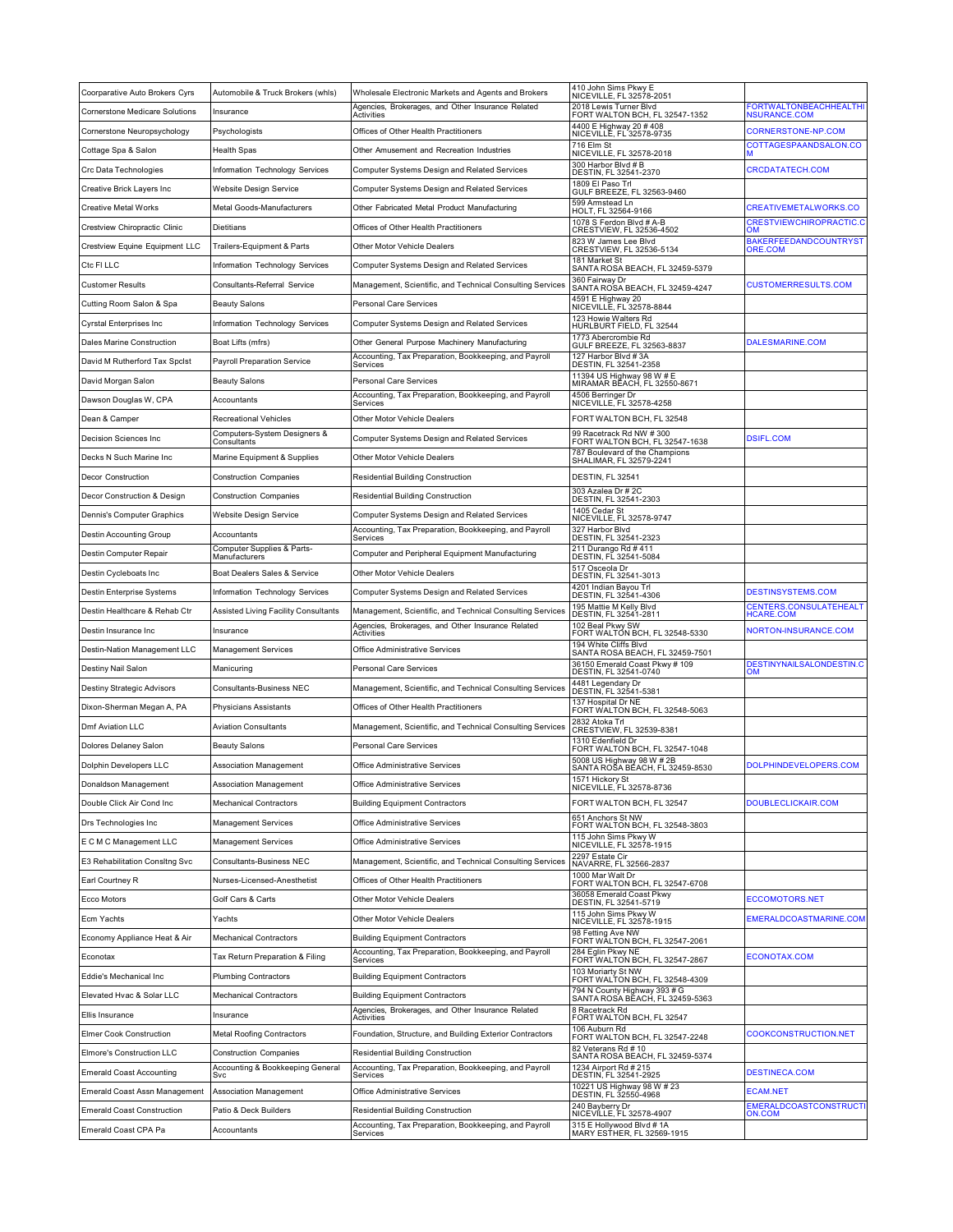| Coorparative Auto Brokers Cyrs                       | Automobile & Truck Brokers (whls)                 | Wholesale Electronic Markets and Agents and Brokers                                                            | 410 John Sims Pkwy E<br>NICEVILLE, FL 32578-2051                                  |                                                      |
|------------------------------------------------------|---------------------------------------------------|----------------------------------------------------------------------------------------------------------------|-----------------------------------------------------------------------------------|------------------------------------------------------|
| <b>Cornerstone Medicare Solutions</b>                | Insurance                                         | Agencies, Brokerages, and Other Insurance Related<br>Activities                                                | 2018 Lewis Turner Blvd<br>FORT WALTON BCH, FL 32547-1352                          | <b>FORTWALTONBEACHHEALTHI</b><br><b>NSURANCE.COM</b> |
| Cornerstone Neuropsychology                          | Psychologists                                     | Offices of Other Health Practitioners                                                                          | 4400 E Highway 20 # 408<br>NICEVILLE, FL 32578-9735                               | CORNERSTONE-NP.COM                                   |
| Cottage Spa & Salon                                  | Health Spas                                       | Other Amusement and Recreation Industries                                                                      | 716 Elm St<br>NICEVILLE, FL 32578-2018                                            | COTTAGESPAANDSALON.CO                                |
| Crc Data Technologies                                | Information Technology Services                   | Computer Systems Design and Related Services                                                                   | 300 Harbor Blvd # B<br>DESTIN, FL 32541-2370                                      | CRCDATATECH.COM                                      |
| Creative Brick Layers Inc                            | Website Design Service                            | Computer Systems Design and Related Services                                                                   | 1809 El Paso Trl<br>GULF BREEZE, FL 32563-9460                                    |                                                      |
| Creative Metal Works                                 | Metal Goods-Manufacturers                         | Other Fabricated Metal Product Manufacturing                                                                   | 599 Armstead Ln<br>HOLT, FL 32564-9166                                            | CREATIVEMETALWORKS.CO                                |
| Crestview Chiropractic Clinic                        | Dietitians                                        | Offices of Other Health Practitioners                                                                          | 1078 S Ferdon Blvd # A-B<br>CRESTVIEW, FL 32536-4502                              | <b>CRESTVIEWCHIROPRACTIC.C</b><br>ON                 |
| Crestview Equine Equipment LLC                       | Trailers-Equipment & Parts                        | Other Motor Vehicle Dealers                                                                                    | 823 W James Lee Blvd<br>CRESTVIEW, FL 32536-5134                                  | <b>BAKERFEEDANDCOUNTRYST</b><br>ORE.COM              |
| Ctc FI LLC                                           | Information Technology Services                   | Computer Systems Design and Related Services                                                                   | 181 Market St<br>SANTA ROSA BEACH, FL 32459-5379                                  |                                                      |
| <b>Customer Results</b>                              | Consultants-Referral Service                      | Management, Scientific, and Technical Consulting Services                                                      | 360 Fairway Dr<br>SANTA ROSA BEACH, FL 32459-4247                                 | CUSTOMERRESULTS.COM                                  |
| Cutting Room Salon & Spa                             | <b>Beauty Salons</b>                              | Personal Care Services                                                                                         | 4591 E Highway 20<br>NICEVILLE, FL 32578-8844                                     |                                                      |
| <b>Cyrstal Enterprises Inc.</b>                      | Information Technology Services                   | Computer Systems Design and Related Services                                                                   | 123 Howie Walters Rd<br>HURLBURT FIELD, FL 32544                                  |                                                      |
| Dales Marine Construction                            | Boat Lifts (mfrs)                                 | Other General Purpose Machinery Manufacturing                                                                  | 1773 Abercrombie Rd<br>GULF BREEZE, FL 32563-8837                                 | DALESMARINE.COM                                      |
| David M Rutherford Tax Spclst                        | <b>Payroll Preparation Service</b>                | Accounting, Tax Preparation, Bookkeeping, and Payroll<br>Services                                              | 127 Harbor Blvd #3A<br>DESTIN, FL 32541-2358                                      |                                                      |
| David Morgan Salon                                   | <b>Beauty Salons</b>                              | Personal Care Services                                                                                         | 11394 US Highway 98 W # E<br>MIRAMAR BEACH, FL 32550-8671                         |                                                      |
| Dawson Douglas W, CPA                                | Accountants                                       | Accounting, Tax Preparation, Bookkeeping, and Payroll<br>Services                                              | 4506 Berringer Dr<br>NICEVILLE, FL 32578-4258                                     |                                                      |
| Dean & Camper                                        | Recreational Vehicles                             | Other Motor Vehicle Dealers                                                                                    | FORT WALTON BCH, FL 32548                                                         |                                                      |
| Decision Sciences Inc                                | Computers-System Designers &                      | <b>Computer Systems Design and Related Services</b>                                                            | 99 Racetrack Rd NW #300                                                           | <b>DSIFL.COM</b>                                     |
| Decks N Such Marine Inc                              | Consultants<br>Marine Equipment & Supplies        | Other Motor Vehicle Dealers                                                                                    | FORT WALTON BCH, FL 32547-1638<br>787 Boulevard of the Champions                  |                                                      |
| Decor Construction                                   | <b>Construction Companies</b>                     | <b>Residential Building Construction</b>                                                                       | SHALIMAR, FL 32579-2241<br>DESTIN, FL 32541                                       |                                                      |
| Decor Construction & Design                          | <b>Construction Companies</b>                     | <b>Residential Building Construction</b>                                                                       | 303 Azalea Dr # 2C                                                                |                                                      |
| Dennis's Computer Graphics                           | Website Design Service                            | Computer Systems Design and Related Services                                                                   | DESTIN, FL 32541-2303<br>1405 Cedar St                                            |                                                      |
| Destin Accounting Group                              | Accountants                                       | Accounting, Tax Preparation, Bookkeeping, and Payroll                                                          | NICEVILLE, FL 32578-9747<br>327 Harbor Blvd                                       |                                                      |
| Destin Computer Repair                               | Computer Supplies & Parts-                        | Services<br>Computer and Peripheral Equipment Manufacturing                                                    | DESTIN, FL 32541-2323<br>211 Durango Rd # 411                                     |                                                      |
|                                                      | Manufacturers                                     |                                                                                                                | DESTIN, FL 32541-5084<br>517 Osceola Dr                                           |                                                      |
| Destin Cycleboats Inc                                | Boat Dealers Sales & Service                      | Other Motor Vehicle Dealers                                                                                    | DESTIN, FL 32541-3013<br>4201 Indian Bayou Trl                                    |                                                      |
| Destin Enterprise Systems                            | Information Technology Services                   | Computer Systems Design and Related Services                                                                   | DESTIN, FL 32541-4306<br>195 Mattie M Kelly Blvd                                  | DESTINSYSTEMS.COM<br><b>CENTERS.CONSULATEHEALT</b>   |
| Destin Healthcare & Rehab Ctr                        | Assisted Living Facility Consultants<br>Insurance | Management, Scientific, and Technical Consulting Services<br>Agencies, Brokerages, and Other Insurance Related | DESTIN, FL 32541-2811<br>102 Beal Pkwy SW                                         | HCARE.COM<br>NORTON-INSURANCE.COM                    |
| Destin Insurance Inc<br>Destin-Nation Management LLC | <b>Management Services</b>                        | Activities<br>Office Administrative Services                                                                   | FORT WALTÓN BCH, FL 32548-5330<br>194 White Cliffs Blvd                           |                                                      |
|                                                      |                                                   |                                                                                                                | SANTA ROSA BEACH, FL 32459-7501<br>36150 Emerald Coast Pkwy # 109                 | DESTINYNAILSALONDESTIN.C                             |
| Destiny Nail Salon                                   | Manicuring<br><b>Consultants-Business NEC</b>     | Personal Care Services                                                                                         | DESTIN, FL 32541-0740<br>4481 Legendary Dr                                        | <b>OM</b>                                            |
| Destiny Strategic Advisors                           |                                                   | Management, Scientific, and Technical Consulting Services                                                      | DESTIN, FL 32541-5381<br>137 Hospital Dr NE                                       |                                                      |
| Dixon-Sherman Megan A, PA                            | Physicians Assistants                             | Offices of Other Health Practitioners                                                                          | FORT WALTON BCH, FL 32548-5063<br>2832 Atoka Trl                                  |                                                      |
| Dmf Aviation LLC                                     | <b>Aviation Consultants</b>                       | Management, Scientific, and Technical Consulting Services                                                      | CRESTVIEW, FL 32539-8381<br>1310 Edenfield Dr                                     |                                                      |
| Dolores Delaney Salon                                | <b>Beauty Salons</b>                              | Personal Care Services                                                                                         | FORT WALTON BCH, FL 32547-1048<br>5008 US Highway 98 W # 2B                       |                                                      |
| Dolphin Developers LLC                               | Association Management                            | Office Administrative Services                                                                                 | SANTA ROŜA BÉACH, FL 32459-8530<br>1571 Hickory St                                | DOLPHINDEVELOPERS.COM                                |
| Donaldson Management                                 | Association Management                            | Office Administrative Services                                                                                 | NICEVILLE, FL 32578-8736                                                          |                                                      |
| Double Click Air Cond Inc                            | <b>Mechanical Contractors</b>                     | <b>Building Equipment Contractors</b>                                                                          | FORT WALTON BCH, FL 32547                                                         | DOUBLECLICKAIR.COM                                   |
| Drs Technologies Inc                                 | <b>Management Services</b>                        | Office Administrative Services                                                                                 | 651 Anchors St NW<br>FORT WALTON BCH, FL 32548-3803<br>115 John Sims Pkwy W       |                                                      |
| E C M C Management LLC                               | <b>Management Services</b>                        | Office Administrative Services                                                                                 | NICEVILLE, FL 32578-1915<br>2297 Estate Cir                                       |                                                      |
| E3 Rehabilitation Consltng Svc                       | <b>Consultants-Business NEC</b>                   | Management, Scientific, and Technical Consulting Services                                                      | NAVARRE, FL 32566-2837<br>1000 Mar Walt Dr                                        |                                                      |
| Earl Courtney R                                      | Nurses-Licensed-Anesthetist                       | Offices of Other Health Practitioners                                                                          | FORT WALTON BCH, FL 32547-6708<br>36058 Emerald Coast Pkwy                        |                                                      |
| Ecco Motors                                          | Golf Cars & Carts                                 | Other Motor Vehicle Dealers                                                                                    | DESTIN, FL 32541-5719<br>115 John Sims Pkwy W                                     | ECCOMOTORS.NET                                       |
| Ecm Yachts                                           | Yachts                                            | Other Motor Vehicle Dealers                                                                                    | NICEVILLE, FL 32578-1915<br>98 Fetting Ave NW                                     | EMERALDCOASTMARINE.COM                               |
| Economy Appliance Heat & Air                         | <b>Mechanical Contractors</b>                     | <b>Building Equipment Contractors</b><br>Accounting, Tax Preparation, Bookkeeping, and Payroll                 | FORT WALTON BCH, FL 32547-2061<br>284 Eglin Pkwy NE                               |                                                      |
| Econotax                                             | Tax Return Preparation & Filing                   | Services                                                                                                       | FORT WALTON BCH, FL 32547-2867<br>103 Moriarty St NW                              | <b>ECONOTAX.COM</b>                                  |
| Eddie's Mechanical Inc                               | <b>Plumbing Contractors</b>                       | <b>Building Equipment Contractors</b>                                                                          | FORT WALTON BCH, FL 32548-4309                                                    |                                                      |
| Elevated Hvac & Solar LLC                            | <b>Mechanical Contractors</b>                     | <b>Building Equipment Contractors</b><br>Agencies, Brokerages, and Other Insurance Related                     | 794 N County Highway 393 # G<br>SANTA ROSA BĒACH, FL 32459-5363<br>8 Racetrack Rd |                                                      |
| Ellis Insurance                                      | Insurance                                         | Activities                                                                                                     | FORT WALTON BCH, FL 32547<br>106 Auburn Rd                                        |                                                      |
| Elmer Cook Construction                              | Metal Roofing Contractors                         | Foundation, Structure, and Building Exterior Contractors                                                       | FORT WALTON BCH, FL 32547-2248                                                    | COOKCONSTRUCTION.NET                                 |
| Elmore's Construction LLC                            | <b>Construction Companies</b>                     | <b>Residential Building Construction</b>                                                                       | 82 Veterans Rd # 10<br>SANTA ROSA BEACH, FL 32459-5374                            |                                                      |
| <b>Emerald Coast Accounting</b>                      | Accounting & Bookkeeping General<br>Svc           | Accounting, Tax Preparation, Bookkeeping, and Payroll<br>Services                                              | 1234 Airport Rd # 215<br>DESTIN, FL 32541-2925                                    | <b>DESTINECA.COM</b>                                 |
| Emerald Coast Assn Management                        | Association Management                            | Office Administrative Services                                                                                 | 10221 US Highway 98 W # 23<br>DESTIN, FL 32550-4968                               | <b>ECAM.NET</b>                                      |
| <b>Emerald Coast Construction</b>                    | Patio & Deck Builders                             | <b>Residential Building Construction</b>                                                                       | 240 Bayberry Dr<br>NICEVILLE, FL 32578-4907                                       | EMERALDCOASTCONSTRUCT<br>ON.COM                      |
| Emerald Coast CPA Pa                                 | Accountants                                       | Accounting, Tax Preparation, Bookkeeping, and Payroll<br>Services                                              | 315 E Hollywood Blvd # 1A<br>MARY ESTHER, FL 32569-1915                           |                                                      |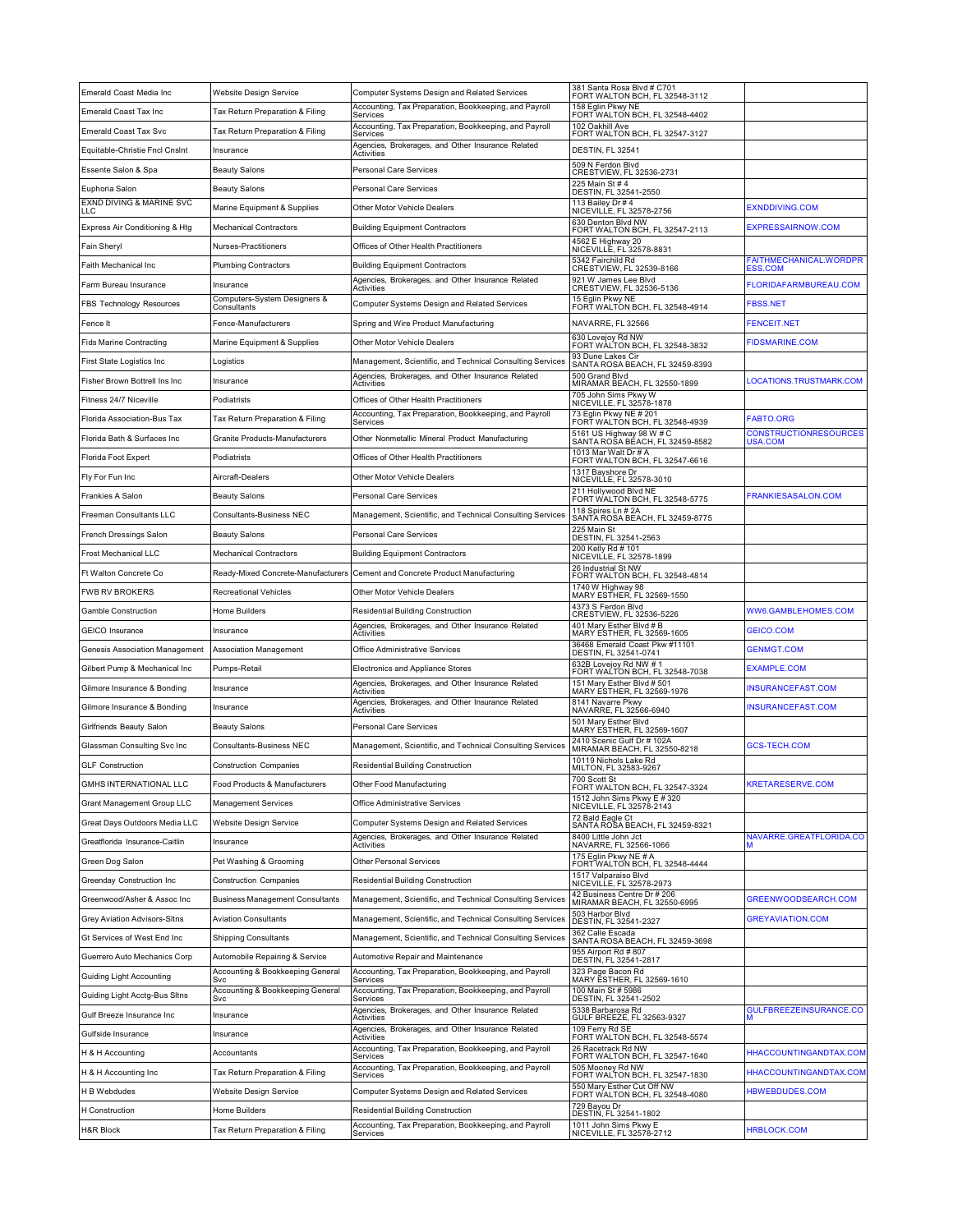| 158 Eglin Pkwy NE<br>Accounting, Tax Preparation, Bookkeeping, and Payroll<br>Emerald Coast Tax Inc<br>Tax Return Preparation & Filing<br>FORT WALTON BCH, FL 32548-4402<br>Services<br>Accounting, Tax Preparation, Bookkeeping, and Payroll<br>102 Oakhill Ave<br><b>Emerald Coast Tax Svc</b><br>Tax Return Preparation & Filing<br>FORT WALTON BCH, FL 32547-3127<br>Services<br>Agencies, Brokerages, and Other Insurance Related<br>DESTIN, FL 32541<br>Equitable-Christie Fncl Cnslnt<br>Insurance<br>Activities<br>509 N Ferdon Blvd<br>Essente Salon & Spa<br><b>Beauty Salons</b><br>Personal Care Services<br>CRESTVIEW, FL 32536-2731<br>225 Main St # 4<br>Euphoria Salon<br><b>Beauty Salons</b><br>Personal Care Services<br>DESTIN, FL 32541-2550<br>EXND DIVING & MARINE SVC<br>113 Bailey Dr # 4<br><b>EXNDDIVING.COM</b><br>Marine Equipment & Supplies<br>Other Motor Vehicle Dealers<br>NICEVILLE, FL 32578-2756<br>.LC<br>630 Denton Blvd NW<br><b>EXPRESSAIRNOW.COM</b><br>Express Air Conditioning & Htg<br><b>Mechanical Contractors</b><br><b>Building Equipment Contractors</b><br>FORT WALTON BCH, FL 32547-2113<br>4562 E Highway 20<br>Fain Sheryl<br>Nurses-Practitioners<br>Offices of Other Health Practitioners<br>NICEVILLE, FL 32578-8831<br>5342 Fairchild Rd<br>FAITHMECHANICAL.WORDPR<br>Faith Mechanical Inc<br><b>Plumbing Contractors</b><br><b>Building Equipment Contractors</b><br>CRESTVIEW, FL 32539-8166<br>ESS.COM<br>Agencies, Brokerages, and Other Insurance Related<br>921 W James Lee Blvd<br><b>FLORIDAFARMBUREAU.COM</b><br>Farm Bureau Insurance<br>Insurance<br>Activities<br>CRESTVIEW, FL 32536-5136<br>Computers-System Designers &<br>15 Eglin Pkwy NE<br>Computer Systems Design and Related Services<br><b>FBSS.NET</b><br>FBS Technology Resources<br>FORT WALTON BCH, FL 32548-4914<br>Consultants<br>NAVARRE, FL 32566<br><b>FENCEIT.NET</b><br>Fence-Manufacturers<br>Spring and Wire Product Manufacturing<br>Fence It<br>630 Lovejoy Rd NW<br><b>FIDSMARINE.COM</b><br>Fids Marine Contracting<br>Marine Equipment & Supplies<br>Other Motor Vehicle Dealers<br>FORT WÁLTON BCH, FL 32548-3832<br>93 Dune Lakes Cir<br>Management, Scientific, and Technical Consulting Services<br>First State Logistics Inc<br>Logistics<br>SANTA ROSA BEACH, FL 32459-8393<br>Agencies, Brokerages, and Other Insurance Related<br>500 Grand Blvd<br>MIRAMAR BEACH, FL 32550-1899<br>Fisher Brown Bottrell Ins Inc<br>LOCATIONS.TRUSTMARK.COM<br>Insurance<br>Activities<br>705 John Sims Pkwy W<br>NICEVILLE, FL 32578-1878<br>Fitness 24/7 Niceville<br>Offices of Other Health Practitioners<br>Podiatrists<br>73 Eglin Pkwy NE # 201<br>Accounting, Tax Preparation, Bookkeeping, and Payroll<br>FABTO.ORG<br>Florida Association-Bus Tax<br>Tax Return Preparation & Filing<br>FORT WALTON BCH, FL 32548-4939<br>Services<br>5161 US Highway 98 W # C<br>CONSTRUCTIONRESOURCES<br>Florida Bath & Surfaces Inc<br>Granite Products-Manufacturers<br>Other Nonmetallic Mineral Product Manufacturing<br>SANTA ROŜA BÉACH, FL 32459-8582<br>USA.COM<br>1013 Mar Walt Dr # A<br>Offices of Other Health Practitioners<br>Florida Foot Expert<br>Podiatrists<br>FORT WALTON BCH, FL 32547-6616<br>1317 Bayshore Dr<br>Aircraft-Dealers<br>Other Motor Vehicle Dealers<br>Fly For Fun Inc<br>NICEVILLE, FL 32578-3010<br>211 Hollywood Blvd NE<br>FRANKIESASALON.COM<br>Frankies A Salon<br><b>Beauty Salons</b><br><b>Personal Care Services</b><br>FORT WALTON BCH, FL 32548-5775<br>118 Spires Ln # 2A<br>Freeman Consultants LLC<br>Consultants-Business NEC<br>Management, Scientific, and Technical Consulting Services<br>SANTA ROSA BEACH, FL 32459-8775<br>225 Main St<br>French Dressings Salon<br><b>Beauty Salons</b><br>Personal Care Services<br>DESTIN, FL 32541-2563<br>200 Kelly Rd # 101<br>Frost Mechanical LLC<br><b>Mechanical Contractors</b><br><b>Building Equipment Contractors</b><br>NICEVILLE, FL 32578-1899<br>26 Industrial St NW<br>Ft Walton Concrete Co<br>Ready-Mixed Concrete-Manufacturers<br>Cement and Concrete Product Manufacturing<br>FORT WALTON BCH, FL 32548-4814 |
|-----------------------------------------------------------------------------------------------------------------------------------------------------------------------------------------------------------------------------------------------------------------------------------------------------------------------------------------------------------------------------------------------------------------------------------------------------------------------------------------------------------------------------------------------------------------------------------------------------------------------------------------------------------------------------------------------------------------------------------------------------------------------------------------------------------------------------------------------------------------------------------------------------------------------------------------------------------------------------------------------------------------------------------------------------------------------------------------------------------------------------------------------------------------------------------------------------------------------------------------------------------------------------------------------------------------------------------------------------------------------------------------------------------------------------------------------------------------------------------------------------------------------------------------------------------------------------------------------------------------------------------------------------------------------------------------------------------------------------------------------------------------------------------------------------------------------------------------------------------------------------------------------------------------------------------------------------------------------------------------------------------------------------------------------------------------------------------------------------------------------------------------------------------------------------------------------------------------------------------------------------------------------------------------------------------------------------------------------------------------------------------------------------------------------------------------------------------------------------------------------------------------------------------------------------------------------------------------------------------------------------------------------------------------------------------------------------------------------------------------------------------------------------------------------------------------------------------------------------------------------------------------------------------------------------------------------------------------------------------------------------------------------------------------------------------------------------------------------------------------------------------------------------------------------------------------------------------------------------------------------------------------------------------------------------------------------------------------------------------------------------------------------------------------------------------------------------------------------------------------------------------------------------------------------------------------------------------------------------------------------------------------------------------------------------------------------------------------------------------------------------------------------------------------------------------------------------------------------------------------------------------------------------------------------------------------------------------------------------------------------------------------------------------------------------------------------------------------------------------------------------------------------------------------------|
|                                                                                                                                                                                                                                                                                                                                                                                                                                                                                                                                                                                                                                                                                                                                                                                                                                                                                                                                                                                                                                                                                                                                                                                                                                                                                                                                                                                                                                                                                                                                                                                                                                                                                                                                                                                                                                                                                                                                                                                                                                                                                                                                                                                                                                                                                                                                                                                                                                                                                                                                                                                                                                                                                                                                                                                                                                                                                                                                                                                                                                                                                                                                                                                                                                                                                                                                                                                                                                                                                                                                                                                                                                                                                                                                                                                                                                                                                                                                                                                                                                                                                                                                                                       |
|                                                                                                                                                                                                                                                                                                                                                                                                                                                                                                                                                                                                                                                                                                                                                                                                                                                                                                                                                                                                                                                                                                                                                                                                                                                                                                                                                                                                                                                                                                                                                                                                                                                                                                                                                                                                                                                                                                                                                                                                                                                                                                                                                                                                                                                                                                                                                                                                                                                                                                                                                                                                                                                                                                                                                                                                                                                                                                                                                                                                                                                                                                                                                                                                                                                                                                                                                                                                                                                                                                                                                                                                                                                                                                                                                                                                                                                                                                                                                                                                                                                                                                                                                                       |
|                                                                                                                                                                                                                                                                                                                                                                                                                                                                                                                                                                                                                                                                                                                                                                                                                                                                                                                                                                                                                                                                                                                                                                                                                                                                                                                                                                                                                                                                                                                                                                                                                                                                                                                                                                                                                                                                                                                                                                                                                                                                                                                                                                                                                                                                                                                                                                                                                                                                                                                                                                                                                                                                                                                                                                                                                                                                                                                                                                                                                                                                                                                                                                                                                                                                                                                                                                                                                                                                                                                                                                                                                                                                                                                                                                                                                                                                                                                                                                                                                                                                                                                                                                       |
|                                                                                                                                                                                                                                                                                                                                                                                                                                                                                                                                                                                                                                                                                                                                                                                                                                                                                                                                                                                                                                                                                                                                                                                                                                                                                                                                                                                                                                                                                                                                                                                                                                                                                                                                                                                                                                                                                                                                                                                                                                                                                                                                                                                                                                                                                                                                                                                                                                                                                                                                                                                                                                                                                                                                                                                                                                                                                                                                                                                                                                                                                                                                                                                                                                                                                                                                                                                                                                                                                                                                                                                                                                                                                                                                                                                                                                                                                                                                                                                                                                                                                                                                                                       |
|                                                                                                                                                                                                                                                                                                                                                                                                                                                                                                                                                                                                                                                                                                                                                                                                                                                                                                                                                                                                                                                                                                                                                                                                                                                                                                                                                                                                                                                                                                                                                                                                                                                                                                                                                                                                                                                                                                                                                                                                                                                                                                                                                                                                                                                                                                                                                                                                                                                                                                                                                                                                                                                                                                                                                                                                                                                                                                                                                                                                                                                                                                                                                                                                                                                                                                                                                                                                                                                                                                                                                                                                                                                                                                                                                                                                                                                                                                                                                                                                                                                                                                                                                                       |
|                                                                                                                                                                                                                                                                                                                                                                                                                                                                                                                                                                                                                                                                                                                                                                                                                                                                                                                                                                                                                                                                                                                                                                                                                                                                                                                                                                                                                                                                                                                                                                                                                                                                                                                                                                                                                                                                                                                                                                                                                                                                                                                                                                                                                                                                                                                                                                                                                                                                                                                                                                                                                                                                                                                                                                                                                                                                                                                                                                                                                                                                                                                                                                                                                                                                                                                                                                                                                                                                                                                                                                                                                                                                                                                                                                                                                                                                                                                                                                                                                                                                                                                                                                       |
|                                                                                                                                                                                                                                                                                                                                                                                                                                                                                                                                                                                                                                                                                                                                                                                                                                                                                                                                                                                                                                                                                                                                                                                                                                                                                                                                                                                                                                                                                                                                                                                                                                                                                                                                                                                                                                                                                                                                                                                                                                                                                                                                                                                                                                                                                                                                                                                                                                                                                                                                                                                                                                                                                                                                                                                                                                                                                                                                                                                                                                                                                                                                                                                                                                                                                                                                                                                                                                                                                                                                                                                                                                                                                                                                                                                                                                                                                                                                                                                                                                                                                                                                                                       |
|                                                                                                                                                                                                                                                                                                                                                                                                                                                                                                                                                                                                                                                                                                                                                                                                                                                                                                                                                                                                                                                                                                                                                                                                                                                                                                                                                                                                                                                                                                                                                                                                                                                                                                                                                                                                                                                                                                                                                                                                                                                                                                                                                                                                                                                                                                                                                                                                                                                                                                                                                                                                                                                                                                                                                                                                                                                                                                                                                                                                                                                                                                                                                                                                                                                                                                                                                                                                                                                                                                                                                                                                                                                                                                                                                                                                                                                                                                                                                                                                                                                                                                                                                                       |
|                                                                                                                                                                                                                                                                                                                                                                                                                                                                                                                                                                                                                                                                                                                                                                                                                                                                                                                                                                                                                                                                                                                                                                                                                                                                                                                                                                                                                                                                                                                                                                                                                                                                                                                                                                                                                                                                                                                                                                                                                                                                                                                                                                                                                                                                                                                                                                                                                                                                                                                                                                                                                                                                                                                                                                                                                                                                                                                                                                                                                                                                                                                                                                                                                                                                                                                                                                                                                                                                                                                                                                                                                                                                                                                                                                                                                                                                                                                                                                                                                                                                                                                                                                       |
|                                                                                                                                                                                                                                                                                                                                                                                                                                                                                                                                                                                                                                                                                                                                                                                                                                                                                                                                                                                                                                                                                                                                                                                                                                                                                                                                                                                                                                                                                                                                                                                                                                                                                                                                                                                                                                                                                                                                                                                                                                                                                                                                                                                                                                                                                                                                                                                                                                                                                                                                                                                                                                                                                                                                                                                                                                                                                                                                                                                                                                                                                                                                                                                                                                                                                                                                                                                                                                                                                                                                                                                                                                                                                                                                                                                                                                                                                                                                                                                                                                                                                                                                                                       |
|                                                                                                                                                                                                                                                                                                                                                                                                                                                                                                                                                                                                                                                                                                                                                                                                                                                                                                                                                                                                                                                                                                                                                                                                                                                                                                                                                                                                                                                                                                                                                                                                                                                                                                                                                                                                                                                                                                                                                                                                                                                                                                                                                                                                                                                                                                                                                                                                                                                                                                                                                                                                                                                                                                                                                                                                                                                                                                                                                                                                                                                                                                                                                                                                                                                                                                                                                                                                                                                                                                                                                                                                                                                                                                                                                                                                                                                                                                                                                                                                                                                                                                                                                                       |
|                                                                                                                                                                                                                                                                                                                                                                                                                                                                                                                                                                                                                                                                                                                                                                                                                                                                                                                                                                                                                                                                                                                                                                                                                                                                                                                                                                                                                                                                                                                                                                                                                                                                                                                                                                                                                                                                                                                                                                                                                                                                                                                                                                                                                                                                                                                                                                                                                                                                                                                                                                                                                                                                                                                                                                                                                                                                                                                                                                                                                                                                                                                                                                                                                                                                                                                                                                                                                                                                                                                                                                                                                                                                                                                                                                                                                                                                                                                                                                                                                                                                                                                                                                       |
|                                                                                                                                                                                                                                                                                                                                                                                                                                                                                                                                                                                                                                                                                                                                                                                                                                                                                                                                                                                                                                                                                                                                                                                                                                                                                                                                                                                                                                                                                                                                                                                                                                                                                                                                                                                                                                                                                                                                                                                                                                                                                                                                                                                                                                                                                                                                                                                                                                                                                                                                                                                                                                                                                                                                                                                                                                                                                                                                                                                                                                                                                                                                                                                                                                                                                                                                                                                                                                                                                                                                                                                                                                                                                                                                                                                                                                                                                                                                                                                                                                                                                                                                                                       |
|                                                                                                                                                                                                                                                                                                                                                                                                                                                                                                                                                                                                                                                                                                                                                                                                                                                                                                                                                                                                                                                                                                                                                                                                                                                                                                                                                                                                                                                                                                                                                                                                                                                                                                                                                                                                                                                                                                                                                                                                                                                                                                                                                                                                                                                                                                                                                                                                                                                                                                                                                                                                                                                                                                                                                                                                                                                                                                                                                                                                                                                                                                                                                                                                                                                                                                                                                                                                                                                                                                                                                                                                                                                                                                                                                                                                                                                                                                                                                                                                                                                                                                                                                                       |
|                                                                                                                                                                                                                                                                                                                                                                                                                                                                                                                                                                                                                                                                                                                                                                                                                                                                                                                                                                                                                                                                                                                                                                                                                                                                                                                                                                                                                                                                                                                                                                                                                                                                                                                                                                                                                                                                                                                                                                                                                                                                                                                                                                                                                                                                                                                                                                                                                                                                                                                                                                                                                                                                                                                                                                                                                                                                                                                                                                                                                                                                                                                                                                                                                                                                                                                                                                                                                                                                                                                                                                                                                                                                                                                                                                                                                                                                                                                                                                                                                                                                                                                                                                       |
|                                                                                                                                                                                                                                                                                                                                                                                                                                                                                                                                                                                                                                                                                                                                                                                                                                                                                                                                                                                                                                                                                                                                                                                                                                                                                                                                                                                                                                                                                                                                                                                                                                                                                                                                                                                                                                                                                                                                                                                                                                                                                                                                                                                                                                                                                                                                                                                                                                                                                                                                                                                                                                                                                                                                                                                                                                                                                                                                                                                                                                                                                                                                                                                                                                                                                                                                                                                                                                                                                                                                                                                                                                                                                                                                                                                                                                                                                                                                                                                                                                                                                                                                                                       |
|                                                                                                                                                                                                                                                                                                                                                                                                                                                                                                                                                                                                                                                                                                                                                                                                                                                                                                                                                                                                                                                                                                                                                                                                                                                                                                                                                                                                                                                                                                                                                                                                                                                                                                                                                                                                                                                                                                                                                                                                                                                                                                                                                                                                                                                                                                                                                                                                                                                                                                                                                                                                                                                                                                                                                                                                                                                                                                                                                                                                                                                                                                                                                                                                                                                                                                                                                                                                                                                                                                                                                                                                                                                                                                                                                                                                                                                                                                                                                                                                                                                                                                                                                                       |
|                                                                                                                                                                                                                                                                                                                                                                                                                                                                                                                                                                                                                                                                                                                                                                                                                                                                                                                                                                                                                                                                                                                                                                                                                                                                                                                                                                                                                                                                                                                                                                                                                                                                                                                                                                                                                                                                                                                                                                                                                                                                                                                                                                                                                                                                                                                                                                                                                                                                                                                                                                                                                                                                                                                                                                                                                                                                                                                                                                                                                                                                                                                                                                                                                                                                                                                                                                                                                                                                                                                                                                                                                                                                                                                                                                                                                                                                                                                                                                                                                                                                                                                                                                       |
|                                                                                                                                                                                                                                                                                                                                                                                                                                                                                                                                                                                                                                                                                                                                                                                                                                                                                                                                                                                                                                                                                                                                                                                                                                                                                                                                                                                                                                                                                                                                                                                                                                                                                                                                                                                                                                                                                                                                                                                                                                                                                                                                                                                                                                                                                                                                                                                                                                                                                                                                                                                                                                                                                                                                                                                                                                                                                                                                                                                                                                                                                                                                                                                                                                                                                                                                                                                                                                                                                                                                                                                                                                                                                                                                                                                                                                                                                                                                                                                                                                                                                                                                                                       |
|                                                                                                                                                                                                                                                                                                                                                                                                                                                                                                                                                                                                                                                                                                                                                                                                                                                                                                                                                                                                                                                                                                                                                                                                                                                                                                                                                                                                                                                                                                                                                                                                                                                                                                                                                                                                                                                                                                                                                                                                                                                                                                                                                                                                                                                                                                                                                                                                                                                                                                                                                                                                                                                                                                                                                                                                                                                                                                                                                                                                                                                                                                                                                                                                                                                                                                                                                                                                                                                                                                                                                                                                                                                                                                                                                                                                                                                                                                                                                                                                                                                                                                                                                                       |
|                                                                                                                                                                                                                                                                                                                                                                                                                                                                                                                                                                                                                                                                                                                                                                                                                                                                                                                                                                                                                                                                                                                                                                                                                                                                                                                                                                                                                                                                                                                                                                                                                                                                                                                                                                                                                                                                                                                                                                                                                                                                                                                                                                                                                                                                                                                                                                                                                                                                                                                                                                                                                                                                                                                                                                                                                                                                                                                                                                                                                                                                                                                                                                                                                                                                                                                                                                                                                                                                                                                                                                                                                                                                                                                                                                                                                                                                                                                                                                                                                                                                                                                                                                       |
|                                                                                                                                                                                                                                                                                                                                                                                                                                                                                                                                                                                                                                                                                                                                                                                                                                                                                                                                                                                                                                                                                                                                                                                                                                                                                                                                                                                                                                                                                                                                                                                                                                                                                                                                                                                                                                                                                                                                                                                                                                                                                                                                                                                                                                                                                                                                                                                                                                                                                                                                                                                                                                                                                                                                                                                                                                                                                                                                                                                                                                                                                                                                                                                                                                                                                                                                                                                                                                                                                                                                                                                                                                                                                                                                                                                                                                                                                                                                                                                                                                                                                                                                                                       |
|                                                                                                                                                                                                                                                                                                                                                                                                                                                                                                                                                                                                                                                                                                                                                                                                                                                                                                                                                                                                                                                                                                                                                                                                                                                                                                                                                                                                                                                                                                                                                                                                                                                                                                                                                                                                                                                                                                                                                                                                                                                                                                                                                                                                                                                                                                                                                                                                                                                                                                                                                                                                                                                                                                                                                                                                                                                                                                                                                                                                                                                                                                                                                                                                                                                                                                                                                                                                                                                                                                                                                                                                                                                                                                                                                                                                                                                                                                                                                                                                                                                                                                                                                                       |
|                                                                                                                                                                                                                                                                                                                                                                                                                                                                                                                                                                                                                                                                                                                                                                                                                                                                                                                                                                                                                                                                                                                                                                                                                                                                                                                                                                                                                                                                                                                                                                                                                                                                                                                                                                                                                                                                                                                                                                                                                                                                                                                                                                                                                                                                                                                                                                                                                                                                                                                                                                                                                                                                                                                                                                                                                                                                                                                                                                                                                                                                                                                                                                                                                                                                                                                                                                                                                                                                                                                                                                                                                                                                                                                                                                                                                                                                                                                                                                                                                                                                                                                                                                       |
|                                                                                                                                                                                                                                                                                                                                                                                                                                                                                                                                                                                                                                                                                                                                                                                                                                                                                                                                                                                                                                                                                                                                                                                                                                                                                                                                                                                                                                                                                                                                                                                                                                                                                                                                                                                                                                                                                                                                                                                                                                                                                                                                                                                                                                                                                                                                                                                                                                                                                                                                                                                                                                                                                                                                                                                                                                                                                                                                                                                                                                                                                                                                                                                                                                                                                                                                                                                                                                                                                                                                                                                                                                                                                                                                                                                                                                                                                                                                                                                                                                                                                                                                                                       |
| 1740 W Highway 98                                                                                                                                                                                                                                                                                                                                                                                                                                                                                                                                                                                                                                                                                                                                                                                                                                                                                                                                                                                                                                                                                                                                                                                                                                                                                                                                                                                                                                                                                                                                                                                                                                                                                                                                                                                                                                                                                                                                                                                                                                                                                                                                                                                                                                                                                                                                                                                                                                                                                                                                                                                                                                                                                                                                                                                                                                                                                                                                                                                                                                                                                                                                                                                                                                                                                                                                                                                                                                                                                                                                                                                                                                                                                                                                                                                                                                                                                                                                                                                                                                                                                                                                                     |
| FWB RV BROKERS<br><b>Recreational Vehicles</b><br>Other Motor Vehicle Dealers<br>MARY ESŤHER, FL 32569-1550<br>4373 S Ferdon Blvd                                                                                                                                                                                                                                                                                                                                                                                                                                                                                                                                                                                                                                                                                                                                                                                                                                                                                                                                                                                                                                                                                                                                                                                                                                                                                                                                                                                                                                                                                                                                                                                                                                                                                                                                                                                                                                                                                                                                                                                                                                                                                                                                                                                                                                                                                                                                                                                                                                                                                                                                                                                                                                                                                                                                                                                                                                                                                                                                                                                                                                                                                                                                                                                                                                                                                                                                                                                                                                                                                                                                                                                                                                                                                                                                                                                                                                                                                                                                                                                                                                     |
| WW6.GAMBLEHOMES.COM<br>Gamble Construction<br>Home Builders<br><b>Residential Building Construction</b><br>CRESTVIEW, FL 32536-5226<br>Agencies, Brokerages, and Other Insurance Related<br>401 Mary Esther Blvd # B                                                                                                                                                                                                                                                                                                                                                                                                                                                                                                                                                                                                                                                                                                                                                                                                                                                                                                                                                                                                                                                                                                                                                                                                                                                                                                                                                                                                                                                                                                                                                                                                                                                                                                                                                                                                                                                                                                                                                                                                                                                                                                                                                                                                                                                                                                                                                                                                                                                                                                                                                                                                                                                                                                                                                                                                                                                                                                                                                                                                                                                                                                                                                                                                                                                                                                                                                                                                                                                                                                                                                                                                                                                                                                                                                                                                                                                                                                                                                  |
| <b>GEICO</b> Insurance<br>GEICO.COM<br>Insurance<br>MARY ESTHER, FL 32569-1605<br>Activities<br>36468 Emerald Coast Pkw #11101                                                                                                                                                                                                                                                                                                                                                                                                                                                                                                                                                                                                                                                                                                                                                                                                                                                                                                                                                                                                                                                                                                                                                                                                                                                                                                                                                                                                                                                                                                                                                                                                                                                                                                                                                                                                                                                                                                                                                                                                                                                                                                                                                                                                                                                                                                                                                                                                                                                                                                                                                                                                                                                                                                                                                                                                                                                                                                                                                                                                                                                                                                                                                                                                                                                                                                                                                                                                                                                                                                                                                                                                                                                                                                                                                                                                                                                                                                                                                                                                                                        |
| Office Administrative Services<br><b>GENMGT.COM</b><br>Genesis Association Management<br><b>Association Management</b><br>DESTIN, FL 32541-0741<br>632B Lovejoy Rd NW #1                                                                                                                                                                                                                                                                                                                                                                                                                                                                                                                                                                                                                                                                                                                                                                                                                                                                                                                                                                                                                                                                                                                                                                                                                                                                                                                                                                                                                                                                                                                                                                                                                                                                                                                                                                                                                                                                                                                                                                                                                                                                                                                                                                                                                                                                                                                                                                                                                                                                                                                                                                                                                                                                                                                                                                                                                                                                                                                                                                                                                                                                                                                                                                                                                                                                                                                                                                                                                                                                                                                                                                                                                                                                                                                                                                                                                                                                                                                                                                                              |
| Gilbert Pump & Mechanical Inc<br>Pumps-Retail<br><b>Electronics and Appliance Stores</b><br>EXAMPLE.COM<br>FORT WALTON BCH, FL 32548-7038<br>151 Mary Esther Blvd # 501<br>Agencies, Brokerages, and Other Insurance Related                                                                                                                                                                                                                                                                                                                                                                                                                                                                                                                                                                                                                                                                                                                                                                                                                                                                                                                                                                                                                                                                                                                                                                                                                                                                                                                                                                                                                                                                                                                                                                                                                                                                                                                                                                                                                                                                                                                                                                                                                                                                                                                                                                                                                                                                                                                                                                                                                                                                                                                                                                                                                                                                                                                                                                                                                                                                                                                                                                                                                                                                                                                                                                                                                                                                                                                                                                                                                                                                                                                                                                                                                                                                                                                                                                                                                                                                                                                                          |
| <b>INSURANCEFAST.COM</b><br>Gilmore Insurance & Bonding<br>Insurance<br>MARY ESTHER, FL 32569-1976<br>Activities<br>Agencies, Brokerages, and Other Insurance Related<br>8141 Navarre Pkwy                                                                                                                                                                                                                                                                                                                                                                                                                                                                                                                                                                                                                                                                                                                                                                                                                                                                                                                                                                                                                                                                                                                                                                                                                                                                                                                                                                                                                                                                                                                                                                                                                                                                                                                                                                                                                                                                                                                                                                                                                                                                                                                                                                                                                                                                                                                                                                                                                                                                                                                                                                                                                                                                                                                                                                                                                                                                                                                                                                                                                                                                                                                                                                                                                                                                                                                                                                                                                                                                                                                                                                                                                                                                                                                                                                                                                                                                                                                                                                            |
| <b>INSURANCEFAST.COM</b><br>Gilmore Insurance & Bonding<br>Insurance<br>NAVARRE, FL 32566-6940<br>Activities<br>501 Mary Esther Blvd                                                                                                                                                                                                                                                                                                                                                                                                                                                                                                                                                                                                                                                                                                                                                                                                                                                                                                                                                                                                                                                                                                                                                                                                                                                                                                                                                                                                                                                                                                                                                                                                                                                                                                                                                                                                                                                                                                                                                                                                                                                                                                                                                                                                                                                                                                                                                                                                                                                                                                                                                                                                                                                                                                                                                                                                                                                                                                                                                                                                                                                                                                                                                                                                                                                                                                                                                                                                                                                                                                                                                                                                                                                                                                                                                                                                                                                                                                                                                                                                                                  |
| Girlfriends Beauty Salon<br><b>Beauty Salons</b><br>Personal Care Services<br>MARY ESTHER, FL 32569-1607                                                                                                                                                                                                                                                                                                                                                                                                                                                                                                                                                                                                                                                                                                                                                                                                                                                                                                                                                                                                                                                                                                                                                                                                                                                                                                                                                                                                                                                                                                                                                                                                                                                                                                                                                                                                                                                                                                                                                                                                                                                                                                                                                                                                                                                                                                                                                                                                                                                                                                                                                                                                                                                                                                                                                                                                                                                                                                                                                                                                                                                                                                                                                                                                                                                                                                                                                                                                                                                                                                                                                                                                                                                                                                                                                                                                                                                                                                                                                                                                                                                              |
| 2410 Scenic Gulf Dr # 102A<br>GCS-TECH.COM<br>Glassman Consulting Svc Inc<br>Consultants-Business NEC<br>Management, Scientific, and Technical Consulting Services<br>MIRAMAR BEACH, FL 32550-8218                                                                                                                                                                                                                                                                                                                                                                                                                                                                                                                                                                                                                                                                                                                                                                                                                                                                                                                                                                                                                                                                                                                                                                                                                                                                                                                                                                                                                                                                                                                                                                                                                                                                                                                                                                                                                                                                                                                                                                                                                                                                                                                                                                                                                                                                                                                                                                                                                                                                                                                                                                                                                                                                                                                                                                                                                                                                                                                                                                                                                                                                                                                                                                                                                                                                                                                                                                                                                                                                                                                                                                                                                                                                                                                                                                                                                                                                                                                                                                    |
| 10119 Nichols Lake Rd<br><b>GLF Construction</b><br><b>Construction Companies</b><br><b>Residential Building Construction</b><br>MILTON, FL 32583-9267                                                                                                                                                                                                                                                                                                                                                                                                                                                                                                                                                                                                                                                                                                                                                                                                                                                                                                                                                                                                                                                                                                                                                                                                                                                                                                                                                                                                                                                                                                                                                                                                                                                                                                                                                                                                                                                                                                                                                                                                                                                                                                                                                                                                                                                                                                                                                                                                                                                                                                                                                                                                                                                                                                                                                                                                                                                                                                                                                                                                                                                                                                                                                                                                                                                                                                                                                                                                                                                                                                                                                                                                                                                                                                                                                                                                                                                                                                                                                                                                                |
| 700 Scott St<br>GMHS INTERNATIONAL LLC<br>Food Products & Manufacturers<br>Other Food Manufacturing<br><b>KRETARESERVE.COM</b><br>FORT WALTON BCH, FL 32547-3324                                                                                                                                                                                                                                                                                                                                                                                                                                                                                                                                                                                                                                                                                                                                                                                                                                                                                                                                                                                                                                                                                                                                                                                                                                                                                                                                                                                                                                                                                                                                                                                                                                                                                                                                                                                                                                                                                                                                                                                                                                                                                                                                                                                                                                                                                                                                                                                                                                                                                                                                                                                                                                                                                                                                                                                                                                                                                                                                                                                                                                                                                                                                                                                                                                                                                                                                                                                                                                                                                                                                                                                                                                                                                                                                                                                                                                                                                                                                                                                                      |
| 1512 John Sims Pkwy E # 320<br>Grant Management Group LLC<br><b>Management Services</b><br>Office Administrative Services<br>NICEVILLE, FL 32578-2143                                                                                                                                                                                                                                                                                                                                                                                                                                                                                                                                                                                                                                                                                                                                                                                                                                                                                                                                                                                                                                                                                                                                                                                                                                                                                                                                                                                                                                                                                                                                                                                                                                                                                                                                                                                                                                                                                                                                                                                                                                                                                                                                                                                                                                                                                                                                                                                                                                                                                                                                                                                                                                                                                                                                                                                                                                                                                                                                                                                                                                                                                                                                                                                                                                                                                                                                                                                                                                                                                                                                                                                                                                                                                                                                                                                                                                                                                                                                                                                                                 |
| 72 Bald Eagle Ct<br>Great Days Outdoors Media LLC<br>Website Design Service<br>Computer Systems Design and Related Services<br>SANTA ROSA BEACH, FL 32459-8321                                                                                                                                                                                                                                                                                                                                                                                                                                                                                                                                                                                                                                                                                                                                                                                                                                                                                                                                                                                                                                                                                                                                                                                                                                                                                                                                                                                                                                                                                                                                                                                                                                                                                                                                                                                                                                                                                                                                                                                                                                                                                                                                                                                                                                                                                                                                                                                                                                                                                                                                                                                                                                                                                                                                                                                                                                                                                                                                                                                                                                                                                                                                                                                                                                                                                                                                                                                                                                                                                                                                                                                                                                                                                                                                                                                                                                                                                                                                                                                                        |
| NAVARRE.GREATFLORIDA.CO<br>Agencies, Brokerages, and Other Insurance Related<br>8400 Little John Jct<br>Greatflorida Insurance-Caitlin<br>Insurance<br>NAVARRE, FL 32566-1066<br>Activities                                                                                                                                                                                                                                                                                                                                                                                                                                                                                                                                                                                                                                                                                                                                                                                                                                                                                                                                                                                                                                                                                                                                                                                                                                                                                                                                                                                                                                                                                                                                                                                                                                                                                                                                                                                                                                                                                                                                                                                                                                                                                                                                                                                                                                                                                                                                                                                                                                                                                                                                                                                                                                                                                                                                                                                                                                                                                                                                                                                                                                                                                                                                                                                                                                                                                                                                                                                                                                                                                                                                                                                                                                                                                                                                                                                                                                                                                                                                                                           |
| 175 Eglin Pkwy NE # A<br>Pet Washing & Grooming<br>Other Personal Services<br>Green Dog Salon<br>FORT WALTON BCH, FL 32548-4444                                                                                                                                                                                                                                                                                                                                                                                                                                                                                                                                                                                                                                                                                                                                                                                                                                                                                                                                                                                                                                                                                                                                                                                                                                                                                                                                                                                                                                                                                                                                                                                                                                                                                                                                                                                                                                                                                                                                                                                                                                                                                                                                                                                                                                                                                                                                                                                                                                                                                                                                                                                                                                                                                                                                                                                                                                                                                                                                                                                                                                                                                                                                                                                                                                                                                                                                                                                                                                                                                                                                                                                                                                                                                                                                                                                                                                                                                                                                                                                                                                       |
| 1517 Valparaiso Blvd<br>NICEVILLE, FL 32578-2973<br>Greenday Construction Inc<br><b>Construction Companies</b><br>Residential Building Construction                                                                                                                                                                                                                                                                                                                                                                                                                                                                                                                                                                                                                                                                                                                                                                                                                                                                                                                                                                                                                                                                                                                                                                                                                                                                                                                                                                                                                                                                                                                                                                                                                                                                                                                                                                                                                                                                                                                                                                                                                                                                                                                                                                                                                                                                                                                                                                                                                                                                                                                                                                                                                                                                                                                                                                                                                                                                                                                                                                                                                                                                                                                                                                                                                                                                                                                                                                                                                                                                                                                                                                                                                                                                                                                                                                                                                                                                                                                                                                                                                   |
| 42 Business Centre Dr # 206<br>GREENWOODSEARCH.COM<br>Greenwood/Asher & Assoc Inc<br><b>Business Management Consultants</b><br>Management, Scientific, and Technical Consulting Services<br>MIRAMAR BEACH, FL 32550-6995                                                                                                                                                                                                                                                                                                                                                                                                                                                                                                                                                                                                                                                                                                                                                                                                                                                                                                                                                                                                                                                                                                                                                                                                                                                                                                                                                                                                                                                                                                                                                                                                                                                                                                                                                                                                                                                                                                                                                                                                                                                                                                                                                                                                                                                                                                                                                                                                                                                                                                                                                                                                                                                                                                                                                                                                                                                                                                                                                                                                                                                                                                                                                                                                                                                                                                                                                                                                                                                                                                                                                                                                                                                                                                                                                                                                                                                                                                                                              |
| 503 Harbor Blvd<br>Grey Aviation Advisors-Sltns<br><b>Aviation Consultants</b><br>Management, Scientific, and Technical Consulting Services<br><b>GREYAVIATION.COM</b><br>DESTIN, FL 32541-2327                                                                                                                                                                                                                                                                                                                                                                                                                                                                                                                                                                                                                                                                                                                                                                                                                                                                                                                                                                                                                                                                                                                                                                                                                                                                                                                                                                                                                                                                                                                                                                                                                                                                                                                                                                                                                                                                                                                                                                                                                                                                                                                                                                                                                                                                                                                                                                                                                                                                                                                                                                                                                                                                                                                                                                                                                                                                                                                                                                                                                                                                                                                                                                                                                                                                                                                                                                                                                                                                                                                                                                                                                                                                                                                                                                                                                                                                                                                                                                       |
| 362 Calle Escada<br>Gt Services of West End Inc<br><b>Shipping Consultants</b><br>Management, Scientific, and Technical Consulting Services<br>SANTA ROSA BEACH, FL 32459-3698                                                                                                                                                                                                                                                                                                                                                                                                                                                                                                                                                                                                                                                                                                                                                                                                                                                                                                                                                                                                                                                                                                                                                                                                                                                                                                                                                                                                                                                                                                                                                                                                                                                                                                                                                                                                                                                                                                                                                                                                                                                                                                                                                                                                                                                                                                                                                                                                                                                                                                                                                                                                                                                                                                                                                                                                                                                                                                                                                                                                                                                                                                                                                                                                                                                                                                                                                                                                                                                                                                                                                                                                                                                                                                                                                                                                                                                                                                                                                                                        |
| 955 Airport Rd #807<br>Automotive Repair and Maintenance<br>Guerrero Auto Mechanics Corp<br>Automobile Repairing & Service<br>DESTIN, FL 32541-2817                                                                                                                                                                                                                                                                                                                                                                                                                                                                                                                                                                                                                                                                                                                                                                                                                                                                                                                                                                                                                                                                                                                                                                                                                                                                                                                                                                                                                                                                                                                                                                                                                                                                                                                                                                                                                                                                                                                                                                                                                                                                                                                                                                                                                                                                                                                                                                                                                                                                                                                                                                                                                                                                                                                                                                                                                                                                                                                                                                                                                                                                                                                                                                                                                                                                                                                                                                                                                                                                                                                                                                                                                                                                                                                                                                                                                                                                                                                                                                                                                   |
| Accounting & Bookkeeping General<br>Accounting, Tax Preparation, Bookkeeping, and Payroll<br>323 Page Bacon Rd<br>Guiding Light Accounting<br>MARY ESTHER, FL 32569-1610<br>Services<br>Svc                                                                                                                                                                                                                                                                                                                                                                                                                                                                                                                                                                                                                                                                                                                                                                                                                                                                                                                                                                                                                                                                                                                                                                                                                                                                                                                                                                                                                                                                                                                                                                                                                                                                                                                                                                                                                                                                                                                                                                                                                                                                                                                                                                                                                                                                                                                                                                                                                                                                                                                                                                                                                                                                                                                                                                                                                                                                                                                                                                                                                                                                                                                                                                                                                                                                                                                                                                                                                                                                                                                                                                                                                                                                                                                                                                                                                                                                                                                                                                           |
| 100 Main St # 5986<br>Accounting & Bookkeeping General<br>Accounting, Tax Preparation, Bookkeeping, and Payroll<br>Guiding Light Acctg-Bus Sltns<br>DESTIN, FL 32541-2502<br>Svc<br>Services                                                                                                                                                                                                                                                                                                                                                                                                                                                                                                                                                                                                                                                                                                                                                                                                                                                                                                                                                                                                                                                                                                                                                                                                                                                                                                                                                                                                                                                                                                                                                                                                                                                                                                                                                                                                                                                                                                                                                                                                                                                                                                                                                                                                                                                                                                                                                                                                                                                                                                                                                                                                                                                                                                                                                                                                                                                                                                                                                                                                                                                                                                                                                                                                                                                                                                                                                                                                                                                                                                                                                                                                                                                                                                                                                                                                                                                                                                                                                                          |
| 5338 Barbarosa Rd<br>Agencies, Brokerages, and Other Insurance Related<br>GULFBREEZEINSURANCE.CO<br>Gulf Breeze Insurance Inc<br>Insurance<br>GULF BREEZE, FL 32563-9327<br>Activities                                                                                                                                                                                                                                                                                                                                                                                                                                                                                                                                                                                                                                                                                                                                                                                                                                                                                                                                                                                                                                                                                                                                                                                                                                                                                                                                                                                                                                                                                                                                                                                                                                                                                                                                                                                                                                                                                                                                                                                                                                                                                                                                                                                                                                                                                                                                                                                                                                                                                                                                                                                                                                                                                                                                                                                                                                                                                                                                                                                                                                                                                                                                                                                                                                                                                                                                                                                                                                                                                                                                                                                                                                                                                                                                                                                                                                                                                                                                                                                |
| Agencies, Brokerages, and Other Insurance Related<br>109 Ferry Rd SE<br>Gulfside Insurance<br>Insurance<br>Activities<br>FORT WALTON BCH, FL 32548-5574                                                                                                                                                                                                                                                                                                                                                                                                                                                                                                                                                                                                                                                                                                                                                                                                                                                                                                                                                                                                                                                                                                                                                                                                                                                                                                                                                                                                                                                                                                                                                                                                                                                                                                                                                                                                                                                                                                                                                                                                                                                                                                                                                                                                                                                                                                                                                                                                                                                                                                                                                                                                                                                                                                                                                                                                                                                                                                                                                                                                                                                                                                                                                                                                                                                                                                                                                                                                                                                                                                                                                                                                                                                                                                                                                                                                                                                                                                                                                                                                               |
| Accounting, Tax Preparation, Bookkeeping, and Payroll<br>26 Racetrack Rd NW<br>HHACCOUNTINGANDTAX.COM<br>H & H Accounting<br>Accountants<br>Services<br>FORT WALTON BCH, FL 32547-1640                                                                                                                                                                                                                                                                                                                                                                                                                                                                                                                                                                                                                                                                                                                                                                                                                                                                                                                                                                                                                                                                                                                                                                                                                                                                                                                                                                                                                                                                                                                                                                                                                                                                                                                                                                                                                                                                                                                                                                                                                                                                                                                                                                                                                                                                                                                                                                                                                                                                                                                                                                                                                                                                                                                                                                                                                                                                                                                                                                                                                                                                                                                                                                                                                                                                                                                                                                                                                                                                                                                                                                                                                                                                                                                                                                                                                                                                                                                                                                                |
| Accounting, Tax Preparation, Bookkeeping, and Payroll<br>505 Mooney Rd NW<br>H & H Accounting Inc<br>Tax Return Preparation & Filing<br>HHACCOUNTINGANDTAX.COM<br>FORT WALTON BCH, FL 32547-1830<br>Services                                                                                                                                                                                                                                                                                                                                                                                                                                                                                                                                                                                                                                                                                                                                                                                                                                                                                                                                                                                                                                                                                                                                                                                                                                                                                                                                                                                                                                                                                                                                                                                                                                                                                                                                                                                                                                                                                                                                                                                                                                                                                                                                                                                                                                                                                                                                                                                                                                                                                                                                                                                                                                                                                                                                                                                                                                                                                                                                                                                                                                                                                                                                                                                                                                                                                                                                                                                                                                                                                                                                                                                                                                                                                                                                                                                                                                                                                                                                                          |
| 550 Mary Esther Cut Off NW<br>HBWEBDUDES.COM<br>H B Webdudes<br>Website Design Service<br>Computer Systems Design and Related Services<br>FORT WALTON BCH, FL 32548-4080                                                                                                                                                                                                                                                                                                                                                                                                                                                                                                                                                                                                                                                                                                                                                                                                                                                                                                                                                                                                                                                                                                                                                                                                                                                                                                                                                                                                                                                                                                                                                                                                                                                                                                                                                                                                                                                                                                                                                                                                                                                                                                                                                                                                                                                                                                                                                                                                                                                                                                                                                                                                                                                                                                                                                                                                                                                                                                                                                                                                                                                                                                                                                                                                                                                                                                                                                                                                                                                                                                                                                                                                                                                                                                                                                                                                                                                                                                                                                                                              |
| 729 Bayou Dr<br>H Construction<br>Home Builders<br><b>Residential Building Construction</b><br>DESTIN, FL 32541-1802                                                                                                                                                                                                                                                                                                                                                                                                                                                                                                                                                                                                                                                                                                                                                                                                                                                                                                                                                                                                                                                                                                                                                                                                                                                                                                                                                                                                                                                                                                                                                                                                                                                                                                                                                                                                                                                                                                                                                                                                                                                                                                                                                                                                                                                                                                                                                                                                                                                                                                                                                                                                                                                                                                                                                                                                                                                                                                                                                                                                                                                                                                                                                                                                                                                                                                                                                                                                                                                                                                                                                                                                                                                                                                                                                                                                                                                                                                                                                                                                                                                  |
| Accounting, Tax Preparation, Bookkeeping, and Payroll<br>1011 John Sims Pkwy E<br><b>H&amp;R Block</b><br>HRBLOCK.COM<br>Tax Return Preparation & Filing<br>Services<br>NICEVILLE, FL 32578-2712                                                                                                                                                                                                                                                                                                                                                                                                                                                                                                                                                                                                                                                                                                                                                                                                                                                                                                                                                                                                                                                                                                                                                                                                                                                                                                                                                                                                                                                                                                                                                                                                                                                                                                                                                                                                                                                                                                                                                                                                                                                                                                                                                                                                                                                                                                                                                                                                                                                                                                                                                                                                                                                                                                                                                                                                                                                                                                                                                                                                                                                                                                                                                                                                                                                                                                                                                                                                                                                                                                                                                                                                                                                                                                                                                                                                                                                                                                                                                                      |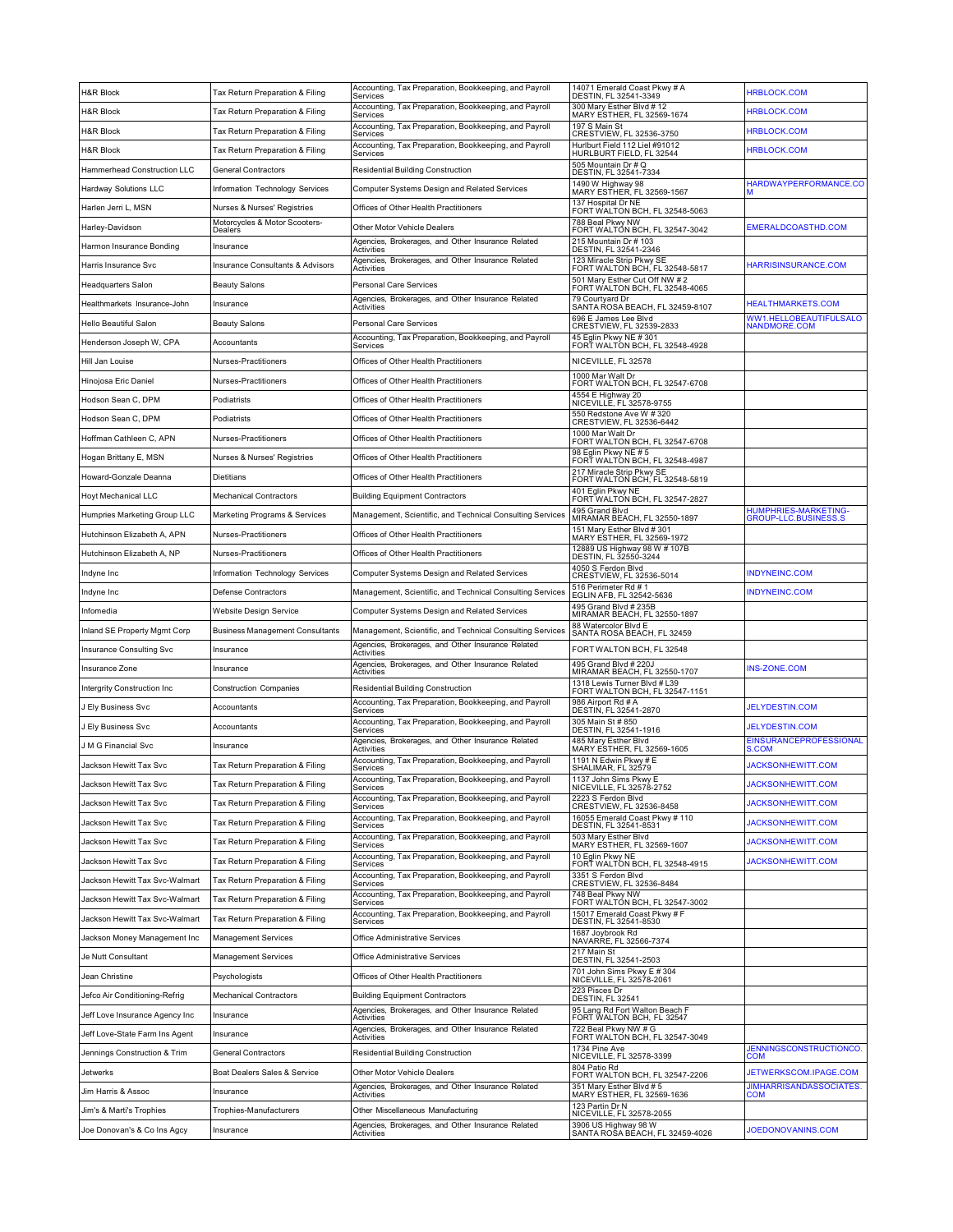| 300 Mary Esther Blvd # 12<br>Accounting, Tax Preparation, Bookkeeping, and Payroll<br><b>H&amp;R Block</b><br><b>HRBLOCK.COM</b><br>Tax Return Preparation & Filing<br>MARY ESTHER, FL 32569-1674<br>Services<br>Accounting, Tax Preparation, Bookkeeping, and Payroll<br>197 S Main St<br><b>H&amp;R Block</b><br><b>HRBLOCK.COM</b><br>Tax Return Preparation & Filing<br>Services<br>CRESTVIEW, FL 32536-3750<br>Hurlburt Field 112 Liel #91012<br>Accounting, Tax Preparation, Bookkeeping, and Payroll<br><b>HRBLOCK.COM</b><br>H&R Block<br>Tax Return Preparation & Filing<br>HURLBURT FIELD, FL 32544<br>Services<br>505 Mountain Dr # Q<br>Hammerhead Construction LLC<br><b>General Contractors</b><br><b>Residential Building Construction</b><br>DESTIN, FL 32541-7334<br>1490 W Highway 98<br>HARDWAYPERFORMANCE.CO<br>Hardway Solutions LLC<br>Information Technology Services<br>Computer Systems Design and Related Services<br>MARY ESTHER, FL 32569-1567<br>137 Hospital Dr NE<br>Harlen Jerri L, MSN<br>Offices of Other Health Practitioners<br>Nurses & Nurses' Registries<br>FORT WALTON BCH, FL 32548-5063<br>788 Beal Pkwy NW<br>Motorcycles & Motor Scooters-<br>EMERALDCOASTHD.COM<br>Harley-Davidson<br>Other Motor Vehicle Dealers<br>FORT WALTON BCH, FL 32547-3042<br>Dealers<br>215 Mountain Dr # 103<br>Agencies, Brokerages, and Other Insurance Related<br>Harmon Insurance Bonding<br>Insurance<br>DESTIN, FL 32541-2346<br>Activities<br>Agencies, Brokerages, and Other Insurance Related<br>123 Miracle Strip Pkwy SE<br>HARRISINSURANCE.COM<br>Harris Insurance Svc<br><b>Insurance Consultants &amp; Advisors</b><br>Activities<br>FORT WALTON BCH, FL 32548-5817<br>501 Mary Esther Cut Off NW #2<br>Personal Care Services<br>Headquarters Salon<br>Beauty Salons<br>FORT WALTON BCH, FL 32548-4065<br>Agencies, Brokerages, and Other Insurance Related<br>79 Courtyard Dr<br><b>HEALTHMARKETS.COM</b><br>Healthmarkets Insurance-John<br>Insurance<br>Activities<br>SANTA ROSA BEACH, FL 32459-8107<br>WW1.HELLOBEAUTIFULSALO<br>696 E James Lee Blvd<br>Hello Beautiful Salon<br><b>Beauty Salons</b><br>Personal Care Services<br>CRESTVIEW, FL 32539-2833<br>NANDMORE.COM<br>Accounting, Tax Preparation, Bookkeeping, and Payroll<br>45 Eglin Pkwy NE # 301<br>FORT WALTON BCH, FL 32548-4928<br>Henderson Joseph W, CPA<br>Accountants<br>Services<br>Offices of Other Health Practitioners<br>NICEVILLE, FL 32578<br>Hill Jan Louise<br>Nurses-Practitioners<br>1000 Mar Walt Dr<br>Hinojosa Eric Daniel<br>Nurses-Practitioners<br>Offices of Other Health Practitioners<br>FORT WALTON BCH, FL 32547-6708<br>4554 E Highway 20<br>NICEVILLE, FL 32578-9755<br>Hodson Sean C, DPM<br>Podiatrists<br>Offices of Other Health Practitioners<br>550 Redstone Ave W # 320<br>Hodson Sean C, DPM<br>Podiatrists<br>Offices of Other Health Practitioners<br>CRESTVIEW, FL 32536-6442<br>1000 Mar Walt Dr<br>Hoffman Cathleen C, APN<br>Nurses-Practitioners<br>Offices of Other Health Practitioners<br>FORT WALTON BCH, FL 32547-6708<br>98 Eglin Pkwy NE #5<br>Offices of Other Health Practitioners<br>Hogan Brittany E, MSN<br>Nurses & Nurses' Registries<br>FORT WALTON BCH, FL 32548-4987<br>217 Miracle Strip Pkwy SE<br>Howard-Gonzale Deanna<br>Dietitians<br>Offices of Other Health Practitioners<br>FORT WALTON BCH, FL 32548-5819<br>401 Eglin Pkwy NE<br><b>Hoyt Mechanical LLC</b><br><b>Mechanical Contractors</b><br><b>Building Equipment Contractors</b><br>FORT WALTON BCH, FL 32547-2827<br>495 Grand Blvd<br>HUMPHRIES-MARKETING-<br>Humpries Marketing Group LLC<br>Marketing Programs & Services<br>Management, Scientific, and Technical Consulting Services<br>GROUP-LLC.BUSINESS.S<br>MIRAMAR BEACH, FL 32550-1897<br>151 Mary Esther Blvd # 301<br>Hutchinson Elizabeth A, APN<br>Nurses-Practitioners<br>Offices of Other Health Practitioners<br>MARY ESTHER, FL 32569-1972<br>12889 US Highway 98 W # 107B<br>DESTIN, FL 32550-3244<br>Hutchinson Elizabeth A, NP<br>Nurses-Practitioners<br>Offices of Other Health Practitioners<br>4050 S Ferdon Blvd<br><b>INDYNEINC.COM</b><br>Indyne Inc<br>Information Technology Services<br>Computer Systems Design and Related Services<br>CRESTVIEW, FL 32536-5014<br>516 Perimeter Rd # 1<br><b>INDYNEINC.COM</b><br>Indyne Inc<br>Defense Contractors<br>Management, Scientific, and Technical Consulting Services<br>EGLIN AFB, FL 32542-5636<br>495 Grand Blvd # 235B<br>Website Design Service<br>Computer Systems Design and Related Services<br>Infomedia<br>MIRAMAR BEACH, FL 32550-1897<br>88 Watercolor Blvd E<br>Inland SE Property Mgmt Corp<br><b>Business Management Consultants</b><br>Management, Scientific, and Technical Consulting Services<br>SANTA ROSA BEACH, FL 32459<br>Agencies, Brokerages, and Other Insurance Related<br>Insurance Consulting Svc<br>FORT WALTON BCH, FL 32548<br>Insurance<br>Activities<br>495 Grand Blvd # 220J<br>Agencies, Brokerages, and Other Insurance Related<br><b>INS-ZONE.COM</b><br>Insurance Zone<br>Insurance<br>MIRAMAR BEACH, FL 32550-1707<br>Activities<br>1318 Lewis Turner Blvd # L39<br>Residential Building Construction<br>Intergrity Construction Inc<br><b>Construction Companies</b><br>FORT WALTON BCH, FL 32547-1151<br>Accounting, Tax Preparation, Bookkeeping, and Payroll<br>986 Airport Rd # A<br><b>JELYDESTIN.COM</b><br>J Ely Business Svc<br>Accountants<br>DESTIN, FL 32541-2870<br>Services<br>305 Main St # 850<br>Accounting, Tax Preparation, Bookkeeping, and Payroll<br><b>JELYDESTIN.COM</b><br>J Ely Business Svc<br>Accountants<br>DESTIN, FL 32541-1916<br>Services<br>Agencies, Brokerages, and Other Insurance Related<br>485 Mary Esther Blvd<br>EINSURANCEPROFESSIONAL<br>J M G Financial Svc<br>Insurance<br>MARY ESTHER, FL 32569-1605<br><b>S.COM</b><br>Activities<br>1191 N Edwin Pkwy # E<br>Accounting, Tax Preparation, Bookkeeping, and Payroll<br>Tax Return Preparation & Filing<br><b>JACKSONHEWITT.COM</b><br>Jackson Hewitt Tax Svc<br>SHALIMAR, FL 32579<br>Services<br>Accounting, Tax Preparation, Bookkeeping, and Payroll<br>1137 John Sims Pkwy F<br>Tax Return Preparation & Filing<br><b>JACKSONHEWITT.COM</b><br>Jackson Hewitt Tax Svc<br>NICEVILLE, FL 32578-2752<br>Services<br>Accounting, Tax Preparation, Bookkeeping, and Payroll<br>2223 S Ferdon Blvd<br><b>JACKSONHEWITT.COM</b><br>Jackson Hewitt Tax Svc<br>Tax Return Preparation & Filing<br>CRESTVIEW, FL 32536-8458<br>Services<br>16055 Emerald Coast Pkwy # 110<br>Accounting, Tax Preparation, Bookkeeping, and Payroll<br>JACKSONHEWITT.COM<br>Tax Return Preparation & Filing<br>Jackson Hewitt Tax Svc<br>DESTIN, FL 32541-8531<br>Services<br>Accounting, Tax Preparation, Bookkeeping, and Payroll<br>503 Mary Esther Blvd<br>Jackson Hewitt Tax Svc<br>Tax Return Preparation & Filing<br>JACKSONHEWITT.COM<br>MARY ESTHER, FL 32569-1607<br>Services<br>10 Eglin Pkwy NE<br>FORT WALTON BCH, FL 32548-4915<br>Accounting, Tax Preparation, Bookkeeping, and Payroll<br>Jackson Hewitt Tax Svc<br>Tax Return Preparation & Filing<br><b>JACKSONHEWITT.COM</b><br>Services<br>3351 S Ferdon Blvd<br>Accounting, Tax Preparation, Bookkeeping, and Payroll<br>Jackson Hewitt Tax Svc-Walmart<br>Tax Return Preparation & Filing<br>Services<br>CRESTVIEW, FL 32536-8484<br>748 Beal Pkwy NW<br>Accounting, Tax Preparation, Bookkeeping, and Payroll<br>Jackson Hewitt Tax Svc-Walmart<br>Tax Return Preparation & Filing<br>FORT WALTÓN BCH, FL 32547-3002<br>Services<br>Accounting, Tax Preparation, Bookkeeping, and Payroll<br>15017 Emerald Coast Pkwy # F<br>Jackson Hewitt Tax Svc-Walmart<br>Tax Return Preparation & Filing<br>DESTIN, FL 32541-8530<br>Services<br>1687 Jovbrook Rd<br>Office Administrative Services<br>Jackson Money Management Inc<br><b>Management Services</b><br>NAVARRE, FL 32566-7374<br>217 Main St<br>Office Administrative Services<br>Je Nutt Consultant<br><b>Management Services</b><br>DESTIN, FL 32541-2503<br>701 John Sims Pkwy E # 304<br>Offices of Other Health Practitioners<br>Jean Christine<br>Psychologists<br>NICEVILLE, FL 32578-2061<br>223 Pisces Dr<br>Jefco Air Conditioning-Refrig<br><b>Building Equipment Contractors</b><br><b>Mechanical Contractors</b><br>DESTIN, FL 32541<br>Agencies, Brokerages, and Other Insurance Related<br>95 Lang Rd Fort Walton Beach F<br>Jeff Love Insurance Agency Inc<br>Insurance<br>Activities<br>FORT WALTON BCH, FL 32547<br>722 Beal Pkwy NW # G<br>Agencies, Brokerages, and Other Insurance Related<br>Jeff Love-State Farm Ins Agent<br>Insurance<br>FORT WALTON BCH, FL 32547-3049<br>Activities<br>1734 Pine Ave<br><b>JENNINGSCONSTRUCTIONCO.</b><br>Jennings Construction & Trim<br><b>General Contractors</b><br>Residential Building Construction<br>NICEVILLE, FL 32578-3399<br>COM<br>804 Patio Rd<br>Boat Dealers Sales & Service<br>Other Motor Vehicle Dealers<br>JETWERKSCOM.IPAGE.COM<br>Jetwerks<br>FORT WALTON BCH, FL 32547-2206<br>Agencies, Brokerages, and Other Insurance Related<br>351 Mary Esther Blvd # 5<br><b>JIMHARRISANDASSOCIATES</b><br>Jim Harris & Assoc<br>Insurance<br>MARY ESTHER, FL 32569-1636<br>COM<br>Activities<br>123 Partin Dr N<br>Jim's & Marti's Trophies<br>Trophies-Manufacturers<br>Other Miscellaneous Manufacturing<br>NICEVILLE, FL 32578-2055<br>3906 US Highway 98 W<br>Agencies, Brokerages, and Other Insurance Related<br>JOEDONOVANINS.COM<br>Joe Donovan's & Co Ins Agcy<br>Insurance | <b>H&amp;R Block</b> | Tax Return Preparation & Filing | Accounting, Tax Preparation, Bookkeeping, and Payroll<br>Services | 14071 Emerald Coast Pkwy # A<br>DESTIN, FL 32541-3349 | <b>HRBLOCK.COM</b> |
|------------------------------------------------------------------------------------------------------------------------------------------------------------------------------------------------------------------------------------------------------------------------------------------------------------------------------------------------------------------------------------------------------------------------------------------------------------------------------------------------------------------------------------------------------------------------------------------------------------------------------------------------------------------------------------------------------------------------------------------------------------------------------------------------------------------------------------------------------------------------------------------------------------------------------------------------------------------------------------------------------------------------------------------------------------------------------------------------------------------------------------------------------------------------------------------------------------------------------------------------------------------------------------------------------------------------------------------------------------------------------------------------------------------------------------------------------------------------------------------------------------------------------------------------------------------------------------------------------------------------------------------------------------------------------------------------------------------------------------------------------------------------------------------------------------------------------------------------------------------------------------------------------------------------------------------------------------------------------------------------------------------------------------------------------------------------------------------------------------------------------------------------------------------------------------------------------------------------------------------------------------------------------------------------------------------------------------------------------------------------------------------------------------------------------------------------------------------------------------------------------------------------------------------------------------------------------------------------------------------------------------------------------------------------------------------------------------------------------------------------------------------------------------------------------------------------------------------------------------------------------------------------------------------------------------------------------------------------------------------------------------------------------------------------------------------------------------------------------------------------------------------------------------------------------------------------------------------------------------------------------------------------------------------------------------------------------------------------------------------------------------------------------------------------------------------------------------------------------------------------------------------------------------------------------------------------------------------------------------------------------------------------------------------------------------------------------------------------------------------------------------------------------------------------------------------------------------------------------------------------------------------------------------------------------------------------------------------------------------------------------------------------------------------------------------------------------------------------------------------------------------------------------------------------------------------------------------------------------------------------------------------------------------------------------------------------------------------------------------------------------------------------------------------------------------------------------------------------------------------------------------------------------------------------------------------------------------------------------------------------------------------------------------------------------------------------------------------------------------------------------------------------------------------------------------------------------------------------------------------------------------------------------------------------------------------------------------------------------------------------------------------------------------------------------------------------------------------------------------------------------------------------------------------------------------------------------------------------------------------------------------------------------------------------------------------------------------------------------------------------------------------------------------------------------------------------------------------------------------------------------------------------------------------------------------------------------------------------------------------------------------------------------------------------------------------------------------------------------------------------------------------------------------------------------------------------------------------------------------------------------------------------------------------------------------------------------------------------------------------------------------------------------------------------------------------------------------------------------------------------------------------------------------------------------------------------------------------------------------------------------------------------------------------------------------------------------------------------------------------------------------------------------------------------------------------------------------------------------------------------------------------------------------------------------------------------------------------------------------------------------------------------------------------------------------------------------------------------------------------------------------------------------------------------------------------------------------------------------------------------------------------------------------------------------------------------------------------------------------------------------------------------------------------------------------------------------------------------------------------------------------------------------------------------------------------------------------------------------------------------------------------------------------------------------------------------------------------------------------------------------------------------------------------------------------------------------------------------------------------------------------------------------------------------------------------------------------------------------------------------------------------------------------------------------------------------------------------------------------------------------------------------------------------------------------------------------------------------------------------------------------------------------------------------------------------------------------------------------------------------------------------------------------------------------------------------------------------------------------------------------------------------------------------------------------------------------------------------------------------------------------------------------------------------------------------------------------------------------------------------------------------------------------------------------------------------------------------------------------------------------------------------------------------------------------------------------------------------------------------------------------------------------------------------------------------------------------------------------------------------------------------------------------------------------------------------------------------------------------------------------------------------------------------------------------------------------------------------------------------------------------------------------------------------------------------------------------------------------------------------------------------------------------------------------------------------------------------------------------------------------------------------------------------------------------------------------------------------------------------------------------------------------------------------------------------------------------------------------------------------------------------------------------------------------------------------------------|----------------------|---------------------------------|-------------------------------------------------------------------|-------------------------------------------------------|--------------------|
|                                                                                                                                                                                                                                                                                                                                                                                                                                                                                                                                                                                                                                                                                                                                                                                                                                                                                                                                                                                                                                                                                                                                                                                                                                                                                                                                                                                                                                                                                                                                                                                                                                                                                                                                                                                                                                                                                                                                                                                                                                                                                                                                                                                                                                                                                                                                                                                                                                                                                                                                                                                                                                                                                                                                                                                                                                                                                                                                                                                                                                                                                                                                                                                                                                                                                                                                                                                                                                                                                                                                                                                                                                                                                                                                                                                                                                                                                                                                                                                                                                                                                                                                                                                                                                                                                                                                                                                                                                                                                                                                                                                                                                                                                                                                                                                                                                                                                                                                                                                                                                                                                                                                                                                                                                                                                                                                                                                                                                                                                                                                                                                                                                                                                                                                                                                                                                                                                                                                                                                                                                                                                                                                                                                                                                                                                                                                                                                                                                                                                                                                                                                                                                                                                                                                                                                                                                                                                                                                                                                                                                                                                                                                                                                                                                                                                                                                                                                                                                                                                                                                                                                                                                                                                                                                                                                                                                                                                                                                                                                                                                                                                                                                                                                                                                                                                                                                                                                                                                                                                                                                                                                                                                                                                                                                                                                                                                                                                                                                                                                                                                                                                                                                                                                                                                                                                                                                                                                                                                                                                                                                                                                    |                      |                                 |                                                                   |                                                       |                    |
|                                                                                                                                                                                                                                                                                                                                                                                                                                                                                                                                                                                                                                                                                                                                                                                                                                                                                                                                                                                                                                                                                                                                                                                                                                                                                                                                                                                                                                                                                                                                                                                                                                                                                                                                                                                                                                                                                                                                                                                                                                                                                                                                                                                                                                                                                                                                                                                                                                                                                                                                                                                                                                                                                                                                                                                                                                                                                                                                                                                                                                                                                                                                                                                                                                                                                                                                                                                                                                                                                                                                                                                                                                                                                                                                                                                                                                                                                                                                                                                                                                                                                                                                                                                                                                                                                                                                                                                                                                                                                                                                                                                                                                                                                                                                                                                                                                                                                                                                                                                                                                                                                                                                                                                                                                                                                                                                                                                                                                                                                                                                                                                                                                                                                                                                                                                                                                                                                                                                                                                                                                                                                                                                                                                                                                                                                                                                                                                                                                                                                                                                                                                                                                                                                                                                                                                                                                                                                                                                                                                                                                                                                                                                                                                                                                                                                                                                                                                                                                                                                                                                                                                                                                                                                                                                                                                                                                                                                                                                                                                                                                                                                                                                                                                                                                                                                                                                                                                                                                                                                                                                                                                                                                                                                                                                                                                                                                                                                                                                                                                                                                                                                                                                                                                                                                                                                                                                                                                                                                                                                                                                                                                    |                      |                                 |                                                                   |                                                       |                    |
|                                                                                                                                                                                                                                                                                                                                                                                                                                                                                                                                                                                                                                                                                                                                                                                                                                                                                                                                                                                                                                                                                                                                                                                                                                                                                                                                                                                                                                                                                                                                                                                                                                                                                                                                                                                                                                                                                                                                                                                                                                                                                                                                                                                                                                                                                                                                                                                                                                                                                                                                                                                                                                                                                                                                                                                                                                                                                                                                                                                                                                                                                                                                                                                                                                                                                                                                                                                                                                                                                                                                                                                                                                                                                                                                                                                                                                                                                                                                                                                                                                                                                                                                                                                                                                                                                                                                                                                                                                                                                                                                                                                                                                                                                                                                                                                                                                                                                                                                                                                                                                                                                                                                                                                                                                                                                                                                                                                                                                                                                                                                                                                                                                                                                                                                                                                                                                                                                                                                                                                                                                                                                                                                                                                                                                                                                                                                                                                                                                                                                                                                                                                                                                                                                                                                                                                                                                                                                                                                                                                                                                                                                                                                                                                                                                                                                                                                                                                                                                                                                                                                                                                                                                                                                                                                                                                                                                                                                                                                                                                                                                                                                                                                                                                                                                                                                                                                                                                                                                                                                                                                                                                                                                                                                                                                                                                                                                                                                                                                                                                                                                                                                                                                                                                                                                                                                                                                                                                                                                                                                                                                                                                    |                      |                                 |                                                                   |                                                       |                    |
|                                                                                                                                                                                                                                                                                                                                                                                                                                                                                                                                                                                                                                                                                                                                                                                                                                                                                                                                                                                                                                                                                                                                                                                                                                                                                                                                                                                                                                                                                                                                                                                                                                                                                                                                                                                                                                                                                                                                                                                                                                                                                                                                                                                                                                                                                                                                                                                                                                                                                                                                                                                                                                                                                                                                                                                                                                                                                                                                                                                                                                                                                                                                                                                                                                                                                                                                                                                                                                                                                                                                                                                                                                                                                                                                                                                                                                                                                                                                                                                                                                                                                                                                                                                                                                                                                                                                                                                                                                                                                                                                                                                                                                                                                                                                                                                                                                                                                                                                                                                                                                                                                                                                                                                                                                                                                                                                                                                                                                                                                                                                                                                                                                                                                                                                                                                                                                                                                                                                                                                                                                                                                                                                                                                                                                                                                                                                                                                                                                                                                                                                                                                                                                                                                                                                                                                                                                                                                                                                                                                                                                                                                                                                                                                                                                                                                                                                                                                                                                                                                                                                                                                                                                                                                                                                                                                                                                                                                                                                                                                                                                                                                                                                                                                                                                                                                                                                                                                                                                                                                                                                                                                                                                                                                                                                                                                                                                                                                                                                                                                                                                                                                                                                                                                                                                                                                                                                                                                                                                                                                                                                                                                    |                      |                                 |                                                                   |                                                       |                    |
|                                                                                                                                                                                                                                                                                                                                                                                                                                                                                                                                                                                                                                                                                                                                                                                                                                                                                                                                                                                                                                                                                                                                                                                                                                                                                                                                                                                                                                                                                                                                                                                                                                                                                                                                                                                                                                                                                                                                                                                                                                                                                                                                                                                                                                                                                                                                                                                                                                                                                                                                                                                                                                                                                                                                                                                                                                                                                                                                                                                                                                                                                                                                                                                                                                                                                                                                                                                                                                                                                                                                                                                                                                                                                                                                                                                                                                                                                                                                                                                                                                                                                                                                                                                                                                                                                                                                                                                                                                                                                                                                                                                                                                                                                                                                                                                                                                                                                                                                                                                                                                                                                                                                                                                                                                                                                                                                                                                                                                                                                                                                                                                                                                                                                                                                                                                                                                                                                                                                                                                                                                                                                                                                                                                                                                                                                                                                                                                                                                                                                                                                                                                                                                                                                                                                                                                                                                                                                                                                                                                                                                                                                                                                                                                                                                                                                                                                                                                                                                                                                                                                                                                                                                                                                                                                                                                                                                                                                                                                                                                                                                                                                                                                                                                                                                                                                                                                                                                                                                                                                                                                                                                                                                                                                                                                                                                                                                                                                                                                                                                                                                                                                                                                                                                                                                                                                                                                                                                                                                                                                                                                                                                    |                      |                                 |                                                                   |                                                       |                    |
|                                                                                                                                                                                                                                                                                                                                                                                                                                                                                                                                                                                                                                                                                                                                                                                                                                                                                                                                                                                                                                                                                                                                                                                                                                                                                                                                                                                                                                                                                                                                                                                                                                                                                                                                                                                                                                                                                                                                                                                                                                                                                                                                                                                                                                                                                                                                                                                                                                                                                                                                                                                                                                                                                                                                                                                                                                                                                                                                                                                                                                                                                                                                                                                                                                                                                                                                                                                                                                                                                                                                                                                                                                                                                                                                                                                                                                                                                                                                                                                                                                                                                                                                                                                                                                                                                                                                                                                                                                                                                                                                                                                                                                                                                                                                                                                                                                                                                                                                                                                                                                                                                                                                                                                                                                                                                                                                                                                                                                                                                                                                                                                                                                                                                                                                                                                                                                                                                                                                                                                                                                                                                                                                                                                                                                                                                                                                                                                                                                                                                                                                                                                                                                                                                                                                                                                                                                                                                                                                                                                                                                                                                                                                                                                                                                                                                                                                                                                                                                                                                                                                                                                                                                                                                                                                                                                                                                                                                                                                                                                                                                                                                                                                                                                                                                                                                                                                                                                                                                                                                                                                                                                                                                                                                                                                                                                                                                                                                                                                                                                                                                                                                                                                                                                                                                                                                                                                                                                                                                                                                                                                                                                    |                      |                                 |                                                                   |                                                       |                    |
|                                                                                                                                                                                                                                                                                                                                                                                                                                                                                                                                                                                                                                                                                                                                                                                                                                                                                                                                                                                                                                                                                                                                                                                                                                                                                                                                                                                                                                                                                                                                                                                                                                                                                                                                                                                                                                                                                                                                                                                                                                                                                                                                                                                                                                                                                                                                                                                                                                                                                                                                                                                                                                                                                                                                                                                                                                                                                                                                                                                                                                                                                                                                                                                                                                                                                                                                                                                                                                                                                                                                                                                                                                                                                                                                                                                                                                                                                                                                                                                                                                                                                                                                                                                                                                                                                                                                                                                                                                                                                                                                                                                                                                                                                                                                                                                                                                                                                                                                                                                                                                                                                                                                                                                                                                                                                                                                                                                                                                                                                                                                                                                                                                                                                                                                                                                                                                                                                                                                                                                                                                                                                                                                                                                                                                                                                                                                                                                                                                                                                                                                                                                                                                                                                                                                                                                                                                                                                                                                                                                                                                                                                                                                                                                                                                                                                                                                                                                                                                                                                                                                                                                                                                                                                                                                                                                                                                                                                                                                                                                                                                                                                                                                                                                                                                                                                                                                                                                                                                                                                                                                                                                                                                                                                                                                                                                                                                                                                                                                                                                                                                                                                                                                                                                                                                                                                                                                                                                                                                                                                                                                                                                    |                      |                                 |                                                                   |                                                       |                    |
|                                                                                                                                                                                                                                                                                                                                                                                                                                                                                                                                                                                                                                                                                                                                                                                                                                                                                                                                                                                                                                                                                                                                                                                                                                                                                                                                                                                                                                                                                                                                                                                                                                                                                                                                                                                                                                                                                                                                                                                                                                                                                                                                                                                                                                                                                                                                                                                                                                                                                                                                                                                                                                                                                                                                                                                                                                                                                                                                                                                                                                                                                                                                                                                                                                                                                                                                                                                                                                                                                                                                                                                                                                                                                                                                                                                                                                                                                                                                                                                                                                                                                                                                                                                                                                                                                                                                                                                                                                                                                                                                                                                                                                                                                                                                                                                                                                                                                                                                                                                                                                                                                                                                                                                                                                                                                                                                                                                                                                                                                                                                                                                                                                                                                                                                                                                                                                                                                                                                                                                                                                                                                                                                                                                                                                                                                                                                                                                                                                                                                                                                                                                                                                                                                                                                                                                                                                                                                                                                                                                                                                                                                                                                                                                                                                                                                                                                                                                                                                                                                                                                                                                                                                                                                                                                                                                                                                                                                                                                                                                                                                                                                                                                                                                                                                                                                                                                                                                                                                                                                                                                                                                                                                                                                                                                                                                                                                                                                                                                                                                                                                                                                                                                                                                                                                                                                                                                                                                                                                                                                                                                                                                    |                      |                                 |                                                                   |                                                       |                    |
|                                                                                                                                                                                                                                                                                                                                                                                                                                                                                                                                                                                                                                                                                                                                                                                                                                                                                                                                                                                                                                                                                                                                                                                                                                                                                                                                                                                                                                                                                                                                                                                                                                                                                                                                                                                                                                                                                                                                                                                                                                                                                                                                                                                                                                                                                                                                                                                                                                                                                                                                                                                                                                                                                                                                                                                                                                                                                                                                                                                                                                                                                                                                                                                                                                                                                                                                                                                                                                                                                                                                                                                                                                                                                                                                                                                                                                                                                                                                                                                                                                                                                                                                                                                                                                                                                                                                                                                                                                                                                                                                                                                                                                                                                                                                                                                                                                                                                                                                                                                                                                                                                                                                                                                                                                                                                                                                                                                                                                                                                                                                                                                                                                                                                                                                                                                                                                                                                                                                                                                                                                                                                                                                                                                                                                                                                                                                                                                                                                                                                                                                                                                                                                                                                                                                                                                                                                                                                                                                                                                                                                                                                                                                                                                                                                                                                                                                                                                                                                                                                                                                                                                                                                                                                                                                                                                                                                                                                                                                                                                                                                                                                                                                                                                                                                                                                                                                                                                                                                                                                                                                                                                                                                                                                                                                                                                                                                                                                                                                                                                                                                                                                                                                                                                                                                                                                                                                                                                                                                                                                                                                                                                    |                      |                                 |                                                                   |                                                       |                    |
|                                                                                                                                                                                                                                                                                                                                                                                                                                                                                                                                                                                                                                                                                                                                                                                                                                                                                                                                                                                                                                                                                                                                                                                                                                                                                                                                                                                                                                                                                                                                                                                                                                                                                                                                                                                                                                                                                                                                                                                                                                                                                                                                                                                                                                                                                                                                                                                                                                                                                                                                                                                                                                                                                                                                                                                                                                                                                                                                                                                                                                                                                                                                                                                                                                                                                                                                                                                                                                                                                                                                                                                                                                                                                                                                                                                                                                                                                                                                                                                                                                                                                                                                                                                                                                                                                                                                                                                                                                                                                                                                                                                                                                                                                                                                                                                                                                                                                                                                                                                                                                                                                                                                                                                                                                                                                                                                                                                                                                                                                                                                                                                                                                                                                                                                                                                                                                                                                                                                                                                                                                                                                                                                                                                                                                                                                                                                                                                                                                                                                                                                                                                                                                                                                                                                                                                                                                                                                                                                                                                                                                                                                                                                                                                                                                                                                                                                                                                                                                                                                                                                                                                                                                                                                                                                                                                                                                                                                                                                                                                                                                                                                                                                                                                                                                                                                                                                                                                                                                                                                                                                                                                                                                                                                                                                                                                                                                                                                                                                                                                                                                                                                                                                                                                                                                                                                                                                                                                                                                                                                                                                                                                    |                      |                                 |                                                                   |                                                       |                    |
|                                                                                                                                                                                                                                                                                                                                                                                                                                                                                                                                                                                                                                                                                                                                                                                                                                                                                                                                                                                                                                                                                                                                                                                                                                                                                                                                                                                                                                                                                                                                                                                                                                                                                                                                                                                                                                                                                                                                                                                                                                                                                                                                                                                                                                                                                                                                                                                                                                                                                                                                                                                                                                                                                                                                                                                                                                                                                                                                                                                                                                                                                                                                                                                                                                                                                                                                                                                                                                                                                                                                                                                                                                                                                                                                                                                                                                                                                                                                                                                                                                                                                                                                                                                                                                                                                                                                                                                                                                                                                                                                                                                                                                                                                                                                                                                                                                                                                                                                                                                                                                                                                                                                                                                                                                                                                                                                                                                                                                                                                                                                                                                                                                                                                                                                                                                                                                                                                                                                                                                                                                                                                                                                                                                                                                                                                                                                                                                                                                                                                                                                                                                                                                                                                                                                                                                                                                                                                                                                                                                                                                                                                                                                                                                                                                                                                                                                                                                                                                                                                                                                                                                                                                                                                                                                                                                                                                                                                                                                                                                                                                                                                                                                                                                                                                                                                                                                                                                                                                                                                                                                                                                                                                                                                                                                                                                                                                                                                                                                                                                                                                                                                                                                                                                                                                                                                                                                                                                                                                                                                                                                                                                    |                      |                                 |                                                                   |                                                       |                    |
|                                                                                                                                                                                                                                                                                                                                                                                                                                                                                                                                                                                                                                                                                                                                                                                                                                                                                                                                                                                                                                                                                                                                                                                                                                                                                                                                                                                                                                                                                                                                                                                                                                                                                                                                                                                                                                                                                                                                                                                                                                                                                                                                                                                                                                                                                                                                                                                                                                                                                                                                                                                                                                                                                                                                                                                                                                                                                                                                                                                                                                                                                                                                                                                                                                                                                                                                                                                                                                                                                                                                                                                                                                                                                                                                                                                                                                                                                                                                                                                                                                                                                                                                                                                                                                                                                                                                                                                                                                                                                                                                                                                                                                                                                                                                                                                                                                                                                                                                                                                                                                                                                                                                                                                                                                                                                                                                                                                                                                                                                                                                                                                                                                                                                                                                                                                                                                                                                                                                                                                                                                                                                                                                                                                                                                                                                                                                                                                                                                                                                                                                                                                                                                                                                                                                                                                                                                                                                                                                                                                                                                                                                                                                                                                                                                                                                                                                                                                                                                                                                                                                                                                                                                                                                                                                                                                                                                                                                                                                                                                                                                                                                                                                                                                                                                                                                                                                                                                                                                                                                                                                                                                                                                                                                                                                                                                                                                                                                                                                                                                                                                                                                                                                                                                                                                                                                                                                                                                                                                                                                                                                                                                    |                      |                                 |                                                                   |                                                       |                    |
|                                                                                                                                                                                                                                                                                                                                                                                                                                                                                                                                                                                                                                                                                                                                                                                                                                                                                                                                                                                                                                                                                                                                                                                                                                                                                                                                                                                                                                                                                                                                                                                                                                                                                                                                                                                                                                                                                                                                                                                                                                                                                                                                                                                                                                                                                                                                                                                                                                                                                                                                                                                                                                                                                                                                                                                                                                                                                                                                                                                                                                                                                                                                                                                                                                                                                                                                                                                                                                                                                                                                                                                                                                                                                                                                                                                                                                                                                                                                                                                                                                                                                                                                                                                                                                                                                                                                                                                                                                                                                                                                                                                                                                                                                                                                                                                                                                                                                                                                                                                                                                                                                                                                                                                                                                                                                                                                                                                                                                                                                                                                                                                                                                                                                                                                                                                                                                                                                                                                                                                                                                                                                                                                                                                                                                                                                                                                                                                                                                                                                                                                                                                                                                                                                                                                                                                                                                                                                                                                                                                                                                                                                                                                                                                                                                                                                                                                                                                                                                                                                                                                                                                                                                                                                                                                                                                                                                                                                                                                                                                                                                                                                                                                                                                                                                                                                                                                                                                                                                                                                                                                                                                                                                                                                                                                                                                                                                                                                                                                                                                                                                                                                                                                                                                                                                                                                                                                                                                                                                                                                                                                                                                    |                      |                                 |                                                                   |                                                       |                    |
|                                                                                                                                                                                                                                                                                                                                                                                                                                                                                                                                                                                                                                                                                                                                                                                                                                                                                                                                                                                                                                                                                                                                                                                                                                                                                                                                                                                                                                                                                                                                                                                                                                                                                                                                                                                                                                                                                                                                                                                                                                                                                                                                                                                                                                                                                                                                                                                                                                                                                                                                                                                                                                                                                                                                                                                                                                                                                                                                                                                                                                                                                                                                                                                                                                                                                                                                                                                                                                                                                                                                                                                                                                                                                                                                                                                                                                                                                                                                                                                                                                                                                                                                                                                                                                                                                                                                                                                                                                                                                                                                                                                                                                                                                                                                                                                                                                                                                                                                                                                                                                                                                                                                                                                                                                                                                                                                                                                                                                                                                                                                                                                                                                                                                                                                                                                                                                                                                                                                                                                                                                                                                                                                                                                                                                                                                                                                                                                                                                                                                                                                                                                                                                                                                                                                                                                                                                                                                                                                                                                                                                                                                                                                                                                                                                                                                                                                                                                                                                                                                                                                                                                                                                                                                                                                                                                                                                                                                                                                                                                                                                                                                                                                                                                                                                                                                                                                                                                                                                                                                                                                                                                                                                                                                                                                                                                                                                                                                                                                                                                                                                                                                                                                                                                                                                                                                                                                                                                                                                                                                                                                                                                    |                      |                                 |                                                                   |                                                       |                    |
|                                                                                                                                                                                                                                                                                                                                                                                                                                                                                                                                                                                                                                                                                                                                                                                                                                                                                                                                                                                                                                                                                                                                                                                                                                                                                                                                                                                                                                                                                                                                                                                                                                                                                                                                                                                                                                                                                                                                                                                                                                                                                                                                                                                                                                                                                                                                                                                                                                                                                                                                                                                                                                                                                                                                                                                                                                                                                                                                                                                                                                                                                                                                                                                                                                                                                                                                                                                                                                                                                                                                                                                                                                                                                                                                                                                                                                                                                                                                                                                                                                                                                                                                                                                                                                                                                                                                                                                                                                                                                                                                                                                                                                                                                                                                                                                                                                                                                                                                                                                                                                                                                                                                                                                                                                                                                                                                                                                                                                                                                                                                                                                                                                                                                                                                                                                                                                                                                                                                                                                                                                                                                                                                                                                                                                                                                                                                                                                                                                                                                                                                                                                                                                                                                                                                                                                                                                                                                                                                                                                                                                                                                                                                                                                                                                                                                                                                                                                                                                                                                                                                                                                                                                                                                                                                                                                                                                                                                                                                                                                                                                                                                                                                                                                                                                                                                                                                                                                                                                                                                                                                                                                                                                                                                                                                                                                                                                                                                                                                                                                                                                                                                                                                                                                                                                                                                                                                                                                                                                                                                                                                                                                    |                      |                                 |                                                                   |                                                       |                    |
|                                                                                                                                                                                                                                                                                                                                                                                                                                                                                                                                                                                                                                                                                                                                                                                                                                                                                                                                                                                                                                                                                                                                                                                                                                                                                                                                                                                                                                                                                                                                                                                                                                                                                                                                                                                                                                                                                                                                                                                                                                                                                                                                                                                                                                                                                                                                                                                                                                                                                                                                                                                                                                                                                                                                                                                                                                                                                                                                                                                                                                                                                                                                                                                                                                                                                                                                                                                                                                                                                                                                                                                                                                                                                                                                                                                                                                                                                                                                                                                                                                                                                                                                                                                                                                                                                                                                                                                                                                                                                                                                                                                                                                                                                                                                                                                                                                                                                                                                                                                                                                                                                                                                                                                                                                                                                                                                                                                                                                                                                                                                                                                                                                                                                                                                                                                                                                                                                                                                                                                                                                                                                                                                                                                                                                                                                                                                                                                                                                                                                                                                                                                                                                                                                                                                                                                                                                                                                                                                                                                                                                                                                                                                                                                                                                                                                                                                                                                                                                                                                                                                                                                                                                                                                                                                                                                                                                                                                                                                                                                                                                                                                                                                                                                                                                                                                                                                                                                                                                                                                                                                                                                                                                                                                                                                                                                                                                                                                                                                                                                                                                                                                                                                                                                                                                                                                                                                                                                                                                                                                                                                                                                    |                      |                                 |                                                                   |                                                       |                    |
|                                                                                                                                                                                                                                                                                                                                                                                                                                                                                                                                                                                                                                                                                                                                                                                                                                                                                                                                                                                                                                                                                                                                                                                                                                                                                                                                                                                                                                                                                                                                                                                                                                                                                                                                                                                                                                                                                                                                                                                                                                                                                                                                                                                                                                                                                                                                                                                                                                                                                                                                                                                                                                                                                                                                                                                                                                                                                                                                                                                                                                                                                                                                                                                                                                                                                                                                                                                                                                                                                                                                                                                                                                                                                                                                                                                                                                                                                                                                                                                                                                                                                                                                                                                                                                                                                                                                                                                                                                                                                                                                                                                                                                                                                                                                                                                                                                                                                                                                                                                                                                                                                                                                                                                                                                                                                                                                                                                                                                                                                                                                                                                                                                                                                                                                                                                                                                                                                                                                                                                                                                                                                                                                                                                                                                                                                                                                                                                                                                                                                                                                                                                                                                                                                                                                                                                                                                                                                                                                                                                                                                                                                                                                                                                                                                                                                                                                                                                                                                                                                                                                                                                                                                                                                                                                                                                                                                                                                                                                                                                                                                                                                                                                                                                                                                                                                                                                                                                                                                                                                                                                                                                                                                                                                                                                                                                                                                                                                                                                                                                                                                                                                                                                                                                                                                                                                                                                                                                                                                                                                                                                                                                    |                      |                                 |                                                                   |                                                       |                    |
|                                                                                                                                                                                                                                                                                                                                                                                                                                                                                                                                                                                                                                                                                                                                                                                                                                                                                                                                                                                                                                                                                                                                                                                                                                                                                                                                                                                                                                                                                                                                                                                                                                                                                                                                                                                                                                                                                                                                                                                                                                                                                                                                                                                                                                                                                                                                                                                                                                                                                                                                                                                                                                                                                                                                                                                                                                                                                                                                                                                                                                                                                                                                                                                                                                                                                                                                                                                                                                                                                                                                                                                                                                                                                                                                                                                                                                                                                                                                                                                                                                                                                                                                                                                                                                                                                                                                                                                                                                                                                                                                                                                                                                                                                                                                                                                                                                                                                                                                                                                                                                                                                                                                                                                                                                                                                                                                                                                                                                                                                                                                                                                                                                                                                                                                                                                                                                                                                                                                                                                                                                                                                                                                                                                                                                                                                                                                                                                                                                                                                                                                                                                                                                                                                                                                                                                                                                                                                                                                                                                                                                                                                                                                                                                                                                                                                                                                                                                                                                                                                                                                                                                                                                                                                                                                                                                                                                                                                                                                                                                                                                                                                                                                                                                                                                                                                                                                                                                                                                                                                                                                                                                                                                                                                                                                                                                                                                                                                                                                                                                                                                                                                                                                                                                                                                                                                                                                                                                                                                                                                                                                                                                    |                      |                                 |                                                                   |                                                       |                    |
|                                                                                                                                                                                                                                                                                                                                                                                                                                                                                                                                                                                                                                                                                                                                                                                                                                                                                                                                                                                                                                                                                                                                                                                                                                                                                                                                                                                                                                                                                                                                                                                                                                                                                                                                                                                                                                                                                                                                                                                                                                                                                                                                                                                                                                                                                                                                                                                                                                                                                                                                                                                                                                                                                                                                                                                                                                                                                                                                                                                                                                                                                                                                                                                                                                                                                                                                                                                                                                                                                                                                                                                                                                                                                                                                                                                                                                                                                                                                                                                                                                                                                                                                                                                                                                                                                                                                                                                                                                                                                                                                                                                                                                                                                                                                                                                                                                                                                                                                                                                                                                                                                                                                                                                                                                                                                                                                                                                                                                                                                                                                                                                                                                                                                                                                                                                                                                                                                                                                                                                                                                                                                                                                                                                                                                                                                                                                                                                                                                                                                                                                                                                                                                                                                                                                                                                                                                                                                                                                                                                                                                                                                                                                                                                                                                                                                                                                                                                                                                                                                                                                                                                                                                                                                                                                                                                                                                                                                                                                                                                                                                                                                                                                                                                                                                                                                                                                                                                                                                                                                                                                                                                                                                                                                                                                                                                                                                                                                                                                                                                                                                                                                                                                                                                                                                                                                                                                                                                                                                                                                                                                                                                    |                      |                                 |                                                                   |                                                       |                    |
|                                                                                                                                                                                                                                                                                                                                                                                                                                                                                                                                                                                                                                                                                                                                                                                                                                                                                                                                                                                                                                                                                                                                                                                                                                                                                                                                                                                                                                                                                                                                                                                                                                                                                                                                                                                                                                                                                                                                                                                                                                                                                                                                                                                                                                                                                                                                                                                                                                                                                                                                                                                                                                                                                                                                                                                                                                                                                                                                                                                                                                                                                                                                                                                                                                                                                                                                                                                                                                                                                                                                                                                                                                                                                                                                                                                                                                                                                                                                                                                                                                                                                                                                                                                                                                                                                                                                                                                                                                                                                                                                                                                                                                                                                                                                                                                                                                                                                                                                                                                                                                                                                                                                                                                                                                                                                                                                                                                                                                                                                                                                                                                                                                                                                                                                                                                                                                                                                                                                                                                                                                                                                                                                                                                                                                                                                                                                                                                                                                                                                                                                                                                                                                                                                                                                                                                                                                                                                                                                                                                                                                                                                                                                                                                                                                                                                                                                                                                                                                                                                                                                                                                                                                                                                                                                                                                                                                                                                                                                                                                                                                                                                                                                                                                                                                                                                                                                                                                                                                                                                                                                                                                                                                                                                                                                                                                                                                                                                                                                                                                                                                                                                                                                                                                                                                                                                                                                                                                                                                                                                                                                                                                    |                      |                                 |                                                                   |                                                       |                    |
|                                                                                                                                                                                                                                                                                                                                                                                                                                                                                                                                                                                                                                                                                                                                                                                                                                                                                                                                                                                                                                                                                                                                                                                                                                                                                                                                                                                                                                                                                                                                                                                                                                                                                                                                                                                                                                                                                                                                                                                                                                                                                                                                                                                                                                                                                                                                                                                                                                                                                                                                                                                                                                                                                                                                                                                                                                                                                                                                                                                                                                                                                                                                                                                                                                                                                                                                                                                                                                                                                                                                                                                                                                                                                                                                                                                                                                                                                                                                                                                                                                                                                                                                                                                                                                                                                                                                                                                                                                                                                                                                                                                                                                                                                                                                                                                                                                                                                                                                                                                                                                                                                                                                                                                                                                                                                                                                                                                                                                                                                                                                                                                                                                                                                                                                                                                                                                                                                                                                                                                                                                                                                                                                                                                                                                                                                                                                                                                                                                                                                                                                                                                                                                                                                                                                                                                                                                                                                                                                                                                                                                                                                                                                                                                                                                                                                                                                                                                                                                                                                                                                                                                                                                                                                                                                                                                                                                                                                                                                                                                                                                                                                                                                                                                                                                                                                                                                                                                                                                                                                                                                                                                                                                                                                                                                                                                                                                                                                                                                                                                                                                                                                                                                                                                                                                                                                                                                                                                                                                                                                                                                                                                    |                      |                                 |                                                                   |                                                       |                    |
|                                                                                                                                                                                                                                                                                                                                                                                                                                                                                                                                                                                                                                                                                                                                                                                                                                                                                                                                                                                                                                                                                                                                                                                                                                                                                                                                                                                                                                                                                                                                                                                                                                                                                                                                                                                                                                                                                                                                                                                                                                                                                                                                                                                                                                                                                                                                                                                                                                                                                                                                                                                                                                                                                                                                                                                                                                                                                                                                                                                                                                                                                                                                                                                                                                                                                                                                                                                                                                                                                                                                                                                                                                                                                                                                                                                                                                                                                                                                                                                                                                                                                                                                                                                                                                                                                                                                                                                                                                                                                                                                                                                                                                                                                                                                                                                                                                                                                                                                                                                                                                                                                                                                                                                                                                                                                                                                                                                                                                                                                                                                                                                                                                                                                                                                                                                                                                                                                                                                                                                                                                                                                                                                                                                                                                                                                                                                                                                                                                                                                                                                                                                                                                                                                                                                                                                                                                                                                                                                                                                                                                                                                                                                                                                                                                                                                                                                                                                                                                                                                                                                                                                                                                                                                                                                                                                                                                                                                                                                                                                                                                                                                                                                                                                                                                                                                                                                                                                                                                                                                                                                                                                                                                                                                                                                                                                                                                                                                                                                                                                                                                                                                                                                                                                                                                                                                                                                                                                                                                                                                                                                                                                    |                      |                                 |                                                                   |                                                       |                    |
|                                                                                                                                                                                                                                                                                                                                                                                                                                                                                                                                                                                                                                                                                                                                                                                                                                                                                                                                                                                                                                                                                                                                                                                                                                                                                                                                                                                                                                                                                                                                                                                                                                                                                                                                                                                                                                                                                                                                                                                                                                                                                                                                                                                                                                                                                                                                                                                                                                                                                                                                                                                                                                                                                                                                                                                                                                                                                                                                                                                                                                                                                                                                                                                                                                                                                                                                                                                                                                                                                                                                                                                                                                                                                                                                                                                                                                                                                                                                                                                                                                                                                                                                                                                                                                                                                                                                                                                                                                                                                                                                                                                                                                                                                                                                                                                                                                                                                                                                                                                                                                                                                                                                                                                                                                                                                                                                                                                                                                                                                                                                                                                                                                                                                                                                                                                                                                                                                                                                                                                                                                                                                                                                                                                                                                                                                                                                                                                                                                                                                                                                                                                                                                                                                                                                                                                                                                                                                                                                                                                                                                                                                                                                                                                                                                                                                                                                                                                                                                                                                                                                                                                                                                                                                                                                                                                                                                                                                                                                                                                                                                                                                                                                                                                                                                                                                                                                                                                                                                                                                                                                                                                                                                                                                                                                                                                                                                                                                                                                                                                                                                                                                                                                                                                                                                                                                                                                                                                                                                                                                                                                                                                    |                      |                                 |                                                                   |                                                       |                    |
|                                                                                                                                                                                                                                                                                                                                                                                                                                                                                                                                                                                                                                                                                                                                                                                                                                                                                                                                                                                                                                                                                                                                                                                                                                                                                                                                                                                                                                                                                                                                                                                                                                                                                                                                                                                                                                                                                                                                                                                                                                                                                                                                                                                                                                                                                                                                                                                                                                                                                                                                                                                                                                                                                                                                                                                                                                                                                                                                                                                                                                                                                                                                                                                                                                                                                                                                                                                                                                                                                                                                                                                                                                                                                                                                                                                                                                                                                                                                                                                                                                                                                                                                                                                                                                                                                                                                                                                                                                                                                                                                                                                                                                                                                                                                                                                                                                                                                                                                                                                                                                                                                                                                                                                                                                                                                                                                                                                                                                                                                                                                                                                                                                                                                                                                                                                                                                                                                                                                                                                                                                                                                                                                                                                                                                                                                                                                                                                                                                                                                                                                                                                                                                                                                                                                                                                                                                                                                                                                                                                                                                                                                                                                                                                                                                                                                                                                                                                                                                                                                                                                                                                                                                                                                                                                                                                                                                                                                                                                                                                                                                                                                                                                                                                                                                                                                                                                                                                                                                                                                                                                                                                                                                                                                                                                                                                                                                                                                                                                                                                                                                                                                                                                                                                                                                                                                                                                                                                                                                                                                                                                                                                    |                      |                                 |                                                                   |                                                       |                    |
|                                                                                                                                                                                                                                                                                                                                                                                                                                                                                                                                                                                                                                                                                                                                                                                                                                                                                                                                                                                                                                                                                                                                                                                                                                                                                                                                                                                                                                                                                                                                                                                                                                                                                                                                                                                                                                                                                                                                                                                                                                                                                                                                                                                                                                                                                                                                                                                                                                                                                                                                                                                                                                                                                                                                                                                                                                                                                                                                                                                                                                                                                                                                                                                                                                                                                                                                                                                                                                                                                                                                                                                                                                                                                                                                                                                                                                                                                                                                                                                                                                                                                                                                                                                                                                                                                                                                                                                                                                                                                                                                                                                                                                                                                                                                                                                                                                                                                                                                                                                                                                                                                                                                                                                                                                                                                                                                                                                                                                                                                                                                                                                                                                                                                                                                                                                                                                                                                                                                                                                                                                                                                                                                                                                                                                                                                                                                                                                                                                                                                                                                                                                                                                                                                                                                                                                                                                                                                                                                                                                                                                                                                                                                                                                                                                                                                                                                                                                                                                                                                                                                                                                                                                                                                                                                                                                                                                                                                                                                                                                                                                                                                                                                                                                                                                                                                                                                                                                                                                                                                                                                                                                                                                                                                                                                                                                                                                                                                                                                                                                                                                                                                                                                                                                                                                                                                                                                                                                                                                                                                                                                                                                    |                      |                                 |                                                                   |                                                       |                    |
|                                                                                                                                                                                                                                                                                                                                                                                                                                                                                                                                                                                                                                                                                                                                                                                                                                                                                                                                                                                                                                                                                                                                                                                                                                                                                                                                                                                                                                                                                                                                                                                                                                                                                                                                                                                                                                                                                                                                                                                                                                                                                                                                                                                                                                                                                                                                                                                                                                                                                                                                                                                                                                                                                                                                                                                                                                                                                                                                                                                                                                                                                                                                                                                                                                                                                                                                                                                                                                                                                                                                                                                                                                                                                                                                                                                                                                                                                                                                                                                                                                                                                                                                                                                                                                                                                                                                                                                                                                                                                                                                                                                                                                                                                                                                                                                                                                                                                                                                                                                                                                                                                                                                                                                                                                                                                                                                                                                                                                                                                                                                                                                                                                                                                                                                                                                                                                                                                                                                                                                                                                                                                                                                                                                                                                                                                                                                                                                                                                                                                                                                                                                                                                                                                                                                                                                                                                                                                                                                                                                                                                                                                                                                                                                                                                                                                                                                                                                                                                                                                                                                                                                                                                                                                                                                                                                                                                                                                                                                                                                                                                                                                                                                                                                                                                                                                                                                                                                                                                                                                                                                                                                                                                                                                                                                                                                                                                                                                                                                                                                                                                                                                                                                                                                                                                                                                                                                                                                                                                                                                                                                                                                    |                      |                                 |                                                                   |                                                       |                    |
|                                                                                                                                                                                                                                                                                                                                                                                                                                                                                                                                                                                                                                                                                                                                                                                                                                                                                                                                                                                                                                                                                                                                                                                                                                                                                                                                                                                                                                                                                                                                                                                                                                                                                                                                                                                                                                                                                                                                                                                                                                                                                                                                                                                                                                                                                                                                                                                                                                                                                                                                                                                                                                                                                                                                                                                                                                                                                                                                                                                                                                                                                                                                                                                                                                                                                                                                                                                                                                                                                                                                                                                                                                                                                                                                                                                                                                                                                                                                                                                                                                                                                                                                                                                                                                                                                                                                                                                                                                                                                                                                                                                                                                                                                                                                                                                                                                                                                                                                                                                                                                                                                                                                                                                                                                                                                                                                                                                                                                                                                                                                                                                                                                                                                                                                                                                                                                                                                                                                                                                                                                                                                                                                                                                                                                                                                                                                                                                                                                                                                                                                                                                                                                                                                                                                                                                                                                                                                                                                                                                                                                                                                                                                                                                                                                                                                                                                                                                                                                                                                                                                                                                                                                                                                                                                                                                                                                                                                                                                                                                                                                                                                                                                                                                                                                                                                                                                                                                                                                                                                                                                                                                                                                                                                                                                                                                                                                                                                                                                                                                                                                                                                                                                                                                                                                                                                                                                                                                                                                                                                                                                                                                    |                      |                                 |                                                                   |                                                       |                    |
|                                                                                                                                                                                                                                                                                                                                                                                                                                                                                                                                                                                                                                                                                                                                                                                                                                                                                                                                                                                                                                                                                                                                                                                                                                                                                                                                                                                                                                                                                                                                                                                                                                                                                                                                                                                                                                                                                                                                                                                                                                                                                                                                                                                                                                                                                                                                                                                                                                                                                                                                                                                                                                                                                                                                                                                                                                                                                                                                                                                                                                                                                                                                                                                                                                                                                                                                                                                                                                                                                                                                                                                                                                                                                                                                                                                                                                                                                                                                                                                                                                                                                                                                                                                                                                                                                                                                                                                                                                                                                                                                                                                                                                                                                                                                                                                                                                                                                                                                                                                                                                                                                                                                                                                                                                                                                                                                                                                                                                                                                                                                                                                                                                                                                                                                                                                                                                                                                                                                                                                                                                                                                                                                                                                                                                                                                                                                                                                                                                                                                                                                                                                                                                                                                                                                                                                                                                                                                                                                                                                                                                                                                                                                                                                                                                                                                                                                                                                                                                                                                                                                                                                                                                                                                                                                                                                                                                                                                                                                                                                                                                                                                                                                                                                                                                                                                                                                                                                                                                                                                                                                                                                                                                                                                                                                                                                                                                                                                                                                                                                                                                                                                                                                                                                                                                                                                                                                                                                                                                                                                                                                                                                    |                      |                                 |                                                                   |                                                       |                    |
|                                                                                                                                                                                                                                                                                                                                                                                                                                                                                                                                                                                                                                                                                                                                                                                                                                                                                                                                                                                                                                                                                                                                                                                                                                                                                                                                                                                                                                                                                                                                                                                                                                                                                                                                                                                                                                                                                                                                                                                                                                                                                                                                                                                                                                                                                                                                                                                                                                                                                                                                                                                                                                                                                                                                                                                                                                                                                                                                                                                                                                                                                                                                                                                                                                                                                                                                                                                                                                                                                                                                                                                                                                                                                                                                                                                                                                                                                                                                                                                                                                                                                                                                                                                                                                                                                                                                                                                                                                                                                                                                                                                                                                                                                                                                                                                                                                                                                                                                                                                                                                                                                                                                                                                                                                                                                                                                                                                                                                                                                                                                                                                                                                                                                                                                                                                                                                                                                                                                                                                                                                                                                                                                                                                                                                                                                                                                                                                                                                                                                                                                                                                                                                                                                                                                                                                                                                                                                                                                                                                                                                                                                                                                                                                                                                                                                                                                                                                                                                                                                                                                                                                                                                                                                                                                                                                                                                                                                                                                                                                                                                                                                                                                                                                                                                                                                                                                                                                                                                                                                                                                                                                                                                                                                                                                                                                                                                                                                                                                                                                                                                                                                                                                                                                                                                                                                                                                                                                                                                                                                                                                                                                    |                      |                                 |                                                                   |                                                       |                    |
|                                                                                                                                                                                                                                                                                                                                                                                                                                                                                                                                                                                                                                                                                                                                                                                                                                                                                                                                                                                                                                                                                                                                                                                                                                                                                                                                                                                                                                                                                                                                                                                                                                                                                                                                                                                                                                                                                                                                                                                                                                                                                                                                                                                                                                                                                                                                                                                                                                                                                                                                                                                                                                                                                                                                                                                                                                                                                                                                                                                                                                                                                                                                                                                                                                                                                                                                                                                                                                                                                                                                                                                                                                                                                                                                                                                                                                                                                                                                                                                                                                                                                                                                                                                                                                                                                                                                                                                                                                                                                                                                                                                                                                                                                                                                                                                                                                                                                                                                                                                                                                                                                                                                                                                                                                                                                                                                                                                                                                                                                                                                                                                                                                                                                                                                                                                                                                                                                                                                                                                                                                                                                                                                                                                                                                                                                                                                                                                                                                                                                                                                                                                                                                                                                                                                                                                                                                                                                                                                                                                                                                                                                                                                                                                                                                                                                                                                                                                                                                                                                                                                                                                                                                                                                                                                                                                                                                                                                                                                                                                                                                                                                                                                                                                                                                                                                                                                                                                                                                                                                                                                                                                                                                                                                                                                                                                                                                                                                                                                                                                                                                                                                                                                                                                                                                                                                                                                                                                                                                                                                                                                                                                    |                      |                                 |                                                                   |                                                       |                    |
|                                                                                                                                                                                                                                                                                                                                                                                                                                                                                                                                                                                                                                                                                                                                                                                                                                                                                                                                                                                                                                                                                                                                                                                                                                                                                                                                                                                                                                                                                                                                                                                                                                                                                                                                                                                                                                                                                                                                                                                                                                                                                                                                                                                                                                                                                                                                                                                                                                                                                                                                                                                                                                                                                                                                                                                                                                                                                                                                                                                                                                                                                                                                                                                                                                                                                                                                                                                                                                                                                                                                                                                                                                                                                                                                                                                                                                                                                                                                                                                                                                                                                                                                                                                                                                                                                                                                                                                                                                                                                                                                                                                                                                                                                                                                                                                                                                                                                                                                                                                                                                                                                                                                                                                                                                                                                                                                                                                                                                                                                                                                                                                                                                                                                                                                                                                                                                                                                                                                                                                                                                                                                                                                                                                                                                                                                                                                                                                                                                                                                                                                                                                                                                                                                                                                                                                                                                                                                                                                                                                                                                                                                                                                                                                                                                                                                                                                                                                                                                                                                                                                                                                                                                                                                                                                                                                                                                                                                                                                                                                                                                                                                                                                                                                                                                                                                                                                                                                                                                                                                                                                                                                                                                                                                                                                                                                                                                                                                                                                                                                                                                                                                                                                                                                                                                                                                                                                                                                                                                                                                                                                                                                    |                      |                                 |                                                                   |                                                       |                    |
|                                                                                                                                                                                                                                                                                                                                                                                                                                                                                                                                                                                                                                                                                                                                                                                                                                                                                                                                                                                                                                                                                                                                                                                                                                                                                                                                                                                                                                                                                                                                                                                                                                                                                                                                                                                                                                                                                                                                                                                                                                                                                                                                                                                                                                                                                                                                                                                                                                                                                                                                                                                                                                                                                                                                                                                                                                                                                                                                                                                                                                                                                                                                                                                                                                                                                                                                                                                                                                                                                                                                                                                                                                                                                                                                                                                                                                                                                                                                                                                                                                                                                                                                                                                                                                                                                                                                                                                                                                                                                                                                                                                                                                                                                                                                                                                                                                                                                                                                                                                                                                                                                                                                                                                                                                                                                                                                                                                                                                                                                                                                                                                                                                                                                                                                                                                                                                                                                                                                                                                                                                                                                                                                                                                                                                                                                                                                                                                                                                                                                                                                                                                                                                                                                                                                                                                                                                                                                                                                                                                                                                                                                                                                                                                                                                                                                                                                                                                                                                                                                                                                                                                                                                                                                                                                                                                                                                                                                                                                                                                                                                                                                                                                                                                                                                                                                                                                                                                                                                                                                                                                                                                                                                                                                                                                                                                                                                                                                                                                                                                                                                                                                                                                                                                                                                                                                                                                                                                                                                                                                                                                                                                    |                      |                                 |                                                                   |                                                       |                    |
|                                                                                                                                                                                                                                                                                                                                                                                                                                                                                                                                                                                                                                                                                                                                                                                                                                                                                                                                                                                                                                                                                                                                                                                                                                                                                                                                                                                                                                                                                                                                                                                                                                                                                                                                                                                                                                                                                                                                                                                                                                                                                                                                                                                                                                                                                                                                                                                                                                                                                                                                                                                                                                                                                                                                                                                                                                                                                                                                                                                                                                                                                                                                                                                                                                                                                                                                                                                                                                                                                                                                                                                                                                                                                                                                                                                                                                                                                                                                                                                                                                                                                                                                                                                                                                                                                                                                                                                                                                                                                                                                                                                                                                                                                                                                                                                                                                                                                                                                                                                                                                                                                                                                                                                                                                                                                                                                                                                                                                                                                                                                                                                                                                                                                                                                                                                                                                                                                                                                                                                                                                                                                                                                                                                                                                                                                                                                                                                                                                                                                                                                                                                                                                                                                                                                                                                                                                                                                                                                                                                                                                                                                                                                                                                                                                                                                                                                                                                                                                                                                                                                                                                                                                                                                                                                                                                                                                                                                                                                                                                                                                                                                                                                                                                                                                                                                                                                                                                                                                                                                                                                                                                                                                                                                                                                                                                                                                                                                                                                                                                                                                                                                                                                                                                                                                                                                                                                                                                                                                                                                                                                                                                    |                      |                                 |                                                                   |                                                       |                    |
|                                                                                                                                                                                                                                                                                                                                                                                                                                                                                                                                                                                                                                                                                                                                                                                                                                                                                                                                                                                                                                                                                                                                                                                                                                                                                                                                                                                                                                                                                                                                                                                                                                                                                                                                                                                                                                                                                                                                                                                                                                                                                                                                                                                                                                                                                                                                                                                                                                                                                                                                                                                                                                                                                                                                                                                                                                                                                                                                                                                                                                                                                                                                                                                                                                                                                                                                                                                                                                                                                                                                                                                                                                                                                                                                                                                                                                                                                                                                                                                                                                                                                                                                                                                                                                                                                                                                                                                                                                                                                                                                                                                                                                                                                                                                                                                                                                                                                                                                                                                                                                                                                                                                                                                                                                                                                                                                                                                                                                                                                                                                                                                                                                                                                                                                                                                                                                                                                                                                                                                                                                                                                                                                                                                                                                                                                                                                                                                                                                                                                                                                                                                                                                                                                                                                                                                                                                                                                                                                                                                                                                                                                                                                                                                                                                                                                                                                                                                                                                                                                                                                                                                                                                                                                                                                                                                                                                                                                                                                                                                                                                                                                                                                                                                                                                                                                                                                                                                                                                                                                                                                                                                                                                                                                                                                                                                                                                                                                                                                                                                                                                                                                                                                                                                                                                                                                                                                                                                                                                                                                                                                                                                    |                      |                                 |                                                                   |                                                       |                    |
|                                                                                                                                                                                                                                                                                                                                                                                                                                                                                                                                                                                                                                                                                                                                                                                                                                                                                                                                                                                                                                                                                                                                                                                                                                                                                                                                                                                                                                                                                                                                                                                                                                                                                                                                                                                                                                                                                                                                                                                                                                                                                                                                                                                                                                                                                                                                                                                                                                                                                                                                                                                                                                                                                                                                                                                                                                                                                                                                                                                                                                                                                                                                                                                                                                                                                                                                                                                                                                                                                                                                                                                                                                                                                                                                                                                                                                                                                                                                                                                                                                                                                                                                                                                                                                                                                                                                                                                                                                                                                                                                                                                                                                                                                                                                                                                                                                                                                                                                                                                                                                                                                                                                                                                                                                                                                                                                                                                                                                                                                                                                                                                                                                                                                                                                                                                                                                                                                                                                                                                                                                                                                                                                                                                                                                                                                                                                                                                                                                                                                                                                                                                                                                                                                                                                                                                                                                                                                                                                                                                                                                                                                                                                                                                                                                                                                                                                                                                                                                                                                                                                                                                                                                                                                                                                                                                                                                                                                                                                                                                                                                                                                                                                                                                                                                                                                                                                                                                                                                                                                                                                                                                                                                                                                                                                                                                                                                                                                                                                                                                                                                                                                                                                                                                                                                                                                                                                                                                                                                                                                                                                                                                    |                      |                                 |                                                                   |                                                       |                    |
|                                                                                                                                                                                                                                                                                                                                                                                                                                                                                                                                                                                                                                                                                                                                                                                                                                                                                                                                                                                                                                                                                                                                                                                                                                                                                                                                                                                                                                                                                                                                                                                                                                                                                                                                                                                                                                                                                                                                                                                                                                                                                                                                                                                                                                                                                                                                                                                                                                                                                                                                                                                                                                                                                                                                                                                                                                                                                                                                                                                                                                                                                                                                                                                                                                                                                                                                                                                                                                                                                                                                                                                                                                                                                                                                                                                                                                                                                                                                                                                                                                                                                                                                                                                                                                                                                                                                                                                                                                                                                                                                                                                                                                                                                                                                                                                                                                                                                                                                                                                                                                                                                                                                                                                                                                                                                                                                                                                                                                                                                                                                                                                                                                                                                                                                                                                                                                                                                                                                                                                                                                                                                                                                                                                                                                                                                                                                                                                                                                                                                                                                                                                                                                                                                                                                                                                                                                                                                                                                                                                                                                                                                                                                                                                                                                                                                                                                                                                                                                                                                                                                                                                                                                                                                                                                                                                                                                                                                                                                                                                                                                                                                                                                                                                                                                                                                                                                                                                                                                                                                                                                                                                                                                                                                                                                                                                                                                                                                                                                                                                                                                                                                                                                                                                                                                                                                                                                                                                                                                                                                                                                                                                    |                      |                                 |                                                                   |                                                       |                    |
|                                                                                                                                                                                                                                                                                                                                                                                                                                                                                                                                                                                                                                                                                                                                                                                                                                                                                                                                                                                                                                                                                                                                                                                                                                                                                                                                                                                                                                                                                                                                                                                                                                                                                                                                                                                                                                                                                                                                                                                                                                                                                                                                                                                                                                                                                                                                                                                                                                                                                                                                                                                                                                                                                                                                                                                                                                                                                                                                                                                                                                                                                                                                                                                                                                                                                                                                                                                                                                                                                                                                                                                                                                                                                                                                                                                                                                                                                                                                                                                                                                                                                                                                                                                                                                                                                                                                                                                                                                                                                                                                                                                                                                                                                                                                                                                                                                                                                                                                                                                                                                                                                                                                                                                                                                                                                                                                                                                                                                                                                                                                                                                                                                                                                                                                                                                                                                                                                                                                                                                                                                                                                                                                                                                                                                                                                                                                                                                                                                                                                                                                                                                                                                                                                                                                                                                                                                                                                                                                                                                                                                                                                                                                                                                                                                                                                                                                                                                                                                                                                                                                                                                                                                                                                                                                                                                                                                                                                                                                                                                                                                                                                                                                                                                                                                                                                                                                                                                                                                                                                                                                                                                                                                                                                                                                                                                                                                                                                                                                                                                                                                                                                                                                                                                                                                                                                                                                                                                                                                                                                                                                                                                    |                      |                                 |                                                                   |                                                       |                    |
|                                                                                                                                                                                                                                                                                                                                                                                                                                                                                                                                                                                                                                                                                                                                                                                                                                                                                                                                                                                                                                                                                                                                                                                                                                                                                                                                                                                                                                                                                                                                                                                                                                                                                                                                                                                                                                                                                                                                                                                                                                                                                                                                                                                                                                                                                                                                                                                                                                                                                                                                                                                                                                                                                                                                                                                                                                                                                                                                                                                                                                                                                                                                                                                                                                                                                                                                                                                                                                                                                                                                                                                                                                                                                                                                                                                                                                                                                                                                                                                                                                                                                                                                                                                                                                                                                                                                                                                                                                                                                                                                                                                                                                                                                                                                                                                                                                                                                                                                                                                                                                                                                                                                                                                                                                                                                                                                                                                                                                                                                                                                                                                                                                                                                                                                                                                                                                                                                                                                                                                                                                                                                                                                                                                                                                                                                                                                                                                                                                                                                                                                                                                                                                                                                                                                                                                                                                                                                                                                                                                                                                                                                                                                                                                                                                                                                                                                                                                                                                                                                                                                                                                                                                                                                                                                                                                                                                                                                                                                                                                                                                                                                                                                                                                                                                                                                                                                                                                                                                                                                                                                                                                                                                                                                                                                                                                                                                                                                                                                                                                                                                                                                                                                                                                                                                                                                                                                                                                                                                                                                                                                                                                    |                      |                                 |                                                                   |                                                       |                    |
|                                                                                                                                                                                                                                                                                                                                                                                                                                                                                                                                                                                                                                                                                                                                                                                                                                                                                                                                                                                                                                                                                                                                                                                                                                                                                                                                                                                                                                                                                                                                                                                                                                                                                                                                                                                                                                                                                                                                                                                                                                                                                                                                                                                                                                                                                                                                                                                                                                                                                                                                                                                                                                                                                                                                                                                                                                                                                                                                                                                                                                                                                                                                                                                                                                                                                                                                                                                                                                                                                                                                                                                                                                                                                                                                                                                                                                                                                                                                                                                                                                                                                                                                                                                                                                                                                                                                                                                                                                                                                                                                                                                                                                                                                                                                                                                                                                                                                                                                                                                                                                                                                                                                                                                                                                                                                                                                                                                                                                                                                                                                                                                                                                                                                                                                                                                                                                                                                                                                                                                                                                                                                                                                                                                                                                                                                                                                                                                                                                                                                                                                                                                                                                                                                                                                                                                                                                                                                                                                                                                                                                                                                                                                                                                                                                                                                                                                                                                                                                                                                                                                                                                                                                                                                                                                                                                                                                                                                                                                                                                                                                                                                                                                                                                                                                                                                                                                                                                                                                                                                                                                                                                                                                                                                                                                                                                                                                                                                                                                                                                                                                                                                                                                                                                                                                                                                                                                                                                                                                                                                                                                                                                    |                      |                                 |                                                                   |                                                       |                    |
|                                                                                                                                                                                                                                                                                                                                                                                                                                                                                                                                                                                                                                                                                                                                                                                                                                                                                                                                                                                                                                                                                                                                                                                                                                                                                                                                                                                                                                                                                                                                                                                                                                                                                                                                                                                                                                                                                                                                                                                                                                                                                                                                                                                                                                                                                                                                                                                                                                                                                                                                                                                                                                                                                                                                                                                                                                                                                                                                                                                                                                                                                                                                                                                                                                                                                                                                                                                                                                                                                                                                                                                                                                                                                                                                                                                                                                                                                                                                                                                                                                                                                                                                                                                                                                                                                                                                                                                                                                                                                                                                                                                                                                                                                                                                                                                                                                                                                                                                                                                                                                                                                                                                                                                                                                                                                                                                                                                                                                                                                                                                                                                                                                                                                                                                                                                                                                                                                                                                                                                                                                                                                                                                                                                                                                                                                                                                                                                                                                                                                                                                                                                                                                                                                                                                                                                                                                                                                                                                                                                                                                                                                                                                                                                                                                                                                                                                                                                                                                                                                                                                                                                                                                                                                                                                                                                                                                                                                                                                                                                                                                                                                                                                                                                                                                                                                                                                                                                                                                                                                                                                                                                                                                                                                                                                                                                                                                                                                                                                                                                                                                                                                                                                                                                                                                                                                                                                                                                                                                                                                                                                                                                    |                      |                                 |                                                                   |                                                       |                    |
|                                                                                                                                                                                                                                                                                                                                                                                                                                                                                                                                                                                                                                                                                                                                                                                                                                                                                                                                                                                                                                                                                                                                                                                                                                                                                                                                                                                                                                                                                                                                                                                                                                                                                                                                                                                                                                                                                                                                                                                                                                                                                                                                                                                                                                                                                                                                                                                                                                                                                                                                                                                                                                                                                                                                                                                                                                                                                                                                                                                                                                                                                                                                                                                                                                                                                                                                                                                                                                                                                                                                                                                                                                                                                                                                                                                                                                                                                                                                                                                                                                                                                                                                                                                                                                                                                                                                                                                                                                                                                                                                                                                                                                                                                                                                                                                                                                                                                                                                                                                                                                                                                                                                                                                                                                                                                                                                                                                                                                                                                                                                                                                                                                                                                                                                                                                                                                                                                                                                                                                                                                                                                                                                                                                                                                                                                                                                                                                                                                                                                                                                                                                                                                                                                                                                                                                                                                                                                                                                                                                                                                                                                                                                                                                                                                                                                                                                                                                                                                                                                                                                                                                                                                                                                                                                                                                                                                                                                                                                                                                                                                                                                                                                                                                                                                                                                                                                                                                                                                                                                                                                                                                                                                                                                                                                                                                                                                                                                                                                                                                                                                                                                                                                                                                                                                                                                                                                                                                                                                                                                                                                                                                    |                      |                                 |                                                                   |                                                       |                    |
|                                                                                                                                                                                                                                                                                                                                                                                                                                                                                                                                                                                                                                                                                                                                                                                                                                                                                                                                                                                                                                                                                                                                                                                                                                                                                                                                                                                                                                                                                                                                                                                                                                                                                                                                                                                                                                                                                                                                                                                                                                                                                                                                                                                                                                                                                                                                                                                                                                                                                                                                                                                                                                                                                                                                                                                                                                                                                                                                                                                                                                                                                                                                                                                                                                                                                                                                                                                                                                                                                                                                                                                                                                                                                                                                                                                                                                                                                                                                                                                                                                                                                                                                                                                                                                                                                                                                                                                                                                                                                                                                                                                                                                                                                                                                                                                                                                                                                                                                                                                                                                                                                                                                                                                                                                                                                                                                                                                                                                                                                                                                                                                                                                                                                                                                                                                                                                                                                                                                                                                                                                                                                                                                                                                                                                                                                                                                                                                                                                                                                                                                                                                                                                                                                                                                                                                                                                                                                                                                                                                                                                                                                                                                                                                                                                                                                                                                                                                                                                                                                                                                                                                                                                                                                                                                                                                                                                                                                                                                                                                                                                                                                                                                                                                                                                                                                                                                                                                                                                                                                                                                                                                                                                                                                                                                                                                                                                                                                                                                                                                                                                                                                                                                                                                                                                                                                                                                                                                                                                                                                                                                                                                    |                      |                                 |                                                                   |                                                       |                    |
|                                                                                                                                                                                                                                                                                                                                                                                                                                                                                                                                                                                                                                                                                                                                                                                                                                                                                                                                                                                                                                                                                                                                                                                                                                                                                                                                                                                                                                                                                                                                                                                                                                                                                                                                                                                                                                                                                                                                                                                                                                                                                                                                                                                                                                                                                                                                                                                                                                                                                                                                                                                                                                                                                                                                                                                                                                                                                                                                                                                                                                                                                                                                                                                                                                                                                                                                                                                                                                                                                                                                                                                                                                                                                                                                                                                                                                                                                                                                                                                                                                                                                                                                                                                                                                                                                                                                                                                                                                                                                                                                                                                                                                                                                                                                                                                                                                                                                                                                                                                                                                                                                                                                                                                                                                                                                                                                                                                                                                                                                                                                                                                                                                                                                                                                                                                                                                                                                                                                                                                                                                                                                                                                                                                                                                                                                                                                                                                                                                                                                                                                                                                                                                                                                                                                                                                                                                                                                                                                                                                                                                                                                                                                                                                                                                                                                                                                                                                                                                                                                                                                                                                                                                                                                                                                                                                                                                                                                                                                                                                                                                                                                                                                                                                                                                                                                                                                                                                                                                                                                                                                                                                                                                                                                                                                                                                                                                                                                                                                                                                                                                                                                                                                                                                                                                                                                                                                                                                                                                                                                                                                                                                    |                      |                                 |                                                                   |                                                       |                    |
|                                                                                                                                                                                                                                                                                                                                                                                                                                                                                                                                                                                                                                                                                                                                                                                                                                                                                                                                                                                                                                                                                                                                                                                                                                                                                                                                                                                                                                                                                                                                                                                                                                                                                                                                                                                                                                                                                                                                                                                                                                                                                                                                                                                                                                                                                                                                                                                                                                                                                                                                                                                                                                                                                                                                                                                                                                                                                                                                                                                                                                                                                                                                                                                                                                                                                                                                                                                                                                                                                                                                                                                                                                                                                                                                                                                                                                                                                                                                                                                                                                                                                                                                                                                                                                                                                                                                                                                                                                                                                                                                                                                                                                                                                                                                                                                                                                                                                                                                                                                                                                                                                                                                                                                                                                                                                                                                                                                                                                                                                                                                                                                                                                                                                                                                                                                                                                                                                                                                                                                                                                                                                                                                                                                                                                                                                                                                                                                                                                                                                                                                                                                                                                                                                                                                                                                                                                                                                                                                                                                                                                                                                                                                                                                                                                                                                                                                                                                                                                                                                                                                                                                                                                                                                                                                                                                                                                                                                                                                                                                                                                                                                                                                                                                                                                                                                                                                                                                                                                                                                                                                                                                                                                                                                                                                                                                                                                                                                                                                                                                                                                                                                                                                                                                                                                                                                                                                                                                                                                                                                                                                                                                    |                      |                                 |                                                                   |                                                       |                    |
|                                                                                                                                                                                                                                                                                                                                                                                                                                                                                                                                                                                                                                                                                                                                                                                                                                                                                                                                                                                                                                                                                                                                                                                                                                                                                                                                                                                                                                                                                                                                                                                                                                                                                                                                                                                                                                                                                                                                                                                                                                                                                                                                                                                                                                                                                                                                                                                                                                                                                                                                                                                                                                                                                                                                                                                                                                                                                                                                                                                                                                                                                                                                                                                                                                                                                                                                                                                                                                                                                                                                                                                                                                                                                                                                                                                                                                                                                                                                                                                                                                                                                                                                                                                                                                                                                                                                                                                                                                                                                                                                                                                                                                                                                                                                                                                                                                                                                                                                                                                                                                                                                                                                                                                                                                                                                                                                                                                                                                                                                                                                                                                                                                                                                                                                                                                                                                                                                                                                                                                                                                                                                                                                                                                                                                                                                                                                                                                                                                                                                                                                                                                                                                                                                                                                                                                                                                                                                                                                                                                                                                                                                                                                                                                                                                                                                                                                                                                                                                                                                                                                                                                                                                                                                                                                                                                                                                                                                                                                                                                                                                                                                                                                                                                                                                                                                                                                                                                                                                                                                                                                                                                                                                                                                                                                                                                                                                                                                                                                                                                                                                                                                                                                                                                                                                                                                                                                                                                                                                                                                                                                                                                    |                      |                                 |                                                                   |                                                       |                    |
|                                                                                                                                                                                                                                                                                                                                                                                                                                                                                                                                                                                                                                                                                                                                                                                                                                                                                                                                                                                                                                                                                                                                                                                                                                                                                                                                                                                                                                                                                                                                                                                                                                                                                                                                                                                                                                                                                                                                                                                                                                                                                                                                                                                                                                                                                                                                                                                                                                                                                                                                                                                                                                                                                                                                                                                                                                                                                                                                                                                                                                                                                                                                                                                                                                                                                                                                                                                                                                                                                                                                                                                                                                                                                                                                                                                                                                                                                                                                                                                                                                                                                                                                                                                                                                                                                                                                                                                                                                                                                                                                                                                                                                                                                                                                                                                                                                                                                                                                                                                                                                                                                                                                                                                                                                                                                                                                                                                                                                                                                                                                                                                                                                                                                                                                                                                                                                                                                                                                                                                                                                                                                                                                                                                                                                                                                                                                                                                                                                                                                                                                                                                                                                                                                                                                                                                                                                                                                                                                                                                                                                                                                                                                                                                                                                                                                                                                                                                                                                                                                                                                                                                                                                                                                                                                                                                                                                                                                                                                                                                                                                                                                                                                                                                                                                                                                                                                                                                                                                                                                                                                                                                                                                                                                                                                                                                                                                                                                                                                                                                                                                                                                                                                                                                                                                                                                                                                                                                                                                                                                                                                                                                    |                      |                                 |                                                                   |                                                       |                    |
|                                                                                                                                                                                                                                                                                                                                                                                                                                                                                                                                                                                                                                                                                                                                                                                                                                                                                                                                                                                                                                                                                                                                                                                                                                                                                                                                                                                                                                                                                                                                                                                                                                                                                                                                                                                                                                                                                                                                                                                                                                                                                                                                                                                                                                                                                                                                                                                                                                                                                                                                                                                                                                                                                                                                                                                                                                                                                                                                                                                                                                                                                                                                                                                                                                                                                                                                                                                                                                                                                                                                                                                                                                                                                                                                                                                                                                                                                                                                                                                                                                                                                                                                                                                                                                                                                                                                                                                                                                                                                                                                                                                                                                                                                                                                                                                                                                                                                                                                                                                                                                                                                                                                                                                                                                                                                                                                                                                                                                                                                                                                                                                                                                                                                                                                                                                                                                                                                                                                                                                                                                                                                                                                                                                                                                                                                                                                                                                                                                                                                                                                                                                                                                                                                                                                                                                                                                                                                                                                                                                                                                                                                                                                                                                                                                                                                                                                                                                                                                                                                                                                                                                                                                                                                                                                                                                                                                                                                                                                                                                                                                                                                                                                                                                                                                                                                                                                                                                                                                                                                                                                                                                                                                                                                                                                                                                                                                                                                                                                                                                                                                                                                                                                                                                                                                                                                                                                                                                                                                                                                                                                                                                    |                      |                                 |                                                                   |                                                       |                    |
|                                                                                                                                                                                                                                                                                                                                                                                                                                                                                                                                                                                                                                                                                                                                                                                                                                                                                                                                                                                                                                                                                                                                                                                                                                                                                                                                                                                                                                                                                                                                                                                                                                                                                                                                                                                                                                                                                                                                                                                                                                                                                                                                                                                                                                                                                                                                                                                                                                                                                                                                                                                                                                                                                                                                                                                                                                                                                                                                                                                                                                                                                                                                                                                                                                                                                                                                                                                                                                                                                                                                                                                                                                                                                                                                                                                                                                                                                                                                                                                                                                                                                                                                                                                                                                                                                                                                                                                                                                                                                                                                                                                                                                                                                                                                                                                                                                                                                                                                                                                                                                                                                                                                                                                                                                                                                                                                                                                                                                                                                                                                                                                                                                                                                                                                                                                                                                                                                                                                                                                                                                                                                                                                                                                                                                                                                                                                                                                                                                                                                                                                                                                                                                                                                                                                                                                                                                                                                                                                                                                                                                                                                                                                                                                                                                                                                                                                                                                                                                                                                                                                                                                                                                                                                                                                                                                                                                                                                                                                                                                                                                                                                                                                                                                                                                                                                                                                                                                                                                                                                                                                                                                                                                                                                                                                                                                                                                                                                                                                                                                                                                                                                                                                                                                                                                                                                                                                                                                                                                                                                                                                                                                    |                      |                                 |                                                                   |                                                       |                    |
|                                                                                                                                                                                                                                                                                                                                                                                                                                                                                                                                                                                                                                                                                                                                                                                                                                                                                                                                                                                                                                                                                                                                                                                                                                                                                                                                                                                                                                                                                                                                                                                                                                                                                                                                                                                                                                                                                                                                                                                                                                                                                                                                                                                                                                                                                                                                                                                                                                                                                                                                                                                                                                                                                                                                                                                                                                                                                                                                                                                                                                                                                                                                                                                                                                                                                                                                                                                                                                                                                                                                                                                                                                                                                                                                                                                                                                                                                                                                                                                                                                                                                                                                                                                                                                                                                                                                                                                                                                                                                                                                                                                                                                                                                                                                                                                                                                                                                                                                                                                                                                                                                                                                                                                                                                                                                                                                                                                                                                                                                                                                                                                                                                                                                                                                                                                                                                                                                                                                                                                                                                                                                                                                                                                                                                                                                                                                                                                                                                                                                                                                                                                                                                                                                                                                                                                                                                                                                                                                                                                                                                                                                                                                                                                                                                                                                                                                                                                                                                                                                                                                                                                                                                                                                                                                                                                                                                                                                                                                                                                                                                                                                                                                                                                                                                                                                                                                                                                                                                                                                                                                                                                                                                                                                                                                                                                                                                                                                                                                                                                                                                                                                                                                                                                                                                                                                                                                                                                                                                                                                                                                                                                    |                      |                                 |                                                                   |                                                       |                    |
|                                                                                                                                                                                                                                                                                                                                                                                                                                                                                                                                                                                                                                                                                                                                                                                                                                                                                                                                                                                                                                                                                                                                                                                                                                                                                                                                                                                                                                                                                                                                                                                                                                                                                                                                                                                                                                                                                                                                                                                                                                                                                                                                                                                                                                                                                                                                                                                                                                                                                                                                                                                                                                                                                                                                                                                                                                                                                                                                                                                                                                                                                                                                                                                                                                                                                                                                                                                                                                                                                                                                                                                                                                                                                                                                                                                                                                                                                                                                                                                                                                                                                                                                                                                                                                                                                                                                                                                                                                                                                                                                                                                                                                                                                                                                                                                                                                                                                                                                                                                                                                                                                                                                                                                                                                                                                                                                                                                                                                                                                                                                                                                                                                                                                                                                                                                                                                                                                                                                                                                                                                                                                                                                                                                                                                                                                                                                                                                                                                                                                                                                                                                                                                                                                                                                                                                                                                                                                                                                                                                                                                                                                                                                                                                                                                                                                                                                                                                                                                                                                                                                                                                                                                                                                                                                                                                                                                                                                                                                                                                                                                                                                                                                                                                                                                                                                                                                                                                                                                                                                                                                                                                                                                                                                                                                                                                                                                                                                                                                                                                                                                                                                                                                                                                                                                                                                                                                                                                                                                                                                                                                                                                    |                      |                                 |                                                                   |                                                       |                    |
|                                                                                                                                                                                                                                                                                                                                                                                                                                                                                                                                                                                                                                                                                                                                                                                                                                                                                                                                                                                                                                                                                                                                                                                                                                                                                                                                                                                                                                                                                                                                                                                                                                                                                                                                                                                                                                                                                                                                                                                                                                                                                                                                                                                                                                                                                                                                                                                                                                                                                                                                                                                                                                                                                                                                                                                                                                                                                                                                                                                                                                                                                                                                                                                                                                                                                                                                                                                                                                                                                                                                                                                                                                                                                                                                                                                                                                                                                                                                                                                                                                                                                                                                                                                                                                                                                                                                                                                                                                                                                                                                                                                                                                                                                                                                                                                                                                                                                                                                                                                                                                                                                                                                                                                                                                                                                                                                                                                                                                                                                                                                                                                                                                                                                                                                                                                                                                                                                                                                                                                                                                                                                                                                                                                                                                                                                                                                                                                                                                                                                                                                                                                                                                                                                                                                                                                                                                                                                                                                                                                                                                                                                                                                                                                                                                                                                                                                                                                                                                                                                                                                                                                                                                                                                                                                                                                                                                                                                                                                                                                                                                                                                                                                                                                                                                                                                                                                                                                                                                                                                                                                                                                                                                                                                                                                                                                                                                                                                                                                                                                                                                                                                                                                                                                                                                                                                                                                                                                                                                                                                                                                                                                    |                      |                                 |                                                                   |                                                       |                    |
|                                                                                                                                                                                                                                                                                                                                                                                                                                                                                                                                                                                                                                                                                                                                                                                                                                                                                                                                                                                                                                                                                                                                                                                                                                                                                                                                                                                                                                                                                                                                                                                                                                                                                                                                                                                                                                                                                                                                                                                                                                                                                                                                                                                                                                                                                                                                                                                                                                                                                                                                                                                                                                                                                                                                                                                                                                                                                                                                                                                                                                                                                                                                                                                                                                                                                                                                                                                                                                                                                                                                                                                                                                                                                                                                                                                                                                                                                                                                                                                                                                                                                                                                                                                                                                                                                                                                                                                                                                                                                                                                                                                                                                                                                                                                                                                                                                                                                                                                                                                                                                                                                                                                                                                                                                                                                                                                                                                                                                                                                                                                                                                                                                                                                                                                                                                                                                                                                                                                                                                                                                                                                                                                                                                                                                                                                                                                                                                                                                                                                                                                                                                                                                                                                                                                                                                                                                                                                                                                                                                                                                                                                                                                                                                                                                                                                                                                                                                                                                                                                                                                                                                                                                                                                                                                                                                                                                                                                                                                                                                                                                                                                                                                                                                                                                                                                                                                                                                                                                                                                                                                                                                                                                                                                                                                                                                                                                                                                                                                                                                                                                                                                                                                                                                                                                                                                                                                                                                                                                                                                                                                                                                    |                      |                                 |                                                                   |                                                       |                    |
|                                                                                                                                                                                                                                                                                                                                                                                                                                                                                                                                                                                                                                                                                                                                                                                                                                                                                                                                                                                                                                                                                                                                                                                                                                                                                                                                                                                                                                                                                                                                                                                                                                                                                                                                                                                                                                                                                                                                                                                                                                                                                                                                                                                                                                                                                                                                                                                                                                                                                                                                                                                                                                                                                                                                                                                                                                                                                                                                                                                                                                                                                                                                                                                                                                                                                                                                                                                                                                                                                                                                                                                                                                                                                                                                                                                                                                                                                                                                                                                                                                                                                                                                                                                                                                                                                                                                                                                                                                                                                                                                                                                                                                                                                                                                                                                                                                                                                                                                                                                                                                                                                                                                                                                                                                                                                                                                                                                                                                                                                                                                                                                                                                                                                                                                                                                                                                                                                                                                                                                                                                                                                                                                                                                                                                                                                                                                                                                                                                                                                                                                                                                                                                                                                                                                                                                                                                                                                                                                                                                                                                                                                                                                                                                                                                                                                                                                                                                                                                                                                                                                                                                                                                                                                                                                                                                                                                                                                                                                                                                                                                                                                                                                                                                                                                                                                                                                                                                                                                                                                                                                                                                                                                                                                                                                                                                                                                                                                                                                                                                                                                                                                                                                                                                                                                                                                                                                                                                                                                                                                                                                                                                    |                      |                                 |                                                                   |                                                       |                    |
|                                                                                                                                                                                                                                                                                                                                                                                                                                                                                                                                                                                                                                                                                                                                                                                                                                                                                                                                                                                                                                                                                                                                                                                                                                                                                                                                                                                                                                                                                                                                                                                                                                                                                                                                                                                                                                                                                                                                                                                                                                                                                                                                                                                                                                                                                                                                                                                                                                                                                                                                                                                                                                                                                                                                                                                                                                                                                                                                                                                                                                                                                                                                                                                                                                                                                                                                                                                                                                                                                                                                                                                                                                                                                                                                                                                                                                                                                                                                                                                                                                                                                                                                                                                                                                                                                                                                                                                                                                                                                                                                                                                                                                                                                                                                                                                                                                                                                                                                                                                                                                                                                                                                                                                                                                                                                                                                                                                                                                                                                                                                                                                                                                                                                                                                                                                                                                                                                                                                                                                                                                                                                                                                                                                                                                                                                                                                                                                                                                                                                                                                                                                                                                                                                                                                                                                                                                                                                                                                                                                                                                                                                                                                                                                                                                                                                                                                                                                                                                                                                                                                                                                                                                                                                                                                                                                                                                                                                                                                                                                                                                                                                                                                                                                                                                                                                                                                                                                                                                                                                                                                                                                                                                                                                                                                                                                                                                                                                                                                                                                                                                                                                                                                                                                                                                                                                                                                                                                                                                                                                                                                                                                    |                      |                                 |                                                                   |                                                       |                    |
|                                                                                                                                                                                                                                                                                                                                                                                                                                                                                                                                                                                                                                                                                                                                                                                                                                                                                                                                                                                                                                                                                                                                                                                                                                                                                                                                                                                                                                                                                                                                                                                                                                                                                                                                                                                                                                                                                                                                                                                                                                                                                                                                                                                                                                                                                                                                                                                                                                                                                                                                                                                                                                                                                                                                                                                                                                                                                                                                                                                                                                                                                                                                                                                                                                                                                                                                                                                                                                                                                                                                                                                                                                                                                                                                                                                                                                                                                                                                                                                                                                                                                                                                                                                                                                                                                                                                                                                                                                                                                                                                                                                                                                                                                                                                                                                                                                                                                                                                                                                                                                                                                                                                                                                                                                                                                                                                                                                                                                                                                                                                                                                                                                                                                                                                                                                                                                                                                                                                                                                                                                                                                                                                                                                                                                                                                                                                                                                                                                                                                                                                                                                                                                                                                                                                                                                                                                                                                                                                                                                                                                                                                                                                                                                                                                                                                                                                                                                                                                                                                                                                                                                                                                                                                                                                                                                                                                                                                                                                                                                                                                                                                                                                                                                                                                                                                                                                                                                                                                                                                                                                                                                                                                                                                                                                                                                                                                                                                                                                                                                                                                                                                                                                                                                                                                                                                                                                                                                                                                                                                                                                                                                    |                      |                                 | Activities                                                        | SANTA ROŠA BĚACH, FL 32459-4026                       |                    |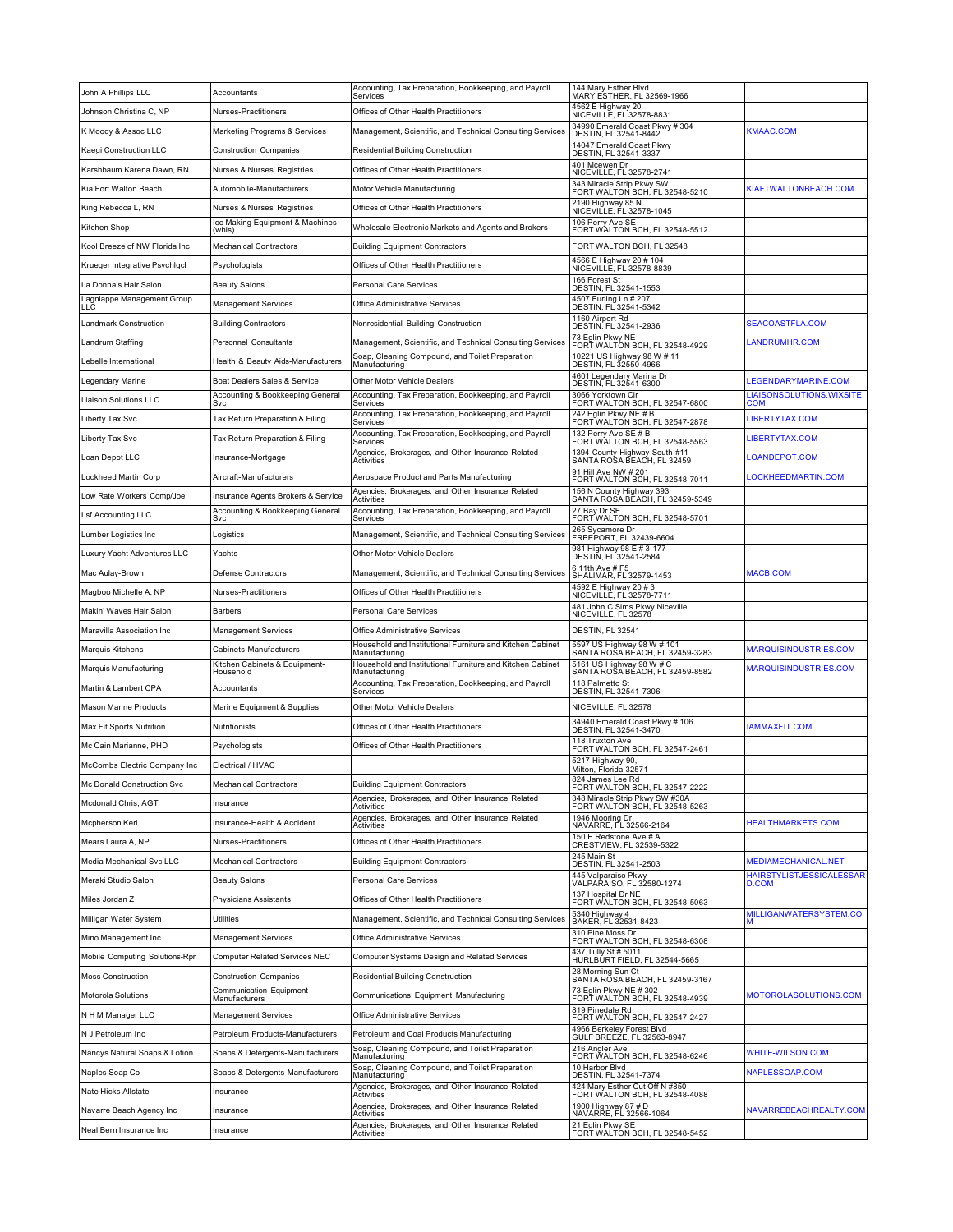| John A Phillips LLC               | Accountants                                | Accounting, Tax Preparation, Bookkeeping, and Payroll<br>Services          | 144 Mary Esther Blvd<br>MARY ESTHER, FL 32569-1966               |                                               |
|-----------------------------------|--------------------------------------------|----------------------------------------------------------------------------|------------------------------------------------------------------|-----------------------------------------------|
| Johnson Christina C, NP           | Nurses-Practitioners                       | Offices of Other Health Practitioners                                      | 4562 E Highway 20<br>NICEVILLE, FL 32578-8831                    |                                               |
| K Moody & Assoc LLC               | Marketing Programs & Services              | Management, Scientific, and Technical Consulting Services                  | 34990 Emerald Coast Pkwy # 304<br>DESTIN, FL 32541-8442          | KMAAC.COM                                     |
| Kaegi Construction LLC            | <b>Construction Companies</b>              | Residential Building Construction                                          | 14047 Emerald Coast Pkwy<br>DESTIN, FL 32541-3337                |                                               |
| Karshbaum Karena Dawn, RN         | Nurses & Nurses' Registries                | Offices of Other Health Practitioners                                      | 401 Mcewen Dr<br>NICEVILLE, FL 32578-2741                        |                                               |
| Kia Fort Walton Beach             | Automobile-Manufacturers                   | Motor Vehicle Manufacturing                                                | 343 Miracle Strip Pkwy SW<br>FORT WALTON BCH, FL 32548-5210      | KIAFTWALTONBEACH.COM                          |
| King Rebecca L, RN                | Nurses & Nurses' Registries                | Offices of Other Health Practitioners                                      | 2190 Highway 85 N<br>NICEVILLE, FL 32578-1045                    |                                               |
| Kitchen Shop                      | Ice Making Equipment & Machines<br>whis)   | Wholesale Electronic Markets and Agents and Brokers                        | 106 Perry Ave SE<br>FORT WALTON BCH, FL 32548-5512               |                                               |
| Kool Breeze of NW Florida Inc     | <b>Mechanical Contractors</b>              | <b>Building Equipment Contractors</b>                                      | FORT WALTON BCH, FL 32548                                        |                                               |
| Krueger Integrative Psychigcl     | Psychologists                              | Offices of Other Health Practitioners                                      | 4566 E Highway 20 # 104<br>NICEVILLE, FL 32578-8839              |                                               |
| La Donna's Hair Salon             | <b>Beauty Salons</b>                       | <b>Personal Care Services</b>                                              | 166 Forest St<br>DESTIN, FL 32541-1553                           |                                               |
| Lagniappe Management Group<br>LLC | <b>Management Services</b>                 | Office Administrative Services                                             | 4507 Furling Ln # 207<br>DESTIN, FL 32541-5342                   |                                               |
| Landmark Construction             | <b>Building Contractors</b>                | Nonresidential Building Construction                                       | 1160 Airport Rd<br>DESTIN, FL 32541-2936                         | SEACOASTFLA.COM                               |
| Landrum Staffing                  | Personnel Consultants                      | Management, Scientific, and Technical Consulting Services                  | 73 Eglin Pkwy NE<br>FORT WALTON BCH, FL 32548-4929               | LANDRUMHR.COM                                 |
| Lebelle International             | Health & Beauty Aids-Manufacturers         | Soap, Cleaning Compound, and Toilet Preparation<br>Manufacturing           | 10221 US Highway 98 W # 11<br>DESTIN, FL 32550-4966              |                                               |
| Legendary Marine                  | Boat Dealers Sales & Service               | Other Motor Vehicle Dealers                                                | 4601 Legendary Marina Dr<br>DESTIN, FL 32541-6300                | LEGENDARYMARINE.COM                           |
| Liaison Solutions LLC             | Accounting & Bookkeeping General<br>Svc    | Accounting, Tax Preparation, Bookkeeping, and Payroll<br>Services          | 3066 Yorktown Cir<br>FORT WALTON BCH, FL 32547-6800              | <b>LIAISONSOLUTIONS.WIXSITE</b><br><b>COM</b> |
| Liberty Tax Svc                   | Tax Return Preparation & Filing            | Accounting, Tax Preparation, Bookkeeping, and Payroll<br>Services          | 242 Eglin Pkwy NE # B<br>FORT WALTON BCH, FL 32547-2878          | LIBERTYTAX.COM                                |
| Liberty Tax Svc                   | Tax Return Preparation & Filing            | Accounting, Tax Preparation, Bookkeeping, and Payroll<br>Services          | 132 Perry Ave SE # B<br>FORT WALTON BCH, FL 32548-5563           | LIBERTYTAX.COM                                |
| Loan Depot LLC                    | Insurance-Mortgage                         | Agencies, Brokerages, and Other Insurance Related<br>Activities            | 1394 County Highway South #11<br>SANTA ROSA BEACH, FL 32459      | LOANDEPOT.COM                                 |
| Lockheed Martin Corp              | Aircraft-Manufacturers                     | Aerospace Product and Parts Manufacturing                                  | 91 Hill Ave NW # 201<br>FORT WALTON BCH, FL 32548-7011           | LOCKHEEDMARTIN.COM                            |
| Low Rate Workers Comp/Joe         | Insurance Agents Brokers & Service         | Agencies, Brokerages, and Other Insurance Related<br>Activities            | 156 N County Highway 393<br>SANTA ROSA BEACH, FL 32459-5349      |                                               |
| Lsf Accounting LLC                | Accounting & Bookkeeping General<br>Svc    | Accounting, Tax Preparation, Bookkeeping, and Payroll<br>Services          | 27 Bay Dr SE<br>FORT WALTON BCH, FL 32548-5701                   |                                               |
| Lumber Logistics Inc              | Logistics                                  | Management, Scientific, and Technical Consulting Services                  | 265 Sycamore Dr<br>FREEPORT, FL 32439-6604                       |                                               |
| Luxury Yacht Adventures LLC       | Yachts                                     | Other Motor Vehicle Dealers                                                | 981 Highway 98 E # 3-177<br>DESTIN, FL 32541-2584                |                                               |
| Mac Aulay-Brown                   | Defense Contractors                        | Management, Scientific, and Technical Consulting Services                  | 6 11th Ave # F5<br>SHALIMAR, FL 32579-1453                       | MACB.COM                                      |
| Magboo Michelle A, NP             | Nurses-Practitioners                       | Offices of Other Health Practitioners                                      | 4592 E Highway 20 # 3<br>NICEVILLĚ, FL´32578-7711                |                                               |
| Makin' Waves Hair Salon           | <b>Barbers</b>                             | <b>Personal Care Services</b>                                              | 481 John C Sims Pkwy Niceville<br>NICEVILLE, FL 32578            |                                               |
| Maravilla Association Inc         | <b>Management Services</b>                 | Office Administrative Services                                             | DESTIN, FL 32541                                                 |                                               |
| Marquis Kitchens                  | Cabinets-Manufacturers                     | Household and Institutional Furniture and Kitchen Cabinet<br>Manufacturing | 5597 US Highway 98 W # 101<br>SANTA ROŜA BÉACH, FL 32459-3283    | MARQUISINDUSTRIES.COM                         |
| Marquis Manufacturing             | Kitchen Cabinets & Equipment-<br>Household | Household and Institutional Furniture and Kitchen Cabinet<br>Manufacturing | 5161 US Highway 98 W # C<br>SANTA ROŜA BÉACH, FL 32459-8582      | <b>MARQUISINDUSTRIES.COM</b>                  |
| Martin & Lambert CPA              | Accountants                                | Accounting, Tax Preparation, Bookkeeping, and Payroll<br>Services          | 118 Palmetto St<br>DESTIN, FL 32541-7306                         |                                               |
| Mason Marine Products             | Marine Equipment & Supplies                | Other Motor Vehicle Dealers                                                | NICEVILLE, FL 32578                                              |                                               |
| Max Fit Sports Nutrition          | Nutritionists                              | Offices of Other Health Practitioners                                      | 34940 Emerald Coast Pkwy # 106<br>DESTIN, FL 32541-3470          | <b>IAMMAXFIT.COM</b>                          |
| Mc Cain Marianne, PHD             | Psychologists                              | Offices of Other Health Practitioners                                      | 118 Truxton Ave<br>FORT WALTON BCH, FL 32547-2461                |                                               |
| McCombs Electric Company Inc      | Electrical / HVAC                          |                                                                            | 5217 Highway 90,<br>Milton, Florida 32571                        |                                               |
| Mc Donald Construction Svc        | <b>Mechanical Contractors</b>              | <b>Building Equipment Contractors</b>                                      | 824 James Lee Rd<br>FORT WALTON BCH, FL 32547-2222               |                                               |
| Mcdonald Chris, AGT               | Insurance                                  | Agencies, Brokerages, and Other Insurance Related<br>Activities            | 348 Miracle Strip Pkwy SW #30A<br>FORT WALTON BCH, FL 32548-5263 |                                               |
| Mcpherson Keri                    | Insurance-Health & Accident                | Agencies, Brokerages, and Other Insurance Related<br>Activities            | 1946 Mooring Dr<br>NAVARRE, FL 32566-2164                        | <b>HEALTHMARKETS.COM</b>                      |
| Mears Laura A, NP                 | Nurses-Practitioners                       | Offices of Other Health Practitioners                                      | 150 E Redstone Ave # A<br>CRESTVIEW, FL 32539-5322               |                                               |
| Media Mechanical Svc LLC          | <b>Mechanical Contractors</b>              | <b>Building Equipment Contractors</b>                                      | 245 Main St<br>DESTIN, FL 32541-2503                             | <b>MEDIAMECHANICAL.NET</b>                    |
| Meraki Studio Salon               | <b>Beauty Salons</b>                       | Personal Care Services                                                     | 445 Valparaiso Pkwy<br>VALPARAISO, FL 32580-1274                 | HAIRSTYLISTJESSICALESSAR<br><b>D.COM</b>      |
| Miles Jordan Z                    | Physicians Assistants                      | Offices of Other Health Practitioners                                      | 137 Hospital Dr NE<br>FORT WALTON BCH, FL 32548-5063             |                                               |
| Milligan Water System             | Utilities                                  | Management, Scientific, and Technical Consulting Services                  | 5340 Highway 4<br>BAKER, FL 32531-8423                           | MILLIGANWATERSYSTEM.CO                        |
| Mino Management Inc               | <b>Management Services</b>                 | Office Administrative Services                                             | 310 Pine Moss Dr<br>FORT WALTON BCH, FL 32548-6308               |                                               |
| Mobile Computing Solutions-Rpr    | <b>Computer Related Services NEC</b>       | Computer Systems Design and Related Services                               | 437 Tully St # 5011<br>HURLBÚRT FIELD, FL 32544-5665             |                                               |
| Moss Construction                 | <b>Construction Companies</b>              | <b>Residential Building Construction</b>                                   | 28 Morning Sun Ct<br>SANTA RŌSA BEACH, FL 32459-3167             |                                               |
| Motorola Solutions                | Communication Equipment-<br>Manufacturers  | Communications Equipment Manufacturing                                     | 73 Eglin Pkwy NE #302<br>FORT WALTON BCH, FL 32548-4939          | MOTOROLASOLUTIONS.COM                         |
| N H M Manager LLC                 | Management Services                        | Office Administrative Services                                             | 819 Pinedale Rd<br>FORT WALTON BCH, FL 32547-2427                |                                               |
| N J Petroleum Inc                 | Petroleum Products-Manufacturers           | Petroleum and Coal Products Manufacturing                                  | 4966 Berkeley Forest Blvd<br>GULF BREEZE, FL 32563-8947          |                                               |
| Nancys Natural Soaps & Lotion     | Soaps & Detergents-Manufacturers           | Soap, Cleaning Compound, and Toilet Preparation<br>Manufacturing           | 216 Angler Ave<br>FORT WALTON BCH, FL 32548-6246                 | WHITE-WILSON.COM                              |
| Naples Soap Co                    | Soaps & Detergents-Manufacturers           | Soap, Cleaning Compound, and Toilet Preparation<br>Manufacturing           | 10 Harbor Blvd<br>DESTIN, FL 32541-7374                          | NAPLESSOAP.COM                                |
| Nate Hicks Allstate               | Insurance                                  | Agencies, Brokerages, and Other Insurance Related<br>Activities            | 424 Mary Esther Cut Off N #850<br>FORT WALTON BCH, FL 32548-4088 |                                               |
| Navarre Beach Agency Inc          | Insurance                                  | Agencies, Brokerages, and Other Insurance Related<br>Activities            | 1900 Highway 87 # D<br>NAVARŘE, FL 32566-1064                    | NAVARREBEACHREALTY.COM                        |
| Neal Bern Insurance Inc           | Insurance                                  | Agencies, Brokerages, and Other Insurance Related<br>Activities            | 21 Eglin Pkwy SE<br>FORT WALTON BCH, FL 32548-5452               |                                               |
|                                   |                                            |                                                                            |                                                                  |                                               |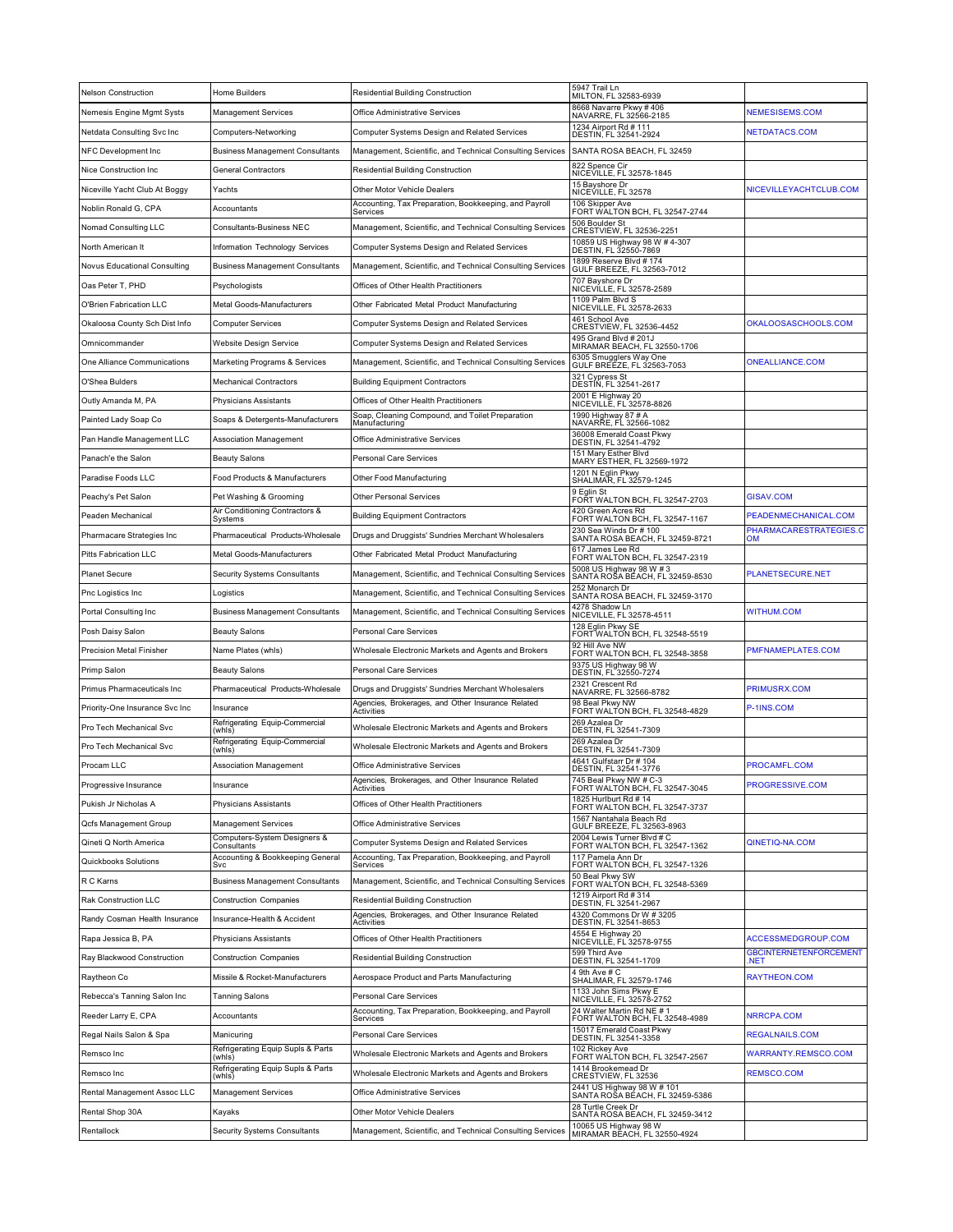| <b>Nelson Construction</b>     | Home Builders                                   | Residential Building Construction                                               | 5947 Trail Ln<br>MILTON, FL 32583-6939                                       |                                     |
|--------------------------------|-------------------------------------------------|---------------------------------------------------------------------------------|------------------------------------------------------------------------------|-------------------------------------|
| Nemesis Engine Mgmt Systs      | <b>Management Services</b>                      | Office Administrative Services                                                  | 8668 Navarre Pkwy #406<br>NAVARRE, FL 32566-2185                             | <b>NEMESISEMS.COM</b>               |
| Netdata Consulting Svc Inc     | Computers-Networking                            | Computer Systems Design and Related Services                                    | 1234 Airport Rd # 111<br>DESTIN, FL 32541-2924                               | NETDATACS.COM                       |
| NFC Development Inc            | <b>Business Management Consultants</b>          | Management, Scientific, and Technical Consulting Services                       | SANTA ROSA BEACH, FL 32459                                                   |                                     |
| Nice Construction Inc          | <b>General Contractors</b>                      | Residential Building Construction                                               | 822 Spence Cir<br>NICEVILLE, FL 32578-1845                                   |                                     |
| Niceville Yacht Club At Boggy  | Yachts                                          | Other Motor Vehicle Dealers                                                     | 15 Bayshore Dr<br>NICEÚILLE, FL 32578                                        | NICEVILLEYACHTCLUB.COM              |
| Noblin Ronald G, CPA           | Accountants                                     | Accounting, Tax Preparation, Bookkeeping, and Payroll<br>Services               | 106 Skipper Ave<br>FORT WALTON BCH, FL 32547-2744                            |                                     |
| Nomad Consulting LLC           | Consultants-Business NEC                        | Management, Scientific, and Technical Consulting Services                       | 506 Boulder St<br>CRESTVIEW, FL 32536-2251                                   |                                     |
| North American It              | Information Technology Services                 | Computer Systems Design and Related Services                                    | 10859 US Highway 98 W # 4-307<br>DESTIN, FL 32550-7869                       |                                     |
| Novus Educational Consulting   | <b>Business Management Consultants</b>          | Management, Scientific, and Technical Consulting Services                       | 1899 Reserve Blvd # 174<br>GULF BREEZE, FL 32563-7012                        |                                     |
| Oas Peter T, PHD               | Psychologists                                   | Offices of Other Health Practitioners                                           | 707 Bayshore Dr<br>NICEVILLE, FL 32578-2589                                  |                                     |
| O'Brien Fabrication LLC        | Metal Goods-Manufacturers                       | Other Fabricated Metal Product Manufacturing                                    | 1109 Palm Blvd S<br>NICEVILLE, FL 32578-2633                                 |                                     |
| Okaloosa County Sch Dist Info  | Computer Services                               | Computer Systems Design and Related Services                                    | 461 School Ave<br>CRESTVIEW, FL 32536-4452                                   | OKALOOSASCHOOLS.COM                 |
| Omnicommander                  | Website Design Service                          | Computer Systems Design and Related Services                                    | 495 Grand Blvd # 201J<br>MIRAMAR BEACH, FL 32550-1706                        |                                     |
| One Alliance Communications    | Marketing Programs & Services                   | Management, Scientific, and Technical Consulting Services                       | 6305 Smugglers Way One<br>GULF BREEZE, FL 32563-7053                         | <b>ONEALLIANCE.COM</b>              |
| O'Shea Bulders                 | <b>Mechanical Contractors</b>                   | <b>Building Equipment Contractors</b>                                           | 321 Cypress St<br>DESTIN, FL 32541-2617                                      |                                     |
| Outly Amanda M, PA             | Physicians Assistants                           | Offices of Other Health Practitioners                                           | 2001 E Highway 20<br>NICEVILLE, FL 32578-8826                                |                                     |
| Painted Lady Soap Co           | Soaps & Detergents-Manufacturers                | Soap, Cleaning Compound, and Toilet Preparation<br>Manufacturing                | 1990 Highway 87 # A<br>NAVARRE, FL 32566-1082                                |                                     |
| Pan Handle Management LLC      | Association Management                          | Office Administrative Services                                                  | 36008 Emerald Coast Pkwy<br>DESTIN, FL 32541-4792                            |                                     |
| Panach'e the Salon             | <b>Beauty Salons</b>                            | Personal Care Services                                                          | 151 Mary Esther Blvd<br>MARY ESTHER, FL 32569-1972                           |                                     |
| Paradise Foods LLC             | Food Products & Manufacturers                   | Other Food Manufacturing                                                        | 1201 N Eglin Pkwy<br>SHALIMAR, FL 32579-1245                                 |                                     |
| Peachy's Pet Salon             | Pet Washing & Grooming                          | <b>Other Personal Services</b>                                                  | 9 Eglin St                                                                   | <b>GISAV.COM</b>                    |
| Peaden Mechanical              | Air Conditioning Contractors &                  | <b>Building Equipment Contractors</b>                                           | FORT WALTON BCH, FL 32547-2703<br>420 Green Acres Rd                         | PEADENMECHANICAL.COM                |
| Pharmacare Strategies Inc      | Systems<br>Pharmaceutical Products-Wholesale    | Drugs and Druggists' Sundries Merchant Wholesalers                              | FORT WALTON BCH, FL 32547-1167<br>230 Sea Winds Dr # 100                     | PHARMACARESTRATEGIES.C<br><b>OM</b> |
| Pitts Fabrication LLC          | Metal Goods-Manufacturers                       | Other Fabricated Metal Product Manufacturing                                    | SANTA ROSA BEACH, FL 32459-8721<br>617 James Lee Rd                          |                                     |
| Planet Secure                  | Security Systems Consultants                    | Management, Scientific, and Technical Consulting Services                       | FORT WALTON BCH, FL 32547-2319<br>5008 US Highway 98 W # 3                   | PLANETSECURE.NET                    |
| Pnc Logistics Inc              | Logistics                                       | Management, Scientific, and Technical Consulting Services                       | SANTA ROSA BEACH, FL 32459-8530<br>252 Monarch Dr                            |                                     |
| Portal Consulting Inc          | <b>Business Management Consultants</b>          | Management, Scientific, and Technical Consulting Services                       | SANTA ROSA BEACH, FL 32459-3170<br>4278 Shadow Ln                            | <b>WITHUM.COM</b>                   |
| Posh Daisy Salon               | <b>Beauty Salons</b>                            | Personal Care Services                                                          | NICEVILLE, FL 32578-4511<br>128 Eglin Pkwy SE                                |                                     |
| Precision Metal Finisher       | Name Plates (whis)                              | Wholesale Electronic Markets and Agents and Brokers                             | FORT WALTON BCH, FL 32548-5519<br>92 Hill Ave NW                             | PMFNAMEPLATES.COM                   |
| Primp Salon                    | Beauty Salons                                   | Personal Care Services                                                          | FORT WALTON BCH, FL 32548-3858<br>9375 US Highway 98 W                       |                                     |
| Primus Pharmaceuticals Inc     | Pharmaceutical Products-Wholesale               | Drugs and Druggists' Sundries Merchant Wholesalers                              | DESTIN, FL 32550-7274<br>2321 Crescent Rd                                    | PRIMUSRX.COM                        |
| Priority-One Insurance Svc Inc | Insurance                                       | Agencies, Brokerages, and Other Insurance Related                               | NAVARRE, FL 32566-8782<br>98 Beal Pkwy NW<br>FORT WALTON BCH, FL 32548-4829  | P-1INS.COM                          |
| Pro Tech Mechanical Svc        | Refrigerating Equip-Commercial                  | Activities<br>Wholesale Electronic Markets and Agents and Brokers               | 269 Azalea Dr<br>DESTIN, FL 32541-7309                                       |                                     |
| Pro Tech Mechanical Svc        | (whis)<br>Refrigerating Equip-Commercial        | Wholesale Electronic Markets and Agents and Brokers                             | 269 Azalea Dr                                                                |                                     |
| Procam LLC                     | (whls)<br>Association Management                | Office Administrative Services                                                  | DESTIN, FL 32541-7309<br>4641 Gulfstarr Dr # 104                             | PROCAMFL.COM                        |
| Progressive Insurance          | Insurance                                       | Agencies, Brokerages, and Other Insurance Related                               | DESTIN, FL 32541-3776<br>745 Beal Pkwy NW # C-3                              | <b>PROGRESSIVE.COM</b>              |
| Pukish Jr Nicholas A           | Physicians Assistants                           | Activities<br>Offices of Other Health Practitioners                             | FORT WALTON BCH, FL 32547-3045<br>1825 Hurlburt Rd # 14                      |                                     |
| Qcfs Management Group          | Management Services                             | Office Administrative Services                                                  | FORT WALTON BCH, FL 32547-3737<br>1567 Nantahala Beach Rd                    |                                     |
| Qineti Q North America         | Computers-System Designers &                    | Computer Systems Design and Related Services                                    | GULF BREEZE, FL 32563-8963<br>2004 Lewis Turner Blvd # C                     | QINETIQ-NA.COM                      |
| Quickbooks Solutions           | Consultants<br>Accounting & Bookkeeping General | Accounting, Tax Preparation, Bookkeeping, and Payroll                           | FORT WALTON BCH, FL 32547-1362<br>117 Pamela Ann Dr                          |                                     |
| R C Karns                      | Svc<br><b>Business Management Consultants</b>   | Services<br>Management, Scientific, and Technical Consulting Services           | FORT WALTON BCH, FL 32547-1326<br>50 Beal Pkwy SW                            |                                     |
| Rak Construction LLC           | <b>Construction Companies</b>                   | Residential Building Construction                                               | FORT WALTON BCH, FL 32548-5369<br>1219 Airport Rd # 314                      |                                     |
| Randy Cosman Health Insurance  | Insurance-Health & Accident                     | Agencies, Brokerages, and Other Insurance Related                               | DESTIN, FL 32541-2967<br>4320 Commons Dr W # 3205                            |                                     |
| Rapa Jessica B, PA             | Physicians Assistants                           | Activities<br>Offices of Other Health Practitioners                             | DESTIN, FL 32541-8653<br>4554 E Highway 20                                   | ACCESSMEDGROUP.COM                  |
| Ray Blackwood Construction     | <b>Construction Companies</b>                   | Residential Building Construction                                               | NICEVILLE, FL 32578-9755<br>599 Third Ave                                    | <b>GBCINTERNETENFORCEMENT</b>       |
| Raytheon Co                    | Missile & Rocket-Manufacturers                  | Aerospace Product and Parts Manufacturing                                       | DESTIN, FL 32541-1709<br>4 9th Ave # C                                       | NET.<br><b>RAYTHEON.COM</b>         |
|                                |                                                 |                                                                                 | SHALIMAR, FL 32579-1746<br>1133 John Sims Pkwy E<br>NICEVILLE, FL 32578-2752 |                                     |
| Rebecca's Tanning Salon Inc    | Tanning Salons                                  | Personal Care Services<br>Accounting, Tax Preparation, Bookkeeping, and Payroll | 24 Walter Martin Rd NE # 1                                                   |                                     |
| Reeder Larry E, CPA            | Accountants                                     | Services                                                                        | FORT WALTON BCH, FL 32548-4989<br>15017 Emerald Coast Pkwy                   | NRRCPA.COM                          |
| Regal Nails Salon & Spa        | Manicuring<br>Refrigerating Equip Supls & Parts | Personal Care Services                                                          | DESTIN, FL 32541-3358<br>102 Rickey Ave<br>FORT WALTON BCH, FL 32547-2567    | <b>REGALNAILS.COM</b>               |
| Remsco Inc                     | (whis)<br>Refrigerating Equip Supls & Parts     | Wholesale Electronic Markets and Agents and Brokers                             | 1414 Brookemead Dr                                                           | WARRANTY.REMSCO.COM                 |
| Remsco Inc                     | (whls)                                          | Wholesale Electronic Markets and Agents and Brokers                             | CRESTVIEW, FL 32536<br>2441 US Highway 98 W # 101                            | REMSCO.COM                          |
| Rental Management Assoc LLC    | <b>Management Services</b>                      | Office Administrative Services                                                  | SANTA ROŠA BĚACH, FL 32459-5386<br>28 Turtle Creek Dr                        |                                     |
| Rental Shop 30A                | Kayaks                                          | Other Motor Vehicle Dealers                                                     | SANTA ROSA BEACH, FL 32459-3412<br>10065 US Highway 98 W                     |                                     |
| Rentallock                     | Security Systems Consultants                    | Management, Scientific, and Technical Consulting Services                       | MIRAMAR BĚACH, FL 32550-4924                                                 |                                     |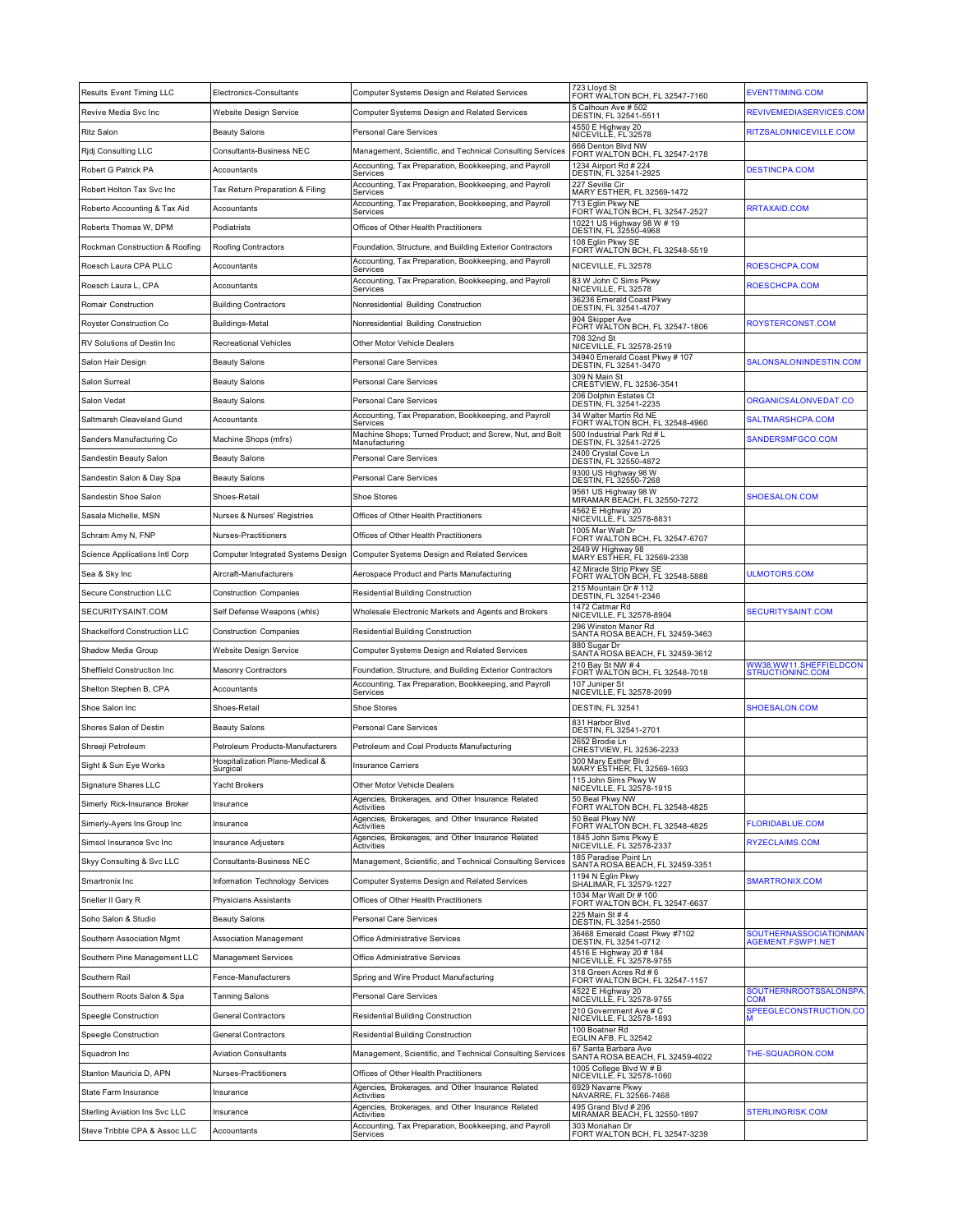| Results Event Timing LLC       | Electronics-Consultants                                             | Computer Systems Design and Related Services                                                                      | 723 Lloyd St<br>FORT WALTON BCH, FL 32547-7160           | <b>EVENTTIMING.COM</b>                             |
|--------------------------------|---------------------------------------------------------------------|-------------------------------------------------------------------------------------------------------------------|----------------------------------------------------------|----------------------------------------------------|
| Revive Media Svc Inc           | Website Design Service                                              | <b>Computer Systems Design and Related Services</b>                                                               | 5 Calhoun Ave # 502<br>DESTIN, FL 32541-5511             | REVIVEMEDIASERVICES.COM                            |
| <b>Ritz Salon</b>              | <b>Beauty Salons</b>                                                | Personal Care Services                                                                                            | 4550 E Highway 20<br>NICEVILLE, FL 32578                 | RITZSALONNICEVILLE.COM                             |
| Rjdj Consulting LLC            | Consultants-Business NEC                                            | Management, Scientific, and Technical Consulting Services                                                         | 666 Denton Blvd NW<br>FORT WALTON BCH, FL 32547-2178     |                                                    |
| Robert G Patrick PA            | Accountants                                                         | Accounting, Tax Preparation, Bookkeeping, and Payroll<br>Services                                                 | 1234 Airport Rd # 224<br>DESTIN, FL 32541-2925           | DESTINCPA.COM                                      |
| Robert Holton Tax Svc Inc      | Tax Return Preparation & Filing                                     | Accounting, Tax Preparation, Bookkeeping, and Payroll<br>Services                                                 | 227 Seville Cir<br>MARY ESTHER, FL 32569-1472            |                                                    |
| Roberto Accounting & Tax Aid   | Accountants                                                         | Accounting, Tax Preparation, Bookkeeping, and Payroll<br>Services                                                 | 713 Eglin Pkwy NE<br>FORT WALTON BCH, FL 32547-2527      | RRTAXAID.COM                                       |
| Roberts Thomas W, DPM          | Podiatrists                                                         | Offices of Other Health Practitioners                                                                             | 10221 US Highway 98 W # 19<br>DESTIN, FL 32550-4968      |                                                    |
| Rockman Construction & Roofing | Roofing Contractors                                                 | Foundation, Structure, and Building Exterior Contractors                                                          | 108 Eglin Pkwy SE<br>FORT WALTON BCH, FL 32548-5519      |                                                    |
| Roesch Laura CPA PLLC          | Accountants                                                         | Accounting, Tax Preparation, Bookkeeping, and Payroll<br>Services                                                 | NICEVILLE, FL 32578                                      | ROESCHCPA.COM                                      |
| Roesch Laura L, CPA            | Accountants                                                         | Accounting, Tax Preparation, Bookkeeping, and Payroll<br>Services                                                 | 83 W John C Sims Pkwy<br>NICEVILLE, FL 32578             | ROESCHCPA.COM                                      |
| Romair Construction            | <b>Building Contractors</b>                                         | Nonresidential Building Construction                                                                              | 36236 Emerald Coast Pkwy<br>DESTIN, FL 32541-4707        |                                                    |
| Royster Construction Co        | Buildings-Metal                                                     | Nonresidential Building Construction                                                                              | 904 Skipper Ave<br>FORT WALTON BCH, FL 32547-1806        | ROYSTERCONST.COM                                   |
| RV Solutions of Destin Inc     | Recreational Vehicles                                               | Other Motor Vehicle Dealers                                                                                       | 708 32nd St<br>NICEVILLE, FL 32578-2519                  |                                                    |
| Salon Hair Design              | <b>Beauty Salons</b>                                                | Personal Care Services                                                                                            | 34940 Emerald Coast Pkwy # 107<br>DESTIN, FL 32541-3470  | SALONSALONINDESTIN.COM                             |
| Salon Surreal                  | <b>Beauty Salons</b>                                                | Personal Care Services                                                                                            | 309 N Main St<br>CRESTVIEW, FL 32536-3541                |                                                    |
| Salon Vedat                    | <b>Beauty Salons</b>                                                | Personal Care Services                                                                                            | 206 Dolphin Estates Ct<br>DESTIN, FL 32541-2235          | ORGANICSALONVEDAT.CO                               |
| Saltmarsh Cleaveland Gund      | Accountants                                                         | Accounting, Tax Preparation, Bookkeeping, and Payroll<br>Services                                                 | 34 Walter Martin Rd NE<br>FORT WALTON BCH, FL 32548-4960 | SALTMARSHCPA.COM                                   |
| Sanders Manufacturing Co       | Machine Shops (mfrs)                                                | Machine Shops: Turned Product: and Screw, Nut, and Bolt                                                           | 500 Industrial Park Rd # L                               | SANDERSMFGCO.COM                                   |
| Sandestin Beauty Salon         | <b>Beauty Salons</b>                                                | Manufacturing<br>Personal Care Services                                                                           | DESTIN, FL 32541-2725<br>2400 Crystal Cove Ln            |                                                    |
| Sandestin Salon & Day Spa      | <b>Beauty Salons</b>                                                | Personal Care Services                                                                                            | DESTIN, FL 32550-4872<br>9300 US Highway 98 W            |                                                    |
| Sandestin Shoe Salon           | Shoes-Retail                                                        | Shoe Stores                                                                                                       | DESTIN, FL 32550-7268<br>9561 US Highway 98 W            | SHOESALON.COM                                      |
| Sasala Michelle, MSN           | Nurses & Nurses' Registries                                         | Offices of Other Health Practitioners                                                                             | MIRAMAR BEACH, FL 32550-7272<br>4562 E Highway 20        |                                                    |
|                                |                                                                     |                                                                                                                   | NICEVILLE, FL 32578-8831<br>1005 Mar Walt Dr             |                                                    |
| Schram Amy N, FNP              | Nurses-Practitioners                                                | Offices of Other Health Practitioners                                                                             | FORT WALTON BCH, FL 32547-6707<br>2649 W Highway 98      |                                                    |
| Science Applications Intl Corp | Computer Integrated Systems Design                                  | Computer Systems Design and Related Services                                                                      | MARY ESTHER, FL 32569-2338<br>42 Miracle Strip Pkwy SE   |                                                    |
| Sea & Sky Inc                  | Aircraft-Manufacturers                                              | Aerospace Product and Parts Manufacturing                                                                         | FORT WALTON BCH, FL 32548-5888<br>215 Mountain Dr # 112  | <b>ULMOTORS.COM</b>                                |
| Secure Construction LLC        | <b>Construction Companies</b>                                       | <b>Residential Building Construction</b>                                                                          | DESTIN, FL 32541-2346<br>1472 Catmar Rd                  |                                                    |
| SECURITYSAINT.COM              | Self Defense Weapons (whis)                                         | Wholesale Electronic Markets and Agents and Brokers                                                               | NICEVILLE, FL 32578-8904<br>296 Winston Manor Rd         | <b>SECURITYSAINT.COM</b>                           |
| Shackelford Construction LLC   | <b>Construction Companies</b>                                       | <b>Residential Building Construction</b>                                                                          | SANTA ROSA BEACH, FL 32459-3463<br>880 Sugar Dr          |                                                    |
| Shadow Media Group             | Website Design Service                                              | Computer Systems Design and Related Services                                                                      | SANTA ROSA BEACH, FL 32459-3612<br>210 Bay St NW #4      | WW38.WW11.SHEFFIELDCON<br>STRUCTIONINC.COM         |
| Sheffield Construction Inc     | <b>Masonry Contractors</b>                                          | Foundation, Structure, and Building Exterior Contractors<br>Accounting, Tax Preparation, Bookkeeping, and Payroll | FORT WALTON BCH, FL 32548-7018                           |                                                    |
| Shelton Stephen B, CPA         | Accountants                                                         | Services                                                                                                          | 107 Juniper St<br>NICEVILLE, FL 32578-2099               |                                                    |
| Shoe Salon Inc                 | Shoes-Retail                                                        | Shoe Stores                                                                                                       | DESTIN, FL 32541<br>831 Harbor Blvd                      | SHOESALON.COM                                      |
| Shores Salon of Destin         | <b>Beauty Salons</b>                                                | Personal Care Services                                                                                            | DESTIN, FL 32541-2701<br>2652 Brodie Ln                  |                                                    |
| Shreeji Petroleum              | Petroleum Products-Manufacturers<br>Hospitalization Plans-Medical & | Petroleum and Coal Products Manufacturing                                                                         | CRESTVIEW, FL 32536-2233<br>300 Mary Esther Blvd         |                                                    |
| Sight & Sun Eye Works          | Surgical                                                            | <b>Insurance Carriers</b>                                                                                         | MARY ESTHER, FL 32569-1693<br>115 John Sims Pkwy W       |                                                    |
| Signature Shares LLC           | Yacht Brokers                                                       | Other Motor Vehicle Dealers<br>Agencies, Brokerages, and Other Insurance Related                                  | NICEVILLE, FL 32578-1915<br>50 Beal Pkwy NW              |                                                    |
| Simerly Rick-Insurance Broker  | Insurance                                                           | Activities<br>Agencies, Brokerages, and Other Insurance Related                                                   | FORT WALTON BCH, FL 32548-4825<br>50 Beal Pkwy NW        |                                                    |
| Simerly-Ayers Ins Group Inc    | Insurance                                                           | Activities<br>Agencies, Brokerages, and Other Insurance Related                                                   | FORT WALTON BCH, FL 32548-4825<br>1845 John Sims Pkwy E  | <b>FLORIDABLUE.COM</b>                             |
| Simsol Insurance Svc Inc       | Insurance Adjusters                                                 | Activities                                                                                                        | NICEVILLE, FL 32578-2337<br>185 Paradise Point Ln        | RYZECLAIMS.COM                                     |
| Skyy Consulting & Svc LLC      | <b>Consultants-Business NEC</b>                                     | Management, Scientific, and Technical Consulting Services                                                         | SANTA ROSA BEACH, FL 32459-3351<br>1194 N Eglin Pkwy     |                                                    |
| Smartronix Inc                 | Information Technology Services                                     | Computer Systems Design and Related Services                                                                      | SHALIMAR, FL 32579-1227                                  | SMARTRONIX.COM                                     |
| Sneller II Gary R              | Physicians Assistants                                               | Offices of Other Health Practitioners                                                                             | 1034 Mar Walt Dr # 100<br>FORT WALTON BCH, FL 32547-6637 |                                                    |
| Soho Salon & Studio            | <b>Beauty Salons</b>                                                | Personal Care Services                                                                                            | 225 Main St # 4<br>DESTIN, FL 32541-2550                 |                                                    |
| Southern Association Mgmt      | Association Management                                              | Office Administrative Services                                                                                    | 36468 Emerald Coast Pkwy #7102<br>DESTIN, FL 32541-0712  | <b>SOUTHERNASSOCIATIONMAN</b><br>AGEMENT.FSWP1.NET |
| Southern Pine Management LLC   | <b>Management Services</b>                                          | Office Administrative Services                                                                                    | 4516 E Highway 20 # 184<br>NICEVILLE, FL'32578-9755      |                                                    |
| Southern Rail                  | Fence-Manufacturers                                                 | Spring and Wire Product Manufacturing                                                                             | 318 Green Acres Rd #6<br>FORT WALTON BCH, FL 32547-1157  |                                                    |
| Southern Roots Salon & Spa     | Tanning Salons                                                      | Personal Care Services                                                                                            | 4522 E Highway 20<br>NICEVILLE, FL'32578-9755            | SOUTHERNROOTSSALONSPA<br>COM                       |
| Speegle Construction           | General Contractors                                                 | Residential Building Construction                                                                                 | 210 Government Ave # C<br>NICEVILLE, FL 32578-1893       | SPEEGLECONSTRUCTION.CO                             |
| Speegle Construction           | General Contractors                                                 | Residential Building Construction                                                                                 | 100 Boatner Rd<br>EGLIN AFB, FL 32542                    |                                                    |
| Squadron Inc                   | Aviation Consultants                                                | Management, Scientific, and Technical Consulting Services                                                         | 67 Santa Barbara Ave<br>SANTA ROSA BEACH, FL 32459-4022  | THE-SQUADRON.COM                                   |
| Stanton Mauricia D, APN        | Nurses-Practitioners                                                | Offices of Other Health Practitioners                                                                             | 1005 College Blvd W # B<br>NICEVILLE, FL 32578-1060      |                                                    |
| State Farm Insurance           | Insurance                                                           | Agencies, Brokerages, and Other Insurance Related<br>Activities                                                   | 6929 Navarre Pkwy<br>NAVARRE, FL 32566-7468              |                                                    |
| Sterling Aviation Ins Svc LLC  | Insurance                                                           | Agencies, Brokerages, and Other Insurance Related<br>Activities                                                   | 495 Grand Blvd # 206<br>MIRAMAR BEACH, FL 32550-1897     | <b>STERLINGRISK.COM</b>                            |
| Steve Tribble CPA & Assoc LLC  | Accountants                                                         | Accounting, Tax Preparation, Bookkeeping, and Payroll<br>Services                                                 | 303 Monahan Dr<br>FORT WALTON BCH, FL 32547-3239         |                                                    |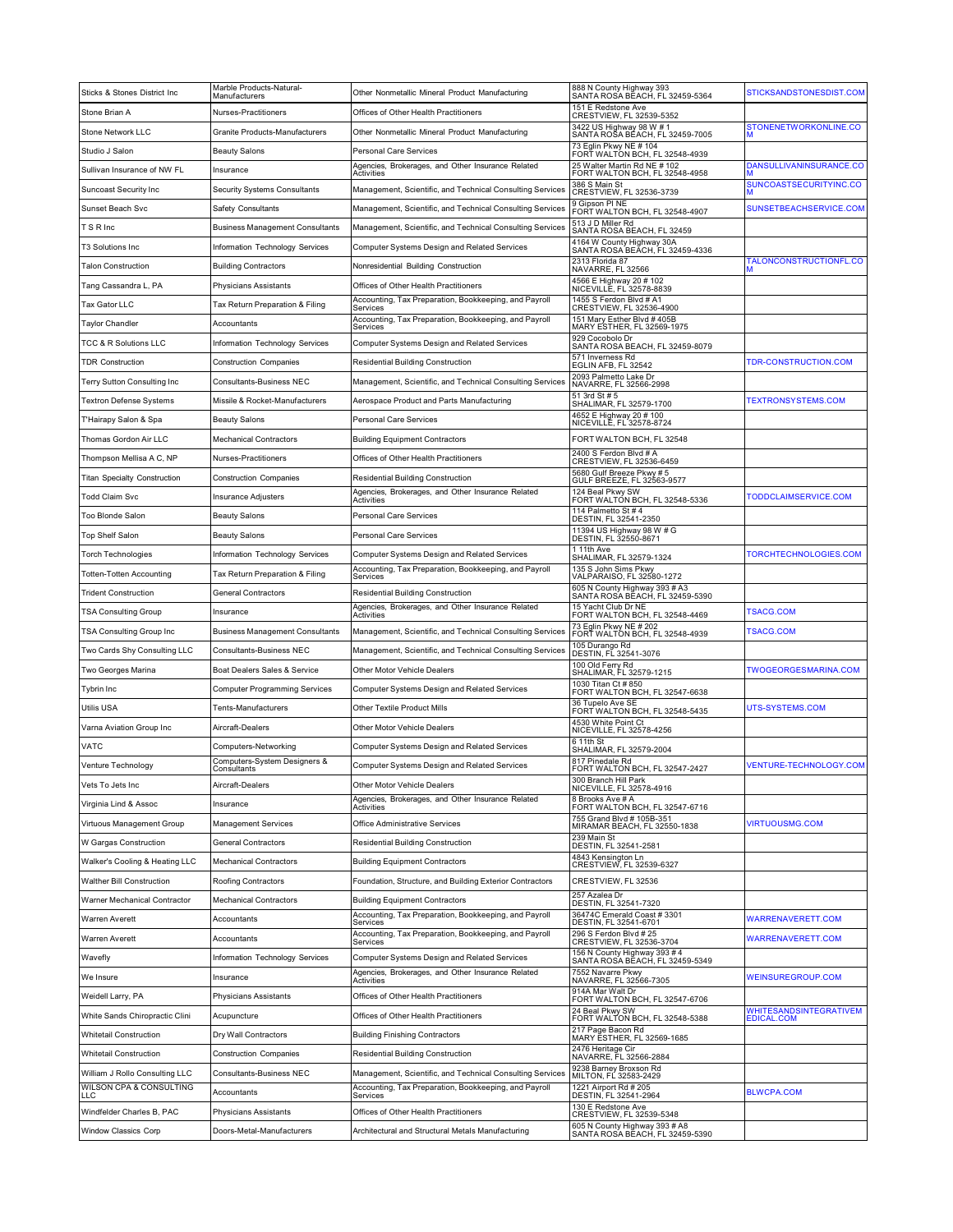| Sticks & Stones District Inc                              | Marble Products-Natural-<br>Manufacturers | Other Nonmetallic Mineral Product Manufacturing                                                                    | 888 N County Highway 393<br>SANTA ROSA BEACH, FL 32459-5364                       | STICKSANDSTONESDIST.COM              |
|-----------------------------------------------------------|-------------------------------------------|--------------------------------------------------------------------------------------------------------------------|-----------------------------------------------------------------------------------|--------------------------------------|
| Stone Brian A                                             | Nurses-Practitioners                      | Offices of Other Health Practitioners                                                                              | 151 E Redstone Ave<br>CRESTVIEW, FL 32539-5352                                    |                                      |
| Stone Network LLC                                         | Granite Products-Manufacturers            | Other Nonmetallic Mineral Product Manufacturing                                                                    | 3422 US Highway 98 W # 1<br>SANTA ROŠA BÉACH, FL 32459-7005                       | STONENETWORKONLINE.CO                |
| Studio J Salon                                            | <b>Beauty Salons</b>                      | <b>Personal Care Services</b>                                                                                      | 73 Eglin Pkwy NE # 104<br>FORT WALTON BCH, FL 32548-4939                          |                                      |
| Sullivan Insurance of NW FL                               | Insurance                                 | Agencies, Brokerages, and Other Insurance Related<br>Activities                                                    | 25 Walter Martin Rd NE # 102<br>FORT WALTON BCH, FL 32548-4958                    | DANSULLIVANINSURANCE.CO              |
| Suncoast Security Inc                                     | <b>Security Systems Consultants</b>       | Management, Scientific, and Technical Consulting Services                                                          | 386 S Main St<br>CRESTVIEW, FL 32536-3739                                         | SUNCOASTSECURITYINC.CO               |
| Sunset Beach Svc                                          | Safety Consultants                        | Management, Scientific, and Technical Consulting Services                                                          | 9 Gipson PI NE<br>FORT WALTON BCH, FL 32548-4907                                  | SUNSETBEACHSERVICE.COM               |
| T S R Inc                                                 | <b>Business Management Consultants</b>    | Management, Scientific, and Technical Consulting Services                                                          | 513 J D Miller Rd<br>SANTA ROSA BEACH, FL 32459                                   |                                      |
| T3 Solutions Inc                                          | Information Technology Services           | Computer Systems Design and Related Services                                                                       | 4164 W County Highway 30A<br>SANTA ROSA BEACH, FL 32459-4336                      |                                      |
| Talon Construction                                        | <b>Building Contractors</b>               | Nonresidential Building Construction                                                                               | 2313 Florida 87<br>NAVARRE, FL 32566                                              | TALONCONSTRUCTIONFL.CO               |
| Tang Cassandra L, PA                                      | Physicians Assistants                     | Offices of Other Health Practitioners                                                                              | 4566 E Highway 20 # 102<br>NICEVILLE, FL 32578-8839                               |                                      |
| Tax Gator LLC                                             | Tax Return Preparation & Filing           | Accounting, Tax Preparation, Bookkeeping, and Payroll<br>Services                                                  | 1455 S Ferdon Blvd # A1<br>CRESTVIEW, FL 32536-4900                               |                                      |
| Taylor Chandler                                           | Accountants                               | Accounting, Tax Preparation, Bookkeeping, and Payroll<br>Services                                                  | 151 Mary Esther Blvd # 405B<br>MARY ESTHER, FL 32569-1975                         |                                      |
| FCC & R Solutions LLC                                     | Information Technology Services           | Computer Systems Design and Related Services                                                                       | 929 Cocobolo Dr<br>SANTA ROSA BEACH, FL 32459-8079                                |                                      |
| <b>TDR Construction</b>                                   | <b>Construction Companies</b>             | <b>Residential Building Construction</b>                                                                           | 571 Inverness Rd<br>EGLIN AFB, FL 32542                                           | TDR-CONSTRUCTION.COM                 |
| Terry Sutton Consulting Inc                               | Consultants-Business NEC                  | Management, Scientific, and Technical Consulting Services                                                          | 2093 Palmetto Lake Dr<br>NAVARRE, FL 32566-2998                                   |                                      |
| Textron Defense Systems                                   | Missile & Rocket-Manufacturers            | Aerospace Product and Parts Manufacturing                                                                          | 51 3rd St # 5<br>SHALIMAR, FL 32579-1700                                          | <b>TEXTRONSYSTEMS.COM</b>            |
| T'Hairapy Salon & Spa                                     | <b>Beauty Salons</b>                      | Personal Care Services                                                                                             | 4652 E Highway 20 # 100<br>NICEVILLE, FL 32578-8724                               |                                      |
| Thomas Gordon Air LLC                                     | <b>Mechanical Contractors</b>             | <b>Building Equipment Contractors</b>                                                                              | FORT WALTON BCH, FL 32548                                                         |                                      |
| Thompson Mellisa A C, NP                                  | Nurses-Practitioners                      | Offices of Other Health Practitioners                                                                              | 2400 S Ferdon Blvd # A<br>CRESTVIEW, FL 32536-6459                                |                                      |
| <b>Titan Specialty Construction</b>                       | <b>Construction Companies</b>             | <b>Residential Building Construction</b>                                                                           | 5680 Gulf Breeze Pkwy #5<br>GULF BREEZE, FL 32563-9577                            |                                      |
| Todd Claim Svc                                            | <b>Insurance Adjusters</b>                | Agencies, Brokerages, and Other Insurance Related<br>Activities                                                    | 124 Beal Pkwy SW<br>FORT WALTON BCH, FL 32548-5336                                | TODDCLAIMSERVICE.COM                 |
| Too Blonde Salon                                          | <b>Beauty Salons</b>                      | Personal Care Services                                                                                             | 114 Palmetto St # 4<br>DESTIN, FL 32541-2350                                      |                                      |
| Top Shelf Salon                                           | <b>Beauty Salons</b>                      | Personal Care Services                                                                                             | 11394 US Highway 98 W # G<br>DESTIN, FL 32550-8671                                |                                      |
| Torch Technologies                                        | Information Technology Services           | Computer Systems Design and Related Services                                                                       | 1 11th Ave                                                                        | TORCHTECHNOLOGIES.COM                |
| Totten-Totten Accounting                                  | Tax Return Preparation & Filing           | Accounting, Tax Preparation, Bookkeeping, and Payroll                                                              | SHALIMAR, FL 32579-1324<br>135 S John Sims Pkwy                                   |                                      |
| <b>Trident Construction</b>                               | <b>General Contractors</b>                | Services<br><b>Residential Building Construction</b>                                                               | VALPARAISO, FL 32580-1272<br>605 N County Highway 393 # A3                        |                                      |
| TSA Consulting Group                                      | Insurance                                 | Agencies, Brokerages, and Other Insurance Related                                                                  | SANTA ROSA BĒACH, FL 32459-5390<br>15 Yacht Club Dr NE                            | <b>TSACG.COM</b>                     |
| TSA Consulting Group Inc                                  | <b>Business Management Consultants</b>    | Activities<br>Management, Scientific, and Technical Consulting Services                                            | FORT WALTON BCH, FL 32548-4469<br>'3 Eglin Pkwy NE # 202                          | <b>TSACG.COM</b>                     |
| Two Cards Shy Consulting LLC                              | Consultants-Business NEC                  | Management, Scientific, and Technical Consulting Services                                                          | FORT WALTÓN BCH, FL 32548-4939<br>105 Durango Rd<br>DESTIN, FL 32541-3076         |                                      |
| Two Georges Marina                                        | Boat Dealers Sales & Service              | Other Motor Vehicle Dealers                                                                                        | 100 Old Ferry Rd                                                                  | TWOGEORGESMARINA.COM                 |
| Tybrin Inc                                                | <b>Computer Programming Services</b>      | Computer Systems Design and Related Services                                                                       | SHALIMAR, FL 32579-1215<br>1030 Titan Ct # 850                                    |                                      |
| Utilis USA                                                | Tents-Manufacturers                       | Other Textile Product Mills                                                                                        | FORT WALTON BCH, FL 32547-6638<br>36 Tupelo Ave SE                                | UTS-SYSTEMS.COM                      |
| Varna Aviation Group Inc                                  | Aircraft-Dealers                          | Other Motor Vehicle Dealers                                                                                        | FORT WALTON BCH, FL 32548-5435<br>4530 White Point Ct<br>NICEVILLE, FL 32578-4256 |                                      |
| VATC                                                      | Computers-Networking                      | Computer Systems Design and Related Services                                                                       | $611th$ St                                                                        |                                      |
| Venture Technology                                        | Computers-System Designers &              | <b>Computer Systems Design and Related Services</b>                                                                | SHALIMAR, FL 32579-2004<br>817 Pinedale Rd                                        | <b>VENTURE-TECHNOLOGY.COM</b>        |
| Vets To Jets Inc                                          | Consultants<br>Aircraft-Dealers           | Other Motor Vehicle Dealers                                                                                        | FORT WALTON BCH, FL 32547-2427<br>300 Branch Hill Park                            |                                      |
| Virginia Lind & Assoc                                     |                                           | Agencies, Brokerages, and Other Insurance Related                                                                  | NICEVILLE, FL 32578-4916<br>8 Brooks Ave # A                                      |                                      |
| Virtuous Management Group                                 | Insurance<br>Management Services          | Activities<br>Office Administrative Services                                                                       | FORT WALTON BCH, FL 32547-6716<br>755 Grand Blvd # 105B-351                       | <b>VIRTUOUSMG.COM</b>                |
| W Gargas Construction                                     | <b>General Contractors</b>                | Residential Building Construction                                                                                  | MIRAMAR BEACH, FL 32550-1838<br>239 Main St                                       |                                      |
| Walker's Cooling & Heating LLC                            | <b>Mechanical Contractors</b>             | <b>Building Equipment Contractors</b>                                                                              | DESTIN, FL 32541-2581<br>4843 Kensington Ln                                       |                                      |
|                                                           | Roofing Contractors                       |                                                                                                                    | CRESTVIEW, FL 32539-6327                                                          |                                      |
| Walther Bill Construction<br>Warner Mechanical Contractor |                                           | Foundation, Structure, and Building Exterior Contractors                                                           | CRESTVIEW, FL 32536<br>257 Azalea Dr                                              |                                      |
|                                                           | <b>Mechanical Contractors</b>             | <b>Building Equipment Contractors</b><br>Accounting, Tax Preparation, Bookkeeping, and Payroll                     | DESTIN, FL 32541-7320<br>36474C Emerald Coast # 3301                              |                                      |
| Warren Averett                                            | Accountants                               | Services<br>Accounting, Tax Preparation, Bookkeeping, and Payroll                                                  | DESTIN, FL 32541-6701<br>296 S Ferdon Blvd # 25                                   | WARRENAVERETT.COM                    |
| Warren Averett                                            | Accountants                               | Services                                                                                                           | CRESTVIEW, FL 32536-3704<br>156 N County Highway 393 # 4                          | <b>WARRENAVERETT.COM</b>             |
| Wavefly                                                   | Information Technology Services           | Computer Systems Design and Related Services<br>Agencies, Brokerages, and Other Insurance Related                  | SANTA ROSA BĚACH, FL 32459-5349<br>7552 Navarre Pkwy                              |                                      |
| We Insure                                                 | Insurance                                 | Activities                                                                                                         | NAVARRE, FL 32566-7305<br>914A Mar Walt Dr                                        | WEINSUREGROUP.COM                    |
| Weidell Larry, PA                                         | Physicians Assistants                     | Offices of Other Health Practitioners                                                                              | FORT WALTON BCH, FL 32547-6706                                                    |                                      |
| White Sands Chiropractic Clini                            | Acupuncture                               | Offices of Other Health Practitioners                                                                              | 24 Beal Pkwy SW<br>FORT WALTON BCH, FL 32548-5388                                 | WHITESANDSINTEGRATIVEM<br>EDICAL.COM |
| <b>Whitetail Construction</b>                             | Dry Wall Contractors                      | <b>Building Finishing Contractors</b>                                                                              | 217 Page Bacon Rd<br>MARY ESTHER, FL 32569-1685                                   |                                      |
| <b>Whitetail Construction</b>                             | <b>Construction Companies</b>             | <b>Residential Building Construction</b>                                                                           | 2476 Heritage Cir<br>NAVARRE, FL 32566-2884<br>9238 Barney Broxson Rd             |                                      |
| William J Rollo Consulting LLC<br>WILSON CPA & CONSULTING | Consultants-Business NEC                  | Management, Scientific, and Technical Consulting Services<br>Accounting, Tax Preparation, Bookkeeping, and Payroll | MILTON, FL 32583-2429<br>1221 Airport Rd # 205                                    |                                      |
| LLC                                                       | Accountants                               | Services                                                                                                           | DESTIN, FL 32541-2964<br>130 E Redstone Ave                                       | <b>BLWCPA.COM</b>                    |
| Windfelder Charles B, PAC                                 | Physicians Assistants                     | Offices of Other Health Practitioners                                                                              | CRESTVIEW, FL 32539-5348                                                          |                                      |
| <b>Window Classics Corp</b>                               | Doors-Metal-Manufacturers                 | Architectural and Structural Metals Manufacturing                                                                  | 605 N County Highway 393 # A8<br>SANTA ROSA BEACH, FL 32459-5390                  |                                      |